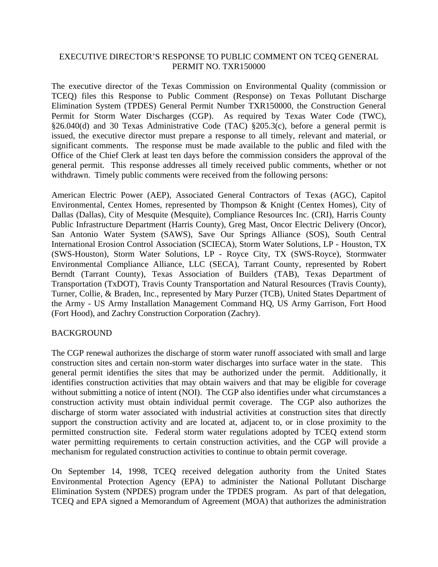## EXECUTIVE DIRECTOR'S RESPONSE TO PUBLIC COMMENT ON TCEQ GENERAL PERMIT NO. TXR150000

The executive director of the Texas Commission on Environmental Quality (commission or TCEQ) files this Response to Public Comment (Response) on Texas Pollutant Discharge Elimination System (TPDES) General Permit Number TXR150000, the Construction General Permit for Storm Water Discharges (CGP). As required by Texas Water Code (TWC), §26.040(d) and 30 Texas Administrative Code (TAC) §205.3(c), before a general permit is issued, the executive director must prepare a response to all timely, relevant and material, or significant comments. The response must be made available to the public and filed with the Office of the Chief Clerk at least ten days before the commission considers the approval of the general permit. This response addresses all timely received public comments, whether or not withdrawn. Timely public comments were received from the following persons:

American Electric Power (AEP), Associated General Contractors of Texas (AGC), Capitol Environmental, Centex Homes, represented by Thompson & Knight (Centex Homes), City of Dallas (Dallas), City of Mesquite (Mesquite), Compliance Resources Inc. (CRI), Harris County Public Infrastructure Department (Harris County), Greg Mast, Oncor Electric Delivery (Oncor), San Antonio Water System (SAWS), Save Our Springs Alliance (SOS), South Central International Erosion Control Association (SCIECA), Storm Water Solutions, LP - Houston, TX (SWS-Houston), Storm Water Solutions, LP - Royce City, TX (SWS-Royce), Stormwater Environmental Compliance Alliance, LLC (SECA), Tarrant County, represented by Robert Berndt (Tarrant County), Texas Association of Builders (TAB), Texas Department of Transportation (TxDOT), Travis County Transportation and Natural Resources (Travis County), Turner, Collie, & Braden, Inc., represented by Mary Purzer (TCB), United States Department of the Army - US Army Installation Management Command HQ, US Army Garrison, Fort Hood (Fort Hood), and Zachry Construction Corporation (Zachry).

### BACKGROUND

The CGP renewal authorizes the discharge of storm water runoff associated with small and large construction sites and certain non-storm water discharges into surface water in the state. This general permit identifies the sites that may be authorized under the permit. Additionally, it identifies construction activities that may obtain waivers and that may be eligible for coverage without submitting a notice of intent (NOI). The CGP also identifies under what circumstances a construction activity must obtain individual permit coverage. The CGP also authorizes the discharge of storm water associated with industrial activities at construction sites that directly support the construction activity and are located at, adjacent to, or in close proximity to the permitted construction site. Federal storm water regulations adopted by TCEQ extend storm water permitting requirements to certain construction activities, and the CGP will provide a mechanism for regulated construction activities to continue to obtain permit coverage.

On September 14, 1998, TCEQ received delegation authority from the United States Environmental Protection Agency (EPA) to administer the National Pollutant Discharge Elimination System (NPDES) program under the TPDES program. As part of that delegation, TCEQ and EPA signed a Memorandum of Agreement (MOA) that authorizes the administration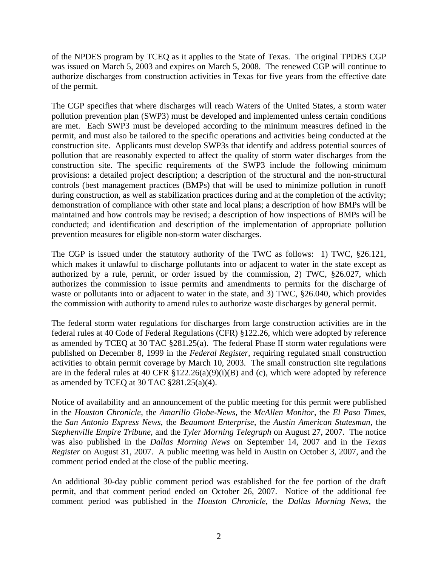of the NPDES program by TCEQ as it applies to the State of Texas. The original TPDES CGP was issued on March 5, 2003 and expires on March 5, 2008. The renewed CGP will continue to authorize discharges from construction activities in Texas for five years from the effective date of the permit.

The CGP specifies that where discharges will reach Waters of the United States, a storm water pollution prevention plan (SWP3) must be developed and implemented unless certain conditions are met. Each SWP3 must be developed according to the minimum measures defined in the permit, and must also be tailored to the specific operations and activities being conducted at the construction site. Applicants must develop SWP3s that identify and address potential sources of pollution that are reasonably expected to affect the quality of storm water discharges from the construction site. The specific requirements of the SWP3 include the following minimum provisions: a detailed project description; a description of the structural and the non-structural controls (best management practices (BMPs) that will be used to minimize pollution in runoff during construction, as well as stabilization practices during and at the completion of the activity; demonstration of compliance with other state and local plans; a description of how BMPs will be maintained and how controls may be revised; a description of how inspections of BMPs will be conducted; and identification and description of the implementation of appropriate pollution prevention measures for eligible non-storm water discharges.

The CGP is issued under the statutory authority of the TWC as follows: 1) TWC, §26.121, which makes it unlawful to discharge pollutants into or adjacent to water in the state except as authorized by a rule, permit, or order issued by the commission, 2) TWC, §26.027, which authorizes the commission to issue permits and amendments to permits for the discharge of waste or pollutants into or adjacent to water in the state, and 3) TWC, §26.040, which provides the commission with authority to amend rules to authorize waste discharges by general permit.

The federal storm water regulations for discharges from large construction activities are in the federal rules at 40 Code of Federal Regulations (CFR) §122.26, which were adopted by reference as amended by TCEQ at 30 TAC §281.25(a). The federal Phase II storm water regulations were published on December 8, 1999 in the *Federal Register*, requiring regulated small construction activities to obtain permit coverage by March 10, 2003. The small construction site regulations are in the federal rules at 40 CFR §122.26(a)(9)(i)(B) and (c), which were adopted by reference as amended by TCEQ at 30 TAC  $$281.25(a)(4)$ .

Notice of availability and an announcement of the public meeting for this permit were published in the *Houston Chronicle*, the *Amarillo Globe-News*, the *McAllen Monitor*, the *El Paso Times*, the *San Antonio Express News*, the *Beaumont Enterprise*, the *Austin American Statesman*, the *Stephenville Empire Tribune*, and the *Tyler Morning Telegraph* on August 27, 2007. The notice was also published in the *Dallas Morning News* on September 14, 2007 and in the *Texas Register* on August 31, 2007. A public meeting was held in Austin on October 3, 2007, and the comment period ended at the close of the public meeting.

An additional 30-day public comment period was established for the fee portion of the draft permit, and that comment period ended on October 26, 2007. Notice of the additional fee comment period was published in the *Houston Chronicle*, the *Dallas Morning News*, the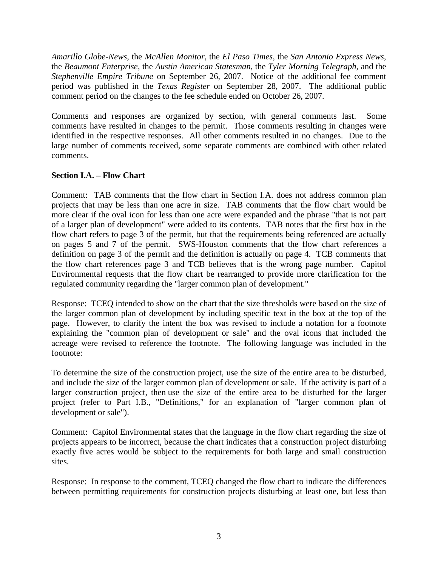*Amarillo Globe-News*, the *McAllen Monitor*, the *El Paso Times*, the *San Antonio Express News*, the *Beaumont Enterprise*, the *Austin American Statesman*, the *Tyler Morning Telegraph*, and the *Stephenville Empire Tribune* on September 26, 2007. Notice of the additional fee comment period was published in the *Texas Register* on September 28, 2007. The additional public comment period on the changes to the fee schedule ended on October 26, 2007.

Comments and responses are organized by section, with general comments last. Some comments have resulted in changes to the permit. Those comments resulting in changes were identified in the respective responses. All other comments resulted in no changes. Due to the large number of comments received, some separate comments are combined with other related comments.

## **Section I.A. – Flow Chart**

Comment: TAB comments that the flow chart in Section I.A. does not address common plan projects that may be less than one acre in size. TAB comments that the flow chart would be more clear if the oval icon for less than one acre were expanded and the phrase "that is not part of a larger plan of development" were added to its contents. TAB notes that the first box in the flow chart refers to page 3 of the permit, but that the requirements being referenced are actually on pages 5 and 7 of the permit. SWS-Houston comments that the flow chart references a definition on page 3 of the permit and the definition is actually on page 4. TCB comments that the flow chart references page 3 and TCB believes that is the wrong page number. Capitol Environmental requests that the flow chart be rearranged to provide more clarification for the regulated community regarding the "larger common plan of development."

Response: TCEQ intended to show on the chart that the size thresholds were based on the size of the larger common plan of development by including specific text in the box at the top of the page. However, to clarify the intent the box was revised to include a notation for a footnote explaining the "common plan of development or sale" and the oval icons that included the acreage were revised to reference the footnote. The following language was included in the footnote:

To determine the size of the construction project, use the size of the entire area to be disturbed, and include the size of the larger common plan of development or sale. If the activity is part of a larger construction project, then use the size of the entire area to be disturbed for the larger project (refer to Part I.B., "Definitions," for an explanation of "larger common plan of development or sale").

Comment: Capitol Environmental states that the language in the flow chart regarding the size of projects appears to be incorrect, because the chart indicates that a construction project disturbing exactly five acres would be subject to the requirements for both large and small construction sites.

Response: In response to the comment, TCEQ changed the flow chart to indicate the differences between permitting requirements for construction projects disturbing at least one, but less than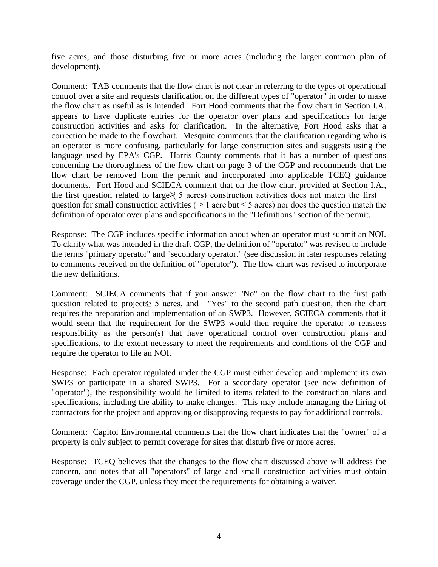five acres, and those disturbing five or more acres (including the larger common plan of development).

Comment: TAB comments that the flow chart is not clear in referring to the types of operational control over a site and requests clarification on the different types of "operator" in order to make the flow chart as useful as is intended. Fort Hood comments that the flow chart in Section I.A. appears to have duplicate entries for the operator over plans and specifications for large construction activities and asks for clarification. In the alternative, Fort Hood asks that a correction be made to the flowchart. Mesquite comments that the clarification regarding who is an operator is more confusing, particularly for large construction sites and suggests using the language used by EPA's CGP. Harris County comments that it has a number of questions concerning the thoroughness of the flow chart on page 3 of the CGP and recommends that the flow chart be removed from the permit and incorporated into applicable TCEQ guidance documents. Fort Hood and SCIECA comment that on the flow chart provided at Section I.A., the first question related to large  $\leq 5$  acres) construction activities does not match the first question for small construction activities ( $\geq 1$  acre but  $\leq 5$  acres) nor does the question match the definition of operator over plans and specifications in the "Definitions" section of the permit.

Response: The CGP includes specific information about when an operator must submit an NOI. To clarify what was intended in the draft CGP, the definition of "operator" was revised to include the terms "primary operator" and "secondary operator." (see discussion in later responses relating to comments received on the definition of "operator"). The flow chart was revised to incorporate the new definitions.

Comment: SCIECA comments that if you answer "No" on the flow chart to the first path question related to project $\geq 5$  acres, and "Yes" to the second path question, then the chart requires the preparation and implementation of an SWP3. However, SCIECA comments that it would seem that the requirement for the SWP3 would then require the operator to reassess responsibility as the person(s) that have operational control over construction plans and specifications, to the extent necessary to meet the requirements and conditions of the CGP and require the operator to file an NOI.

Response: Each operator regulated under the CGP must either develop and implement its own SWP3 or participate in a shared SWP3. For a secondary operator (see new definition of "operator"), the responsibility would be limited to items related to the construction plans and specifications, including the ability to make changes. This may include managing the hiring of contractors for the project and approving or disapproving requests to pay for additional controls.

Comment: Capitol Environmental comments that the flow chart indicates that the "owner" of a property is only subject to permit coverage for sites that disturb five or more acres.

Response: TCEQ believes that the changes to the flow chart discussed above will address the concern, and notes that all "operators" of large and small construction activities must obtain coverage under the CGP, unless they meet the requirements for obtaining a waiver.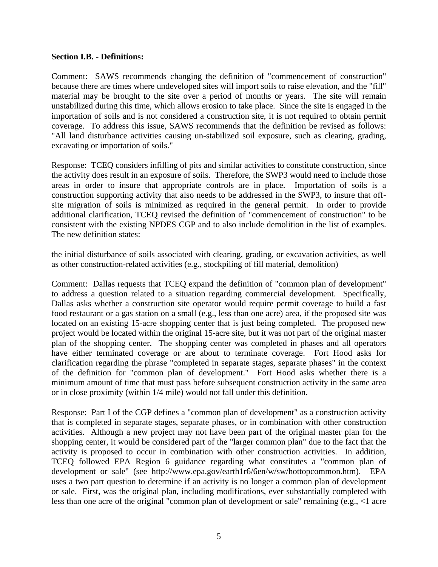#### **Section I.B. - Definitions:**

Comment: SAWS recommends changing the definition of "commencement of construction" because there are times where undeveloped sites will import soils to raise elevation, and the "fill" material may be brought to the site over a period of months or years. The site will remain unstabilized during this time, which allows erosion to take place. Since the site is engaged in the importation of soils and is not considered a construction site, it is not required to obtain permit coverage. To address this issue, SAWS recommends that the definition be revised as follows: "All land disturbance activities causing un-stabilized soil exposure, such as clearing, grading, excavating or importation of soils."

Response: TCEQ considers infilling of pits and similar activities to constitute construction, since the activity does result in an exposure of soils. Therefore, the SWP3 would need to include those areas in order to insure that appropriate controls are in place. Importation of soils is a construction supporting activity that also needs to be addressed in the SWP3, to insure that offsite migration of soils is minimized as required in the general permit. In order to provide additional clarification, TCEQ revised the definition of "commencement of construction" to be consistent with the existing NPDES CGP and to also include demolition in the list of examples. The new definition states:

the initial disturbance of soils associated with clearing, grading, or excavation activities, as well as other construction-related activities (e.g., stockpiling of fill material, demolition)

Comment: Dallas requests that TCEQ expand the definition of "common plan of development" to address a question related to a situation regarding commercial development. Specifically, Dallas asks whether a construction site operator would require permit coverage to build a fast food restaurant or a gas station on a small (e.g., less than one acre) area, if the proposed site was located on an existing 15-acre shopping center that is just being completed. The proposed new project would be located within the original 15-acre site, but it was not part of the original master plan of the shopping center. The shopping center was completed in phases and all operators have either terminated coverage or are about to terminate coverage. Fort Hood asks for clarification regarding the phrase "completed in separate stages, separate phases" in the context of the definition for "common plan of development." Fort Hood asks whether there is a minimum amount of time that must pass before subsequent construction activity in the same area or in close proximity (within 1/4 mile) would not fall under this definition.

Response: Part I of the CGP defines a "common plan of development" as a construction activity that is completed in separate stages, separate phases, or in combination with other construction activities. Although a new project may not have been part of the original master plan for the shopping center, it would be considered part of the "larger common plan" due to the fact that the activity is proposed to occur in combination with other construction activities. In addition, TCEQ followed EPA Region 6 guidance regarding what constitutes a "common plan of development or sale" (see http://www.epa.gov/earth1r6/6en/w/sw/hottopcommon.htm). EPA uses a two part question to determine if an activity is no longer a common plan of development or sale. First, was the original plan, including modifications, ever substantially completed with less than one acre of the original "common plan of development or sale" remaining (e.g., <1 acre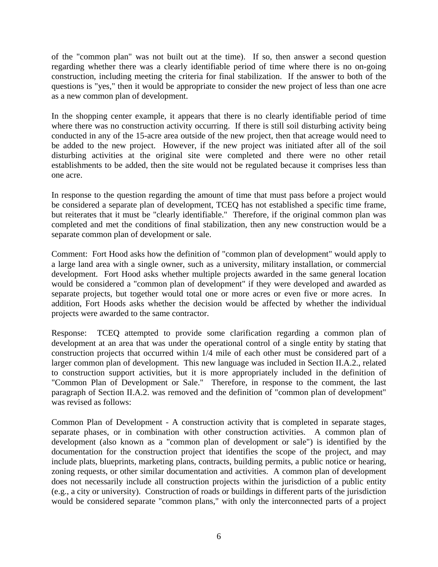of the "common plan" was not built out at the time). If so, then answer a second question regarding whether there was a clearly identifiable period of time where there is no on-going construction, including meeting the criteria for final stabilization. If the answer to both of the questions is "yes," then it would be appropriate to consider the new project of less than one acre as a new common plan of development.

In the shopping center example, it appears that there is no clearly identifiable period of time where there was no construction activity occurring. If there is still soil disturbing activity being conducted in any of the 15-acre area outside of the new project, then that acreage would need to be added to the new project. However, if the new project was initiated after all of the soil disturbing activities at the original site were completed and there were no other retail establishments to be added, then the site would not be regulated because it comprises less than one acre.

In response to the question regarding the amount of time that must pass before a project would be considered a separate plan of development, TCEQ has not established a specific time frame, but reiterates that it must be "clearly identifiable." Therefore, if the original common plan was completed and met the conditions of final stabilization, then any new construction would be a separate common plan of development or sale.

Comment: Fort Hood asks how the definition of "common plan of development" would apply to a large land area with a single owner, such as a university, military installation, or commercial development. Fort Hood asks whether multiple projects awarded in the same general location would be considered a "common plan of development" if they were developed and awarded as separate projects, but together would total one or more acres or even five or more acres. In addition, Fort Hoods asks whether the decision would be affected by whether the individual projects were awarded to the same contractor.

Response: TCEQ attempted to provide some clarification regarding a common plan of development at an area that was under the operational control of a single entity by stating that construction projects that occurred within 1/4 mile of each other must be considered part of a larger common plan of development. This new language was included in Section II.A.2., related to construction support activities, but it is more appropriately included in the definition of "Common Plan of Development or Sale." Therefore, in response to the comment, the last paragraph of Section II.A.2. was removed and the definition of "common plan of development" was revised as follows:

Common Plan of Development - A construction activity that is completed in separate stages, separate phases, or in combination with other construction activities. A common plan of development (also known as a "common plan of development or sale") is identified by the documentation for the construction project that identifies the scope of the project, and may include plats, blueprints, marketing plans, contracts, building permits, a public notice or hearing, zoning requests, or other similar documentation and activities. A common plan of development does not necessarily include all construction projects within the jurisdiction of a public entity (e.g., a city or university). Construction of roads or buildings in different parts of the jurisdiction would be considered separate "common plans," with only the interconnected parts of a project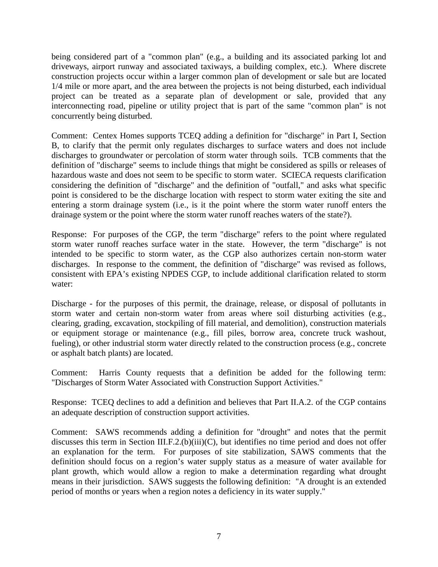being considered part of a "common plan" (e.g., a building and its associated parking lot and driveways, airport runway and associated taxiways, a building complex, etc.). Where discrete construction projects occur within a larger common plan of development or sale but are located 1/4 mile or more apart, and the area between the projects is not being disturbed, each individual project can be treated as a separate plan of development or sale, provided that any interconnecting road, pipeline or utility project that is part of the same "common plan" is not concurrently being disturbed.

Comment: Centex Homes supports TCEQ adding a definition for "discharge" in Part I, Section B, to clarify that the permit only regulates discharges to surface waters and does not include discharges to groundwater or percolation of storm water through soils. TCB comments that the definition of "discharge" seems to include things that might be considered as spills or releases of hazardous waste and does not seem to be specific to storm water. SCIECA requests clarification considering the definition of "discharge" and the definition of "outfall," and asks what specific point is considered to be the discharge location with respect to storm water exiting the site and entering a storm drainage system (i.e., is it the point where the storm water runoff enters the drainage system or the point where the storm water runoff reaches waters of the state?).

Response: For purposes of the CGP, the term "discharge" refers to the point where regulated storm water runoff reaches surface water in the state. However, the term "discharge" is not intended to be specific to storm water, as the CGP also authorizes certain non-storm water discharges. In response to the comment, the definition of "discharge" was revised as follows, consistent with EPA's existing NPDES CGP, to include additional clarification related to storm water:

Discharge - for the purposes of this permit, the drainage, release, or disposal of pollutants in storm water and certain non-storm water from areas where soil disturbing activities (e.g., clearing, grading, excavation, stockpiling of fill material, and demolition), construction materials or equipment storage or maintenance (e.g., fill piles, borrow area, concrete truck washout, fueling), or other industrial storm water directly related to the construction process (e.g., concrete or asphalt batch plants) are located.

Comment: Harris County requests that a definition be added for the following term: "Discharges of Storm Water Associated with Construction Support Activities."

Response: TCEQ declines to add a definition and believes that Part II.A.2. of the CGP contains an adequate description of construction support activities.

Comment: SAWS recommends adding a definition for "drought" and notes that the permit discusses this term in Section III.F.2.(b)(iii)(C), but identifies no time period and does not offer an explanation for the term. For purposes of site stabilization, SAWS comments that the definition should focus on a region's water supply status as a measure of water available for plant growth, which would allow a region to make a determination regarding what drought means in their jurisdiction. SAWS suggests the following definition: "A drought is an extended period of months or years when a region notes a deficiency in its water supply."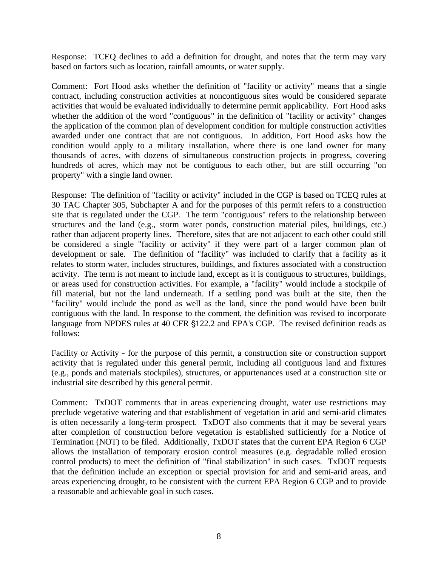Response: TCEQ declines to add a definition for drought, and notes that the term may vary based on factors such as location, rainfall amounts, or water supply.

Comment: Fort Hood asks whether the definition of "facility or activity" means that a single contract, including construction activities at noncontiguous sites would be considered separate activities that would be evaluated individually to determine permit applicability. Fort Hood asks whether the addition of the word "contiguous" in the definition of "facility or activity" changes the application of the common plan of development condition for multiple construction activities awarded under one contract that are not contiguous. In addition, Fort Hood asks how the condition would apply to a military installation, where there is one land owner for many thousands of acres, with dozens of simultaneous construction projects in progress, covering hundreds of acres, which may not be contiguous to each other, but are still occurring "on property" with a single land owner.

Response: The definition of "facility or activity" included in the CGP is based on TCEQ rules at 30 TAC Chapter 305, Subchapter A and for the purposes of this permit refers to a construction site that is regulated under the CGP. The term "contiguous" refers to the relationship between structures and the land (e.g., storm water ponds, construction material piles, buildings, etc.) rather than adjacent property lines. Therefore, sites that are not adjacent to each other could still be considered a single "facility or activity" if they were part of a larger common plan of development or sale. The definition of "facility" was included to clarify that a facility as it relates to storm water, includes structures, buildings, and fixtures associated with a construction activity. The term is not meant to include land, except as it is contiguous to structures, buildings, or areas used for construction activities. For example, a "facility" would include a stockpile of fill material, but not the land underneath. If a settling pond was built at the site, then the "facility" would include the pond as well as the land, since the pond would have been built contiguous with the land. In response to the comment, the definition was revised to incorporate language from NPDES rules at 40 CFR §122.2 and EPA's CGP. The revised definition reads as follows:

Facility or Activity - for the purpose of this permit, a construction site or construction support activity that is regulated under this general permit, including all contiguous land and fixtures (e.g., ponds and materials stockpiles), structures, or appurtenances used at a construction site or industrial site described by this general permit.

Comment: TxDOT comments that in areas experiencing drought, water use restrictions may preclude vegetative watering and that establishment of vegetation in arid and semi-arid climates is often necessarily a long-term prospect. TxDOT also comments that it may be several years after completion of construction before vegetation is established sufficiently for a Notice of Termination (NOT) to be filed. Additionally, TxDOT states that the current EPA Region 6 CGP allows the installation of temporary erosion control measures (e.g. degradable rolled erosion control products) to meet the definition of "final stabilization" in such cases. TxDOT requests that the definition include an exception or special provision for arid and semi-arid areas, and areas experiencing drought, to be consistent with the current EPA Region 6 CGP and to provide a reasonable and achievable goal in such cases.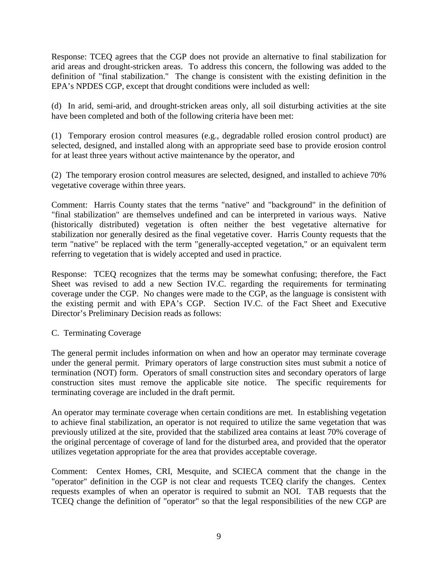Response: TCEQ agrees that the CGP does not provide an alternative to final stabilization for arid areas and drought-stricken areas. To address this concern, the following was added to the definition of "final stabilization." The change is consistent with the existing definition in the EPA's NPDES CGP, except that drought conditions were included as well:

(d) In arid, semi-arid, and drought-stricken areas only, all soil disturbing activities at the site have been completed and both of the following criteria have been met:

(1) Temporary erosion control measures (e.g., degradable rolled erosion control product) are selected, designed, and installed along with an appropriate seed base to provide erosion control for at least three years without active maintenance by the operator, and

(2) The temporary erosion control measures are selected, designed, and installed to achieve 70% vegetative coverage within three years.

Comment: Harris County states that the terms "native" and "background" in the definition of "final stabilization" are themselves undefined and can be interpreted in various ways. Native (historically distributed) vegetation is often neither the best vegetative alternative for stabilization nor generally desired as the final vegetative cover. Harris County requests that the term "native" be replaced with the term "generally-accepted vegetation," or an equivalent term referring to vegetation that is widely accepted and used in practice.

Response: TCEQ recognizes that the terms may be somewhat confusing; therefore, the Fact Sheet was revised to add a new Section IV.C. regarding the requirements for terminating coverage under the CGP. No changes were made to the CGP, as the language is consistent with the existing permit and with EPA's CGP. Section IV.C. of the Fact Sheet and Executive Director's Preliminary Decision reads as follows:

## C. Terminating Coverage

The general permit includes information on when and how an operator may terminate coverage under the general permit. Primary operators of large construction sites must submit a notice of termination (NOT) form. Operators of small construction sites and secondary operators of large construction sites must remove the applicable site notice. The specific requirements for terminating coverage are included in the draft permit.

An operator may terminate coverage when certain conditions are met. In establishing vegetation to achieve final stabilization, an operator is not required to utilize the same vegetation that was previously utilized at the site, provided that the stabilized area contains at least 70% coverage of the original percentage of coverage of land for the disturbed area, and provided that the operator utilizes vegetation appropriate for the area that provides acceptable coverage.

Comment: Centex Homes, CRI, Mesquite, and SCIECA comment that the change in the "operator" definition in the CGP is not clear and requests TCEQ clarify the changes. Centex requests examples of when an operator is required to submit an NOI. TAB requests that the TCEQ change the definition of "operator" so that the legal responsibilities of the new CGP are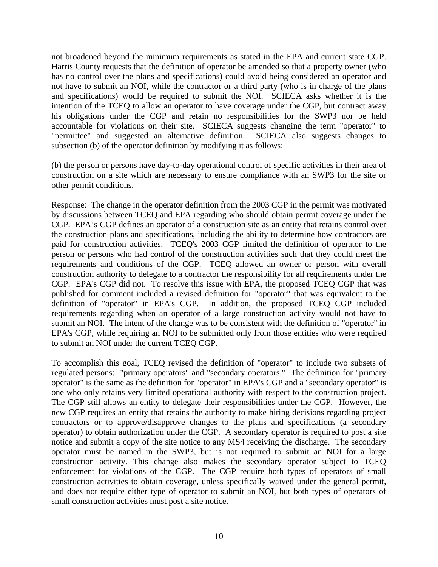not broadened beyond the minimum requirements as stated in the EPA and current state CGP. Harris County requests that the definition of operator be amended so that a property owner (who has no control over the plans and specifications) could avoid being considered an operator and not have to submit an NOI, while the contractor or a third party (who is in charge of the plans and specifications) would be required to submit the NOI. SCIECA asks whether it is the intention of the TCEQ to allow an operator to have coverage under the CGP, but contract away his obligations under the CGP and retain no responsibilities for the SWP3 nor be held accountable for violations on their site. SCIECA suggests changing the term "operator" to "permittee" and suggested an alternative definition. SCIECA also suggests changes to subsection (b) of the operator definition by modifying it as follows:

(b) the person or persons have day-to-day operational control of specific activities in their area of construction on a site which are necessary to ensure compliance with an SWP3 for the site or other permit conditions.

Response: The change in the operator definition from the 2003 CGP in the permit was motivated by discussions between TCEQ and EPA regarding who should obtain permit coverage under the CGP. EPA's CGP defines an operator of a construction site as an entity that retains control over the construction plans and specifications, including the ability to determine how contractors are paid for construction activities. TCEQ's 2003 CGP limited the definition of operator to the person or persons who had control of the construction activities such that they could meet the requirements and conditions of the CGP. TCEQ allowed an owner or person with overall construction authority to delegate to a contractor the responsibility for all requirements under the CGP. EPA's CGP did not. To resolve this issue with EPA, the proposed TCEQ CGP that was published for comment included a revised definition for "operator" that was equivalent to the definition of "operator" in EPA's CGP. In addition, the proposed TCEQ CGP included requirements regarding when an operator of a large construction activity would not have to submit an NOI. The intent of the change was to be consistent with the definition of "operator" in EPA's CGP, while requiring an NOI to be submitted only from those entities who were required to submit an NOI under the current TCEQ CGP.

To accomplish this goal, TCEQ revised the definition of "operator" to include two subsets of regulated persons: "primary operators" and "secondary operators." The definition for "primary operator" is the same as the definition for "operator" in EPA's CGP and a "secondary operator" is one who only retains very limited operational authority with respect to the construction project. The CGP still allows an entity to delegate their responsibilities under the CGP. However, the new CGP requires an entity that retains the authority to make hiring decisions regarding project contractors or to approve/disapprove changes to the plans and specifications (a secondary operator) to obtain authorization under the CGP. A secondary operator is required to post a site notice and submit a copy of the site notice to any MS4 receiving the discharge. The secondary operator must be named in the SWP3, but is not required to submit an NOI for a large construction activity. This change also makes the secondary operator subject to TCEQ enforcement for violations of the CGP. The CGP require both types of operators of small construction activities to obtain coverage, unless specifically waived under the general permit, and does not require either type of operator to submit an NOI, but both types of operators of small construction activities must post a site notice.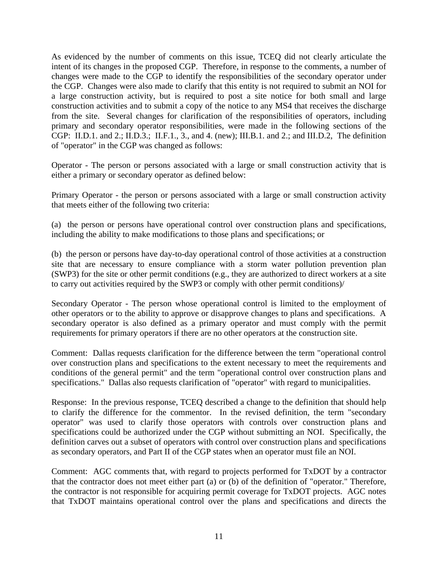As evidenced by the number of comments on this issue, TCEQ did not clearly articulate the intent of its changes in the proposed CGP. Therefore, in response to the comments, a number of changes were made to the CGP to identify the responsibilities of the secondary operator under the CGP. Changes were also made to clarify that this entity is not required to submit an NOI for a large construction activity, but is required to post a site notice for both small and large construction activities and to submit a copy of the notice to any MS4 that receives the discharge from the site. Several changes for clarification of the responsibilities of operators, including primary and secondary operator responsibilities, were made in the following sections of the CGP: II.D.1. and 2.; II.D.3.; II.F.1., 3., and 4. (new); III.B.1. and 2.; and III.D.2, The definition of "operator" in the CGP was changed as follows:

Operator - The person or persons associated with a large or small construction activity that is either a primary or secondary operator as defined below:

Primary Operator - the person or persons associated with a large or small construction activity that meets either of the following two criteria:

(a) the person or persons have operational control over construction plans and specifications, including the ability to make modifications to those plans and specifications; or

(b) the person or persons have day-to-day operational control of those activities at a construction site that are necessary to ensure compliance with a storm water pollution prevention plan (SWP3) for the site or other permit conditions (e.g., they are authorized to direct workers at a site to carry out activities required by the SWP3 or comply with other permit conditions)/

Secondary Operator - The person whose operational control is limited to the employment of other operators or to the ability to approve or disapprove changes to plans and specifications. A secondary operator is also defined as a primary operator and must comply with the permit requirements for primary operators if there are no other operators at the construction site.

Comment: Dallas requests clarification for the difference between the term "operational control over construction plans and specifications to the extent necessary to meet the requirements and conditions of the general permit" and the term "operational control over construction plans and specifications." Dallas also requests clarification of "operator" with regard to municipalities.

Response: In the previous response, TCEQ described a change to the definition that should help to clarify the difference for the commentor. In the revised definition, the term "secondary operator" was used to clarify those operators with controls over construction plans and specifications could be authorized under the CGP without submitting an NOI. Specifically, the definition carves out a subset of operators with control over construction plans and specifications as secondary operators, and Part II of the CGP states when an operator must file an NOI.

Comment: AGC comments that, with regard to projects performed for TxDOT by a contractor that the contractor does not meet either part (a) or (b) of the definition of "operator." Therefore, the contractor is not responsible for acquiring permit coverage for TxDOT projects. AGC notes that TxDOT maintains operational control over the plans and specifications and directs the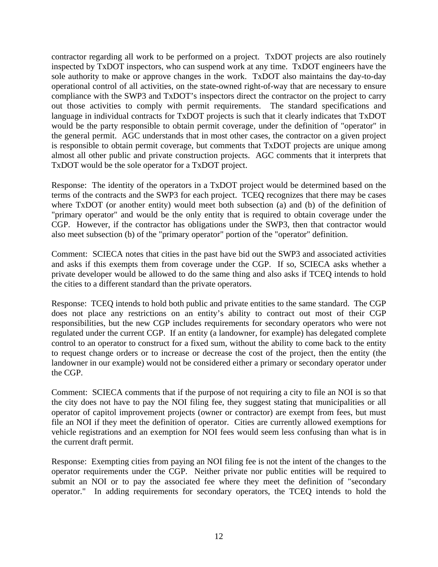contractor regarding all work to be performed on a project. TxDOT projects are also routinely inspected by TxDOT inspectors, who can suspend work at any time. TxDOT engineers have the sole authority to make or approve changes in the work. TxDOT also maintains the day-to-day operational control of all activities, on the state-owned right-of-way that are necessary to ensure compliance with the SWP3 and TxDOT's inspectors direct the contractor on the project to carry out those activities to comply with permit requirements. The standard specifications and language in individual contracts for TxDOT projects is such that it clearly indicates that TxDOT would be the party responsible to obtain permit coverage, under the definition of "operator" in the general permit. AGC understands that in most other cases, the contractor on a given project is responsible to obtain permit coverage, but comments that TxDOT projects are unique among almost all other public and private construction projects. AGC comments that it interprets that TxDOT would be the sole operator for a TxDOT project.

Response: The identity of the operators in a TxDOT project would be determined based on the terms of the contracts and the SWP3 for each project. TCEQ recognizes that there may be cases where TxDOT (or another entity) would meet both subsection (a) and (b) of the definition of "primary operator" and would be the only entity that is required to obtain coverage under the CGP. However, if the contractor has obligations under the SWP3, then that contractor would also meet subsection (b) of the "primary operator" portion of the "operator" definition.

Comment: SCIECA notes that cities in the past have bid out the SWP3 and associated activities and asks if this exempts them from coverage under the CGP. If so, SCIECA asks whether a private developer would be allowed to do the same thing and also asks if TCEQ intends to hold the cities to a different standard than the private operators.

Response: TCEQ intends to hold both public and private entities to the same standard. The CGP does not place any restrictions on an entity's ability to contract out most of their CGP responsibilities, but the new CGP includes requirements for secondary operators who were not regulated under the current CGP. If an entity (a landowner, for example) has delegated complete control to an operator to construct for a fixed sum, without the ability to come back to the entity to request change orders or to increase or decrease the cost of the project, then the entity (the landowner in our example) would not be considered either a primary or secondary operator under the CGP.

Comment: SCIECA comments that if the purpose of not requiring a city to file an NOI is so that the city does not have to pay the NOI filing fee, they suggest stating that municipalities or all operator of capitol improvement projects (owner or contractor) are exempt from fees, but must file an NOI if they meet the definition of operator. Cities are currently allowed exemptions for vehicle registrations and an exemption for NOI fees would seem less confusing than what is in the current draft permit.

Response: Exempting cities from paying an NOI filing fee is not the intent of the changes to the operator requirements under the CGP. Neither private nor public entities will be required to submit an NOI or to pay the associated fee where they meet the definition of "secondary operator." In adding requirements for secondary operators, the TCEQ intends to hold the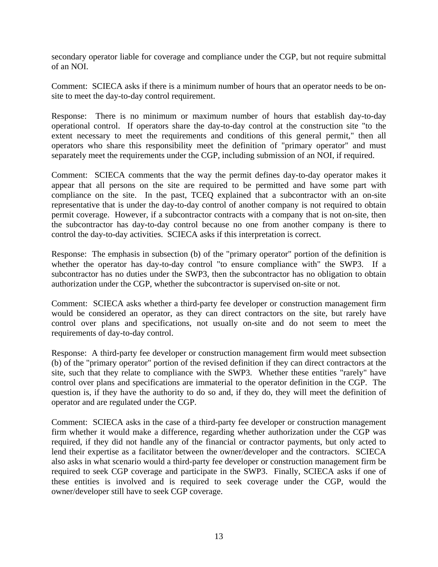secondary operator liable for coverage and compliance under the CGP, but not require submittal of an NOI.

Comment: SCIECA asks if there is a minimum number of hours that an operator needs to be onsite to meet the day-to-day control requirement.

Response: There is no minimum or maximum number of hours that establish day-to-day operational control. If operators share the day-to-day control at the construction site "to the extent necessary to meet the requirements and conditions of this general permit," then all operators who share this responsibility meet the definition of "primary operator" and must separately meet the requirements under the CGP, including submission of an NOI, if required.

Comment: SCIECA comments that the way the permit defines day-to-day operator makes it appear that all persons on the site are required to be permitted and have some part with compliance on the site. In the past, TCEQ explained that a subcontractor with an on-site representative that is under the day-to-day control of another company is not required to obtain permit coverage. However, if a subcontractor contracts with a company that is not on-site, then the subcontractor has day-to-day control because no one from another company is there to control the day-to-day activities. SCIECA asks if this interpretation is correct.

Response: The emphasis in subsection (b) of the "primary operator" portion of the definition is whether the operator has day-to-day control "to ensure compliance with" the SWP3. If a subcontractor has no duties under the SWP3, then the subcontractor has no obligation to obtain authorization under the CGP, whether the subcontractor is supervised on-site or not.

Comment: SCIECA asks whether a third-party fee developer or construction management firm would be considered an operator, as they can direct contractors on the site, but rarely have control over plans and specifications, not usually on-site and do not seem to meet the requirements of day-to-day control.

Response: A third-party fee developer or construction management firm would meet subsection (b) of the "primary operator" portion of the revised definition if they can direct contractors at the site, such that they relate to compliance with the SWP3. Whether these entities "rarely" have control over plans and specifications are immaterial to the operator definition in the CGP. The question is, if they have the authority to do so and, if they do, they will meet the definition of operator and are regulated under the CGP.

Comment: SCIECA asks in the case of a third-party fee developer or construction management firm whether it would make a difference, regarding whether authorization under the CGP was required, if they did not handle any of the financial or contractor payments, but only acted to lend their expertise as a facilitator between the owner/developer and the contractors. SCIECA also asks in what scenario would a third-party fee developer or construction management firm be required to seek CGP coverage and participate in the SWP3. Finally, SCIECA asks if one of these entities is involved and is required to seek coverage under the CGP, would the owner/developer still have to seek CGP coverage.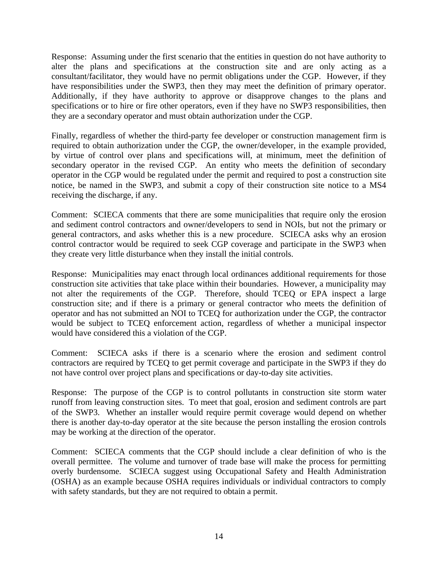Response: Assuming under the first scenario that the entities in question do not have authority to alter the plans and specifications at the construction site and are only acting as a consultant/facilitator, they would have no permit obligations under the CGP. However, if they have responsibilities under the SWP3, then they may meet the definition of primary operator. Additionally, if they have authority to approve or disapprove changes to the plans and specifications or to hire or fire other operators, even if they have no SWP3 responsibilities, then they are a secondary operator and must obtain authorization under the CGP.

Finally, regardless of whether the third-party fee developer or construction management firm is required to obtain authorization under the CGP, the owner/developer, in the example provided, by virtue of control over plans and specifications will, at minimum, meet the definition of secondary operator in the revised CGP. An entity who meets the definition of secondary operator in the CGP would be regulated under the permit and required to post a construction site notice, be named in the SWP3, and submit a copy of their construction site notice to a MS4 receiving the discharge, if any.

Comment: SCIECA comments that there are some municipalities that require only the erosion and sediment control contractors and owner/developers to send in NOIs, but not the primary or general contractors, and asks whether this is a new procedure. SCIECA asks why an erosion control contractor would be required to seek CGP coverage and participate in the SWP3 when they create very little disturbance when they install the initial controls.

Response: Municipalities may enact through local ordinances additional requirements for those construction site activities that take place within their boundaries. However, a municipality may not alter the requirements of the CGP. Therefore, should TCEQ or EPA inspect a large construction site; and if there is a primary or general contractor who meets the definition of operator and has not submitted an NOI to TCEQ for authorization under the CGP, the contractor would be subject to TCEQ enforcement action, regardless of whether a municipal inspector would have considered this a violation of the CGP.

Comment: SCIECA asks if there is a scenario where the erosion and sediment control contractors are required by TCEQ to get permit coverage and participate in the SWP3 if they do not have control over project plans and specifications or day-to-day site activities.

Response: The purpose of the CGP is to control pollutants in construction site storm water runoff from leaving construction sites. To meet that goal, erosion and sediment controls are part of the SWP3. Whether an installer would require permit coverage would depend on whether there is another day-to-day operator at the site because the person installing the erosion controls may be working at the direction of the operator.

Comment: SCIECA comments that the CGP should include a clear definition of who is the overall permittee. The volume and turnover of trade base will make the process for permitting overly burdensome. SCIECA suggest using Occupational Safety and Health Administration (OSHA) as an example because OSHA requires individuals or individual contractors to comply with safety standards, but they are not required to obtain a permit.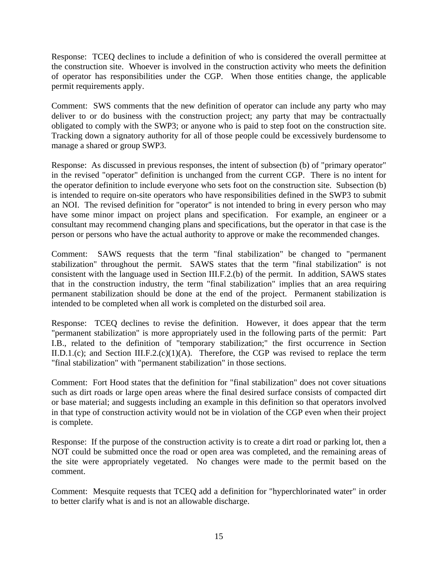Response: TCEQ declines to include a definition of who is considered the overall permittee at the construction site. Whoever is involved in the construction activity who meets the definition of operator has responsibilities under the CGP. When those entities change, the applicable permit requirements apply.

Comment: SWS comments that the new definition of operator can include any party who may deliver to or do business with the construction project; any party that may be contractually obligated to comply with the SWP3; or anyone who is paid to step foot on the construction site. Tracking down a signatory authority for all of those people could be excessively burdensome to manage a shared or group SWP3.

Response: As discussed in previous responses, the intent of subsection (b) of "primary operator" in the revised "operator" definition is unchanged from the current CGP. There is no intent for the operator definition to include everyone who sets foot on the construction site. Subsection (b) is intended to require on-site operators who have responsibilities defined in the SWP3 to submit an NOI. The revised definition for "operator" is not intended to bring in every person who may have some minor impact on project plans and specification. For example, an engineer or a consultant may recommend changing plans and specifications, but the operator in that case is the person or persons who have the actual authority to approve or make the recommended changes.

Comment: SAWS requests that the term "final stabilization" be changed to "permanent stabilization" throughout the permit. SAWS states that the term "final stabilization" is not consistent with the language used in Section III.F.2.(b) of the permit. In addition, SAWS states that in the construction industry, the term "final stabilization" implies that an area requiring permanent stabilization should be done at the end of the project. Permanent stabilization is intended to be completed when all work is completed on the disturbed soil area.

Response: TCEQ declines to revise the definition. However, it does appear that the term "permanent stabilization" is more appropriately used in the following parts of the permit: Part I.B., related to the definition of "temporary stabilization;" the first occurrence in Section II.D.1.(c); and Section III.F.2.(c)(1)(A). Therefore, the CGP was revised to replace the term "final stabilization" with "permanent stabilization" in those sections.

Comment: Fort Hood states that the definition for "final stabilization" does not cover situations such as dirt roads or large open areas where the final desired surface consists of compacted dirt or base material; and suggests including an example in this definition so that operators involved in that type of construction activity would not be in violation of the CGP even when their project is complete.

Response: If the purpose of the construction activity is to create a dirt road or parking lot, then a NOT could be submitted once the road or open area was completed, and the remaining areas of the site were appropriately vegetated. No changes were made to the permit based on the comment.

Comment: Mesquite requests that TCEQ add a definition for "hyperchlorinated water" in order to better clarify what is and is not an allowable discharge.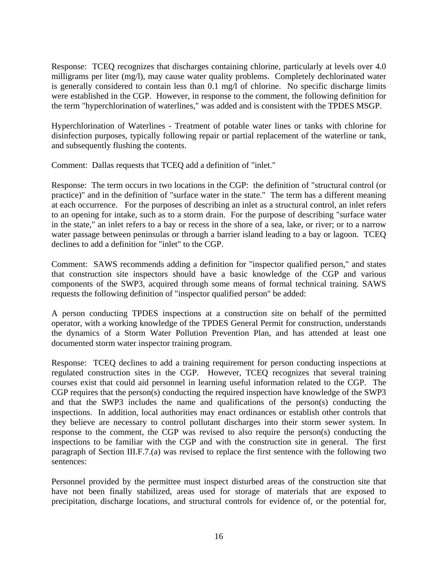Response: TCEQ recognizes that discharges containing chlorine, particularly at levels over 4.0 milligrams per liter (mg/l), may cause water quality problems. Completely dechlorinated water is generally considered to contain less than 0.1 mg/l of chlorine. No specific discharge limits were established in the CGP. However, in response to the comment, the following definition for the term "hyperchlorination of waterlines," was added and is consistent with the TPDES MSGP.

Hyperchlorination of Waterlines - Treatment of potable water lines or tanks with chlorine for disinfection purposes, typically following repair or partial replacement of the waterline or tank, and subsequently flushing the contents.

Comment: Dallas requests that TCEQ add a definition of "inlet."

Response: The term occurs in two locations in the CGP: the definition of "structural control (or practice)" and in the definition of "surface water in the state." The term has a different meaning at each occurrence. For the purposes of describing an inlet as a structural control, an inlet refers to an opening for intake, such as to a storm drain. For the purpose of describing "surface water in the state," an inlet refers to a bay or recess in the shore of a sea, lake, or river; or to a narrow water passage between peninsulas or through a barrier island leading to a bay or lagoon. TCEQ declines to add a definition for "inlet" to the CGP.

Comment: SAWS recommends adding a definition for "inspector qualified person," and states that construction site inspectors should have a basic knowledge of the CGP and various components of the SWP3, acquired through some means of formal technical training. SAWS requests the following definition of "inspector qualified person" be added:

A person conducting TPDES inspections at a construction site on behalf of the permitted operator, with a working knowledge of the TPDES General Permit for construction, understands the dynamics of a Storm Water Pollution Prevention Plan, and has attended at least one documented storm water inspector training program.

Response: TCEQ declines to add a training requirement for person conducting inspections at regulated construction sites in the CGP. However, TCEQ recognizes that several training courses exist that could aid personnel in learning useful information related to the CGP. The CGP requires that the person(s) conducting the required inspection have knowledge of the SWP3 and that the SWP3 includes the name and qualifications of the person(s) conducting the inspections. In addition, local authorities may enact ordinances or establish other controls that they believe are necessary to control pollutant discharges into their storm sewer system. In response to the comment, the CGP was revised to also require the person(s) conducting the inspections to be familiar with the CGP and with the construction site in general. The first paragraph of Section III.F.7.(a) was revised to replace the first sentence with the following two sentences:

Personnel provided by the permittee must inspect disturbed areas of the construction site that have not been finally stabilized, areas used for storage of materials that are exposed to precipitation, discharge locations, and structural controls for evidence of, or the potential for,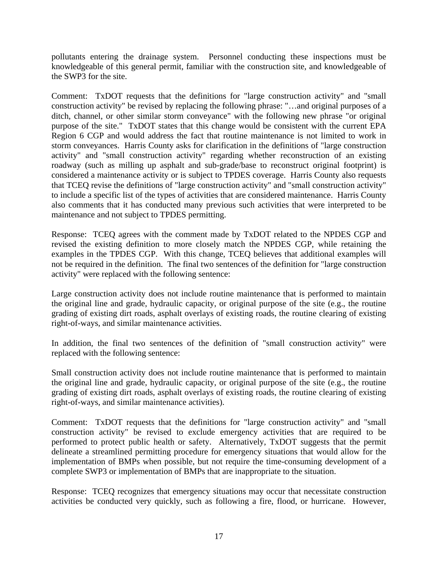pollutants entering the drainage system. Personnel conducting these inspections must be knowledgeable of this general permit, familiar with the construction site, and knowledgeable of the SWP3 for the site.

Comment: TxDOT requests that the definitions for "large construction activity" and "small construction activity" be revised by replacing the following phrase: "…and original purposes of a ditch, channel, or other similar storm conveyance" with the following new phrase "or original purpose of the site." TxDOT states that this change would be consistent with the current EPA Region 6 CGP and would address the fact that routine maintenance is not limited to work in storm conveyances. Harris County asks for clarification in the definitions of "large construction activity" and "small construction activity" regarding whether reconstruction of an existing roadway (such as milling up asphalt and sub-grade/base to reconstruct original footprint) is considered a maintenance activity or is subject to TPDES coverage. Harris County also requests that TCEQ revise the definitions of "large construction activity" and "small construction activity" to include a specific list of the types of activities that are considered maintenance. Harris County also comments that it has conducted many previous such activities that were interpreted to be maintenance and not subject to TPDES permitting.

Response: TCEQ agrees with the comment made by TxDOT related to the NPDES CGP and revised the existing definition to more closely match the NPDES CGP, while retaining the examples in the TPDES CGP. With this change, TCEQ believes that additional examples will not be required in the definition. The final two sentences of the definition for "large construction activity" were replaced with the following sentence:

Large construction activity does not include routine maintenance that is performed to maintain the original line and grade, hydraulic capacity, or original purpose of the site (e.g., the routine grading of existing dirt roads, asphalt overlays of existing roads, the routine clearing of existing right-of-ways, and similar maintenance activities.

In addition, the final two sentences of the definition of "small construction activity" were replaced with the following sentence:

Small construction activity does not include routine maintenance that is performed to maintain the original line and grade, hydraulic capacity, or original purpose of the site (e.g., the routine grading of existing dirt roads, asphalt overlays of existing roads, the routine clearing of existing right-of-ways, and similar maintenance activities).

Comment: TxDOT requests that the definitions for "large construction activity" and "small construction activity" be revised to exclude emergency activities that are required to be performed to protect public health or safety. Alternatively, TxDOT suggests that the permit delineate a streamlined permitting procedure for emergency situations that would allow for the implementation of BMPs when possible, but not require the time-consuming development of a complete SWP3 or implementation of BMPs that are inappropriate to the situation.

Response: TCEQ recognizes that emergency situations may occur that necessitate construction activities be conducted very quickly, such as following a fire, flood, or hurricane. However,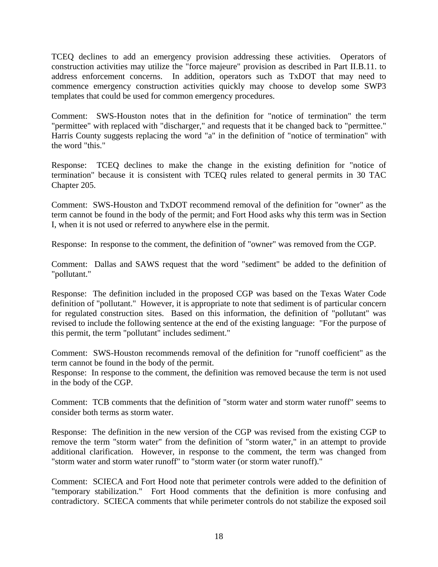TCEQ declines to add an emergency provision addressing these activities. Operators of construction activities may utilize the "force majeure" provision as described in Part II.B.11. to address enforcement concerns. In addition, operators such as TxDOT that may need to commence emergency construction activities quickly may choose to develop some SWP3 templates that could be used for common emergency procedures.

Comment: SWS-Houston notes that in the definition for "notice of termination" the term "permittee" with replaced with "discharger," and requests that it be changed back to "permittee." Harris County suggests replacing the word "a" in the definition of "notice of termination" with the word "this."

Response: TCEQ declines to make the change in the existing definition for "notice of termination" because it is consistent with TCEQ rules related to general permits in 30 TAC Chapter 205.

Comment: SWS-Houston and TxDOT recommend removal of the definition for "owner" as the term cannot be found in the body of the permit; and Fort Hood asks why this term was in Section I, when it is not used or referred to anywhere else in the permit.

Response: In response to the comment, the definition of "owner" was removed from the CGP.

Comment: Dallas and SAWS request that the word "sediment" be added to the definition of "pollutant."

Response: The definition included in the proposed CGP was based on the Texas Water Code definition of "pollutant." However, it is appropriate to note that sediment is of particular concern for regulated construction sites. Based on this information, the definition of "pollutant" was revised to include the following sentence at the end of the existing language: "For the purpose of this permit, the term "pollutant" includes sediment."

Comment: SWS-Houston recommends removal of the definition for "runoff coefficient" as the term cannot be found in the body of the permit.

Response: In response to the comment, the definition was removed because the term is not used in the body of the CGP.

Comment: TCB comments that the definition of "storm water and storm water runoff" seems to consider both terms as storm water.

Response: The definition in the new version of the CGP was revised from the existing CGP to remove the term "storm water" from the definition of "storm water," in an attempt to provide additional clarification. However, in response to the comment, the term was changed from "storm water and storm water runoff" to "storm water (or storm water runoff)."

Comment: SCIECA and Fort Hood note that perimeter controls were added to the definition of "temporary stabilization." Fort Hood comments that the definition is more confusing and contradictory. SCIECA comments that while perimeter controls do not stabilize the exposed soil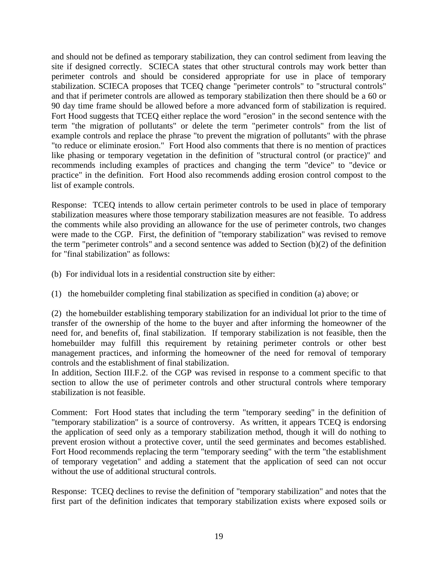and should not be defined as temporary stabilization, they can control sediment from leaving the site if designed correctly. SCIECA states that other structural controls may work better than perimeter controls and should be considered appropriate for use in place of temporary stabilization. SCIECA proposes that TCEQ change "perimeter controls" to "structural controls" and that if perimeter controls are allowed as temporary stabilization then there should be a 60 or 90 day time frame should be allowed before a more advanced form of stabilization is required. Fort Hood suggests that TCEQ either replace the word "erosion" in the second sentence with the term "the migration of pollutants" or delete the term "perimeter controls" from the list of example controls and replace the phrase "to prevent the migration of pollutants" with the phrase "to reduce or eliminate erosion." Fort Hood also comments that there is no mention of practices like phasing or temporary vegetation in the definition of "structural control (or practice)" and recommends including examples of practices and changing the term "device" to "device or practice" in the definition. Fort Hood also recommends adding erosion control compost to the list of example controls.

Response: TCEQ intends to allow certain perimeter controls to be used in place of temporary stabilization measures where those temporary stabilization measures are not feasible. To address the comments while also providing an allowance for the use of perimeter controls, two changes were made to the CGP. First, the definition of "temporary stabilization" was revised to remove the term "perimeter controls" and a second sentence was added to Section (b)(2) of the definition for "final stabilization" as follows:

- (b) For individual lots in a residential construction site by either:
- (1) the homebuilder completing final stabilization as specified in condition (a) above; or

(2) the homebuilder establishing temporary stabilization for an individual lot prior to the time of transfer of the ownership of the home to the buyer and after informing the homeowner of the need for, and benefits of, final stabilization. If temporary stabilization is not feasible, then the homebuilder may fulfill this requirement by retaining perimeter controls or other best management practices, and informing the homeowner of the need for removal of temporary controls and the establishment of final stabilization.

In addition, Section III.F.2. of the CGP was revised in response to a comment specific to that section to allow the use of perimeter controls and other structural controls where temporary stabilization is not feasible.

Comment: Fort Hood states that including the term "temporary seeding" in the definition of "temporary stabilization" is a source of controversy. As written, it appears TCEQ is endorsing the application of seed only as a temporary stabilization method, though it will do nothing to prevent erosion without a protective cover, until the seed germinates and becomes established. Fort Hood recommends replacing the term "temporary seeding" with the term "the establishment of temporary vegetation" and adding a statement that the application of seed can not occur without the use of additional structural controls.

Response: TCEQ declines to revise the definition of "temporary stabilization" and notes that the first part of the definition indicates that temporary stabilization exists where exposed soils or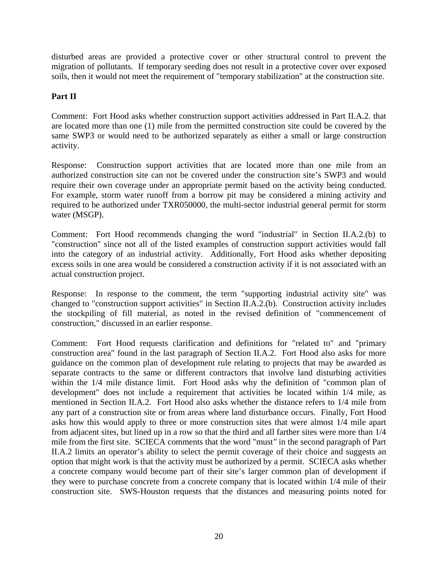disturbed areas are provided a protective cover or other structural control to prevent the migration of pollutants. If temporary seeding does not result in a protective cover over exposed soils, then it would not meet the requirement of "temporary stabilization" at the construction site.

# **Part II**

Comment: Fort Hood asks whether construction support activities addressed in Part II.A.2. that are located more than one (1) mile from the permitted construction site could be covered by the same SWP3 or would need to be authorized separately as either a small or large construction activity.

Response: Construction support activities that are located more than one mile from an authorized construction site can not be covered under the construction site's SWP3 and would require their own coverage under an appropriate permit based on the activity being conducted. For example, storm water runoff from a borrow pit may be considered a mining activity and required to be authorized under TXR050000, the multi-sector industrial general permit for storm water (MSGP).

Comment: Fort Hood recommends changing the word "industrial" in Section II.A.2.(b) to "construction" since not all of the listed examples of construction support activities would fall into the category of an industrial activity. Additionally, Fort Hood asks whether depositing excess soils in one area would be considered a construction activity if it is not associated with an actual construction project.

Response: In response to the comment, the term "supporting industrial activity site" was changed to "construction support activities" in Section II.A.2.(b). Construction activity includes the stockpiling of fill material, as noted in the revised definition of "commencement of construction," discussed in an earlier response.

Comment: Fort Hood requests clarification and definitions for "related to" and "primary construction area" found in the last paragraph of Section II.A.2. Fort Hood also asks for more guidance on the common plan of development rule relating to projects that may be awarded as separate contracts to the same or different contractors that involve land disturbing activities within the 1/4 mile distance limit. Fort Hood asks why the definition of "common plan of development" does not include a requirement that activities be located within 1/4 mile, as mentioned in Section II.A.2. Fort Hood also asks whether the distance refers to 1/4 mile from any part of a construction site or from areas where land disturbance occurs. Finally, Fort Hood asks how this would apply to three or more construction sites that were almost 1/4 mile apart from adjacent sites, but lined up in a row so that the third and all farther sites were more than 1/4 mile from the first site. SCIECA comments that the word "must*"* in the second paragraph of Part II.A.2 limits an operator's ability to select the permit coverage of their choice and suggests an option that might work is that the activity must be authorized by a permit. SCIECA asks whether a concrete company would become part of their site's larger common plan of development if they were to purchase concrete from a concrete company that is located within 1/4 mile of their construction site. SWS-Houston requests that the distances and measuring points noted for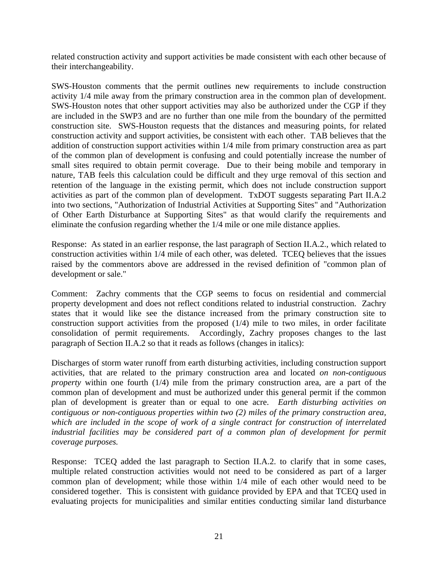related construction activity and support activities be made consistent with each other because of their interchangeability.

SWS-Houston comments that the permit outlines new requirements to include construction activity 1/4 mile away from the primary construction area in the common plan of development. SWS-Houston notes that other support activities may also be authorized under the CGP if they are included in the SWP3 and are no further than one mile from the boundary of the permitted construction site. SWS-Houston requests that the distances and measuring points, for related construction activity and support activities, be consistent with each other. TAB believes that the addition of construction support activities within 1/4 mile from primary construction area as part of the common plan of development is confusing and could potentially increase the number of small sites required to obtain permit coverage. Due to their being mobile and temporary in nature, TAB feels this calculation could be difficult and they urge removal of this section and retention of the language in the existing permit, which does not include construction support activities as part of the common plan of development. TxDOT suggests separating Part II.A.2 into two sections, "Authorization of Industrial Activities at Supporting Sites" and "Authorization of Other Earth Disturbance at Supporting Sites" as that would clarify the requirements and eliminate the confusion regarding whether the 1/4 mile or one mile distance applies.

Response: As stated in an earlier response, the last paragraph of Section II.A.2., which related to construction activities within 1/4 mile of each other, was deleted. TCEQ believes that the issues raised by the commentors above are addressed in the revised definition of "common plan of development or sale."

Comment: Zachry comments that the CGP seems to focus on residential and commercial property development and does not reflect conditions related to industrial construction. Zachry states that it would like see the distance increased from the primary construction site to construction support activities from the proposed  $(1/4)$  mile to two miles, in order facilitate consolidation of permit requirements. Accordingly, Zachry proposes changes to the last paragraph of Section II.A.2 so that it reads as follows (changes in italics):

Discharges of storm water runoff from earth disturbing activities, including construction support activities, that are related to the primary construction area and located *on non-contiguous property* within one fourth (1/4) mile from the primary construction area, are a part of the common plan of development and must be authorized under this general permit if the common plan of development is greater than or equal to one acre. *Earth disturbing activities on contiguous or non-contiguous properties within two (2) miles of the primary construction area, which are included in the scope of work of a single contract for construction of interrelated*  industrial facilities may be considered part of a common plan of development for permit *coverage purposes.*

Response: TCEQ added the last paragraph to Section II.A.2. to clarify that in some cases, multiple related construction activities would not need to be considered as part of a larger common plan of development; while those within 1/4 mile of each other would need to be considered together. This is consistent with guidance provided by EPA and that TCEQ used in evaluating projects for municipalities and similar entities conducting similar land disturbance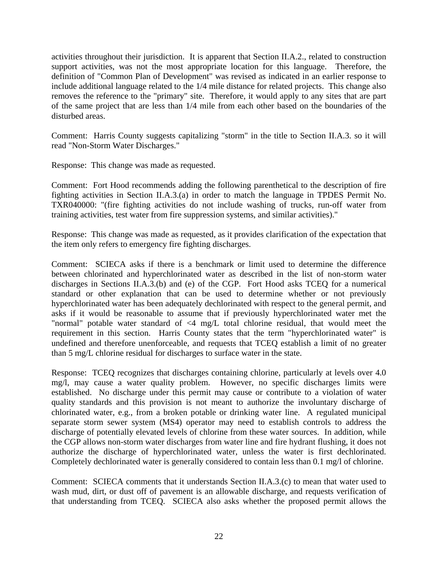activities throughout their jurisdiction. It is apparent that Section II.A.2., related to construction support activities, was not the most appropriate location for this language. Therefore, the definition of "Common Plan of Development" was revised as indicated in an earlier response to include additional language related to the 1/4 mile distance for related projects. This change also removes the reference to the "primary" site. Therefore, it would apply to any sites that are part of the same project that are less than 1/4 mile from each other based on the boundaries of the disturbed areas.

Comment: Harris County suggests capitalizing "storm" in the title to Section II.A.3. so it will read "Non-Storm Water Discharges."

Response: This change was made as requested.

Comment: Fort Hood recommends adding the following parenthetical to the description of fire fighting activities in Section II.A.3.(a) in order to match the language in TPDES Permit No. TXR040000: "(fire fighting activities do not include washing of trucks, run-off water from training activities, test water from fire suppression systems, and similar activities)."

Response: This change was made as requested, as it provides clarification of the expectation that the item only refers to emergency fire fighting discharges.

Comment: SCIECA asks if there is a benchmark or limit used to determine the difference between chlorinated and hyperchlorinated water as described in the list of non-storm water discharges in Sections II.A.3.(b) and (e) of the CGP. Fort Hood asks TCEQ for a numerical standard or other explanation that can be used to determine whether or not previously hyperchlorinated water has been adequately dechlorinated with respect to the general permit, and asks if it would be reasonable to assume that if previously hyperchlorinated water met the "normal" potable water standard of  $\langle 4 \rangle$  mg/L total chlorine residual, that would meet the requirement in this section. Harris County states that the term "hyperchlorinated water" is undefined and therefore unenforceable, and requests that TCEQ establish a limit of no greater than 5 mg/L chlorine residual for discharges to surface water in the state.

Response: TCEQ recognizes that discharges containing chlorine, particularly at levels over 4.0 mg/l, may cause a water quality problem. However, no specific discharges limits were established. No discharge under this permit may cause or contribute to a violation of water quality standards and this provision is not meant to authorize the involuntary discharge of chlorinated water, e.g., from a broken potable or drinking water line. A regulated municipal separate storm sewer system (MS4) operator may need to establish controls to address the discharge of potentially elevated levels of chlorine from these water sources. In addition, while the CGP allows non-storm water discharges from water line and fire hydrant flushing, it does not authorize the discharge of hyperchlorinated water, unless the water is first dechlorinated. Completely dechlorinated water is generally considered to contain less than 0.1 mg/l of chlorine.

Comment: SCIECA comments that it understands Section II.A.3.(c) to mean that water used to wash mud, dirt, or dust off of pavement is an allowable discharge, and requests verification of that understanding from TCEQ. SCIECA also asks whether the proposed permit allows the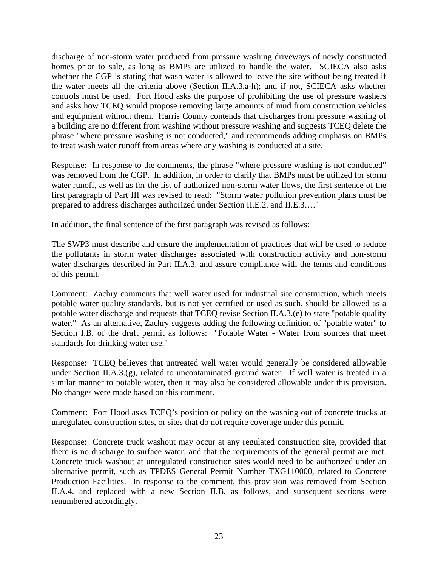discharge of non-storm water produced from pressure washing driveways of newly constructed homes prior to sale, as long as BMPs are utilized to handle the water. SCIECA also asks whether the CGP is stating that wash water is allowed to leave the site without being treated if the water meets all the criteria above (Section II.A.3.a-h); and if not, SCIECA asks whether controls must be used. Fort Hood asks the purpose of prohibiting the use of pressure washers and asks how TCEQ would propose removing large amounts of mud from construction vehicles and equipment without them. Harris County contends that discharges from pressure washing of a building are no different from washing without pressure washing and suggests TCEQ delete the phrase "where pressure washing is not conducted," and recommends adding emphasis on BMPs to treat wash water runoff from areas where any washing is conducted at a site.

Response: In response to the comments, the phrase "where pressure washing is not conducted" was removed from the CGP. In addition, in order to clarify that BMPs must be utilized for storm water runoff, as well as for the list of authorized non-storm water flows, the first sentence of the first paragraph of Part III was revised to read: "Storm water pollution prevention plans must be prepared to address discharges authorized under Section II.E.2. and II.E.3…."

In addition, the final sentence of the first paragraph was revised as follows:

The SWP3 must describe and ensure the implementation of practices that will be used to reduce the pollutants in storm water discharges associated with construction activity and non-storm water discharges described in Part II.A.3. and assure compliance with the terms and conditions of this permit.

Comment: Zachry comments that well water used for industrial site construction, which meets potable water quality standards, but is not yet certified or used as such, should be allowed as a potable water discharge and requests that TCEQ revise Section II.A.3.(e) to state "potable quality water." As an alternative, Zachry suggests adding the following definition of "potable water" to Section I.B. of the draft permit as follows: "Potable Water - Water from sources that meet standards for drinking water use."

Response: TCEQ believes that untreated well water would generally be considered allowable under Section II.A.3.(g), related to uncontaminated ground water. If well water is treated in a similar manner to potable water, then it may also be considered allowable under this provision. No changes were made based on this comment.

Comment: Fort Hood asks TCEQ's position or policy on the washing out of concrete trucks at unregulated construction sites, or sites that do not require coverage under this permit.

Response: Concrete truck washout may occur at any regulated construction site, provided that there is no discharge to surface water, and that the requirements of the general permit are met. Concrete truck washout at unregulated construction sites would need to be authorized under an alternative permit, such as TPDES General Permit Number TXG110000, related to Concrete Production Facilities. In response to the comment, this provision was removed from Section II.A.4. and replaced with a new Section II.B. as follows, and subsequent sections were renumbered accordingly.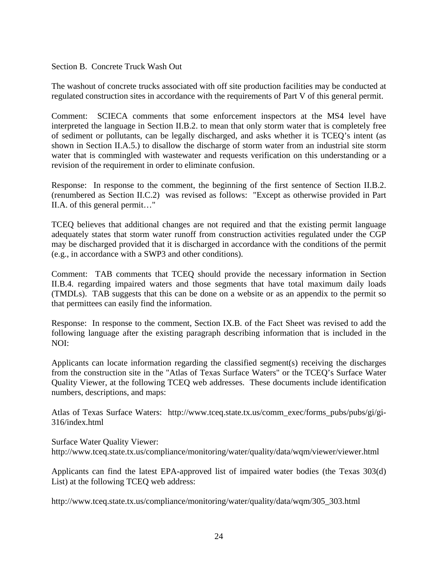## Section B. Concrete Truck Wash Out

The washout of concrete trucks associated with off site production facilities may be conducted at regulated construction sites in accordance with the requirements of Part V of this general permit.

Comment: SCIECA comments that some enforcement inspectors at the MS4 level have interpreted the language in Section II.B.2. to mean that only storm water that is completely free of sediment or pollutants, can be legally discharged, and asks whether it is TCEQ's intent (as shown in Section II.A.5.) to disallow the discharge of storm water from an industrial site storm water that is commingled with wastewater and requests verification on this understanding or a revision of the requirement in order to eliminate confusion.

Response: In response to the comment, the beginning of the first sentence of Section II.B.2. (renumbered as Section II.C.2) was revised as follows: "Except as otherwise provided in Part II.A. of this general permit…"

TCEQ believes that additional changes are not required and that the existing permit language adequately states that storm water runoff from construction activities regulated under the CGP may be discharged provided that it is discharged in accordance with the conditions of the permit (e.g., in accordance with a SWP3 and other conditions).

Comment: TAB comments that TCEQ should provide the necessary information in Section II.B.4. regarding impaired waters and those segments that have total maximum daily loads (TMDLs). TAB suggests that this can be done on a website or as an appendix to the permit so that permittees can easily find the information.

Response: In response to the comment, Section IX.B. of the Fact Sheet was revised to add the following language after the existing paragraph describing information that is included in the NOI:

Applicants can locate information regarding the classified segment(s) receiving the discharges from the construction site in the "Atlas of Texas Surface Waters" or the TCEQ's Surface Water Quality Viewer, at the following TCEQ web addresses. These documents include identification numbers, descriptions, and maps:

Atlas of Texas Surface Waters: [http://www.tceq.state.tx.us/comm\\_exec/forms\\_pubs/pubs/gi/gi-](http://www.tceq.state.tx.us/comm_exec/forms_pubs/pubs/gi/gi-316/index.html)[316/index.html](http://www.tceq.state.tx.us/comm_exec/forms_pubs/pubs/gi/gi-316/index.html)

Surface Water Quality Viewer: <http://www.tceq.state.tx.us/compliance/monitoring/water/quality/data/wqm/viewer/viewer.html>

Applicants can find the latest EPA-approved list of impaired water bodies (the Texas 303(d) List) at the following TCEQ web address:

http://www.tceq.state.tx.us/compliance/monitoring/water/quality/data/wqm/305\_303.html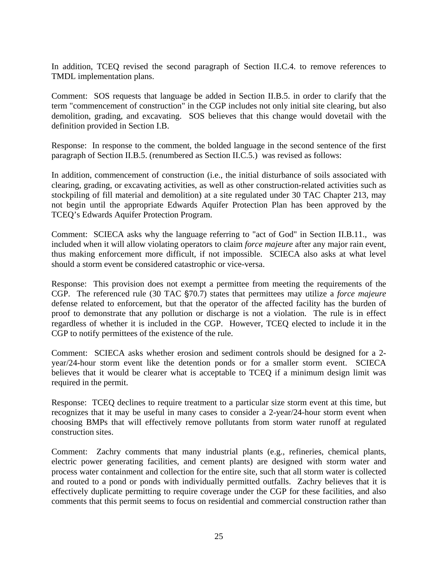In addition, TCEQ revised the second paragraph of Section II.C.4. to remove references to TMDL implementation plans.

Comment: SOS requests that language be added in Section II.B.5. in order to clarify that the term "commencement of construction" in the CGP includes not only initial site clearing, but also demolition, grading, and excavating. SOS believes that this change would dovetail with the definition provided in Section I.B.

Response: In response to the comment, the bolded language in the second sentence of the first paragraph of Section II.B.5. (renumbered as Section II.C.5.) was revised as follows:

In addition, commencement of construction (i.e., the initial disturbance of soils associated with clearing, grading, or excavating activities, as well as other construction-related activities such as stockpiling of fill material and demolition) at a site regulated under 30 TAC Chapter 213, may not begin until the appropriate Edwards Aquifer Protection Plan has been approved by the TCEQ's Edwards Aquifer Protection Program.

Comment: SCIECA asks why the language referring to "act of God" in Section II.B.11., was included when it will allow violating operators to claim *force majeure* after any major rain event, thus making enforcement more difficult, if not impossible. SCIECA also asks at what level should a storm event be considered catastrophic or vice-versa.

Response: This provision does not exempt a permittee from meeting the requirements of the CGP. The referenced rule (30 TAC  $\S70.7$ ) states that permittees may utilize a *force majeure* defense related to enforcement, but that the operator of the affected facility has the burden of proof to demonstrate that any pollution or discharge is not a violation. The rule is in effect regardless of whether it is included in the CGP. However, TCEQ elected to include it in the CGP to notify permittees of the existence of the rule.

Comment: SCIECA asks whether erosion and sediment controls should be designed for a 2 year/24-hour storm event like the detention ponds or for a smaller storm event. SCIECA believes that it would be clearer what is acceptable to TCEQ if a minimum design limit was required in the permit.

Response: TCEQ declines to require treatment to a particular size storm event at this time, but recognizes that it may be useful in many cases to consider a 2-year/24-hour storm event when choosing BMPs that will effectively remove pollutants from storm water runoff at regulated construction sites.

Comment: Zachry comments that many industrial plants (e.g., refineries, chemical plants, electric power generating facilities, and cement plants) are designed with storm water and process water containment and collection for the entire site, such that all storm water is collected and routed to a pond or ponds with individually permitted outfalls. Zachry believes that it is effectively duplicate permitting to require coverage under the CGP for these facilities, and also comments that this permit seems to focus on residential and commercial construction rather than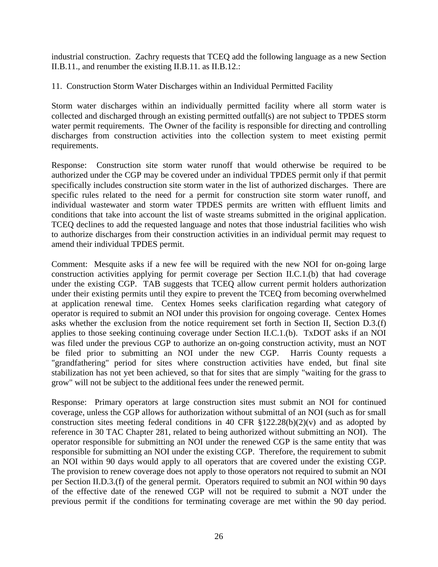industrial construction. Zachry requests that TCEQ add the following language as a new Section II.B.11., and renumber the existing II.B.11. as II.B.12.:

11. Construction Storm Water Discharges within an Individual Permitted Facility

Storm water discharges within an individually permitted facility where all storm water is collected and discharged through an existing permitted outfall(s) are not subject to TPDES storm water permit requirements. The Owner of the facility is responsible for directing and controlling discharges from construction activities into the collection system to meet existing permit requirements.

Response: Construction site storm water runoff that would otherwise be required to be authorized under the CGP may be covered under an individual TPDES permit only if that permit specifically includes construction site storm water in the list of authorized discharges. There are specific rules related to the need for a permit for construction site storm water runoff, and individual wastewater and storm water TPDES permits are written with effluent limits and conditions that take into account the list of waste streams submitted in the original application. TCEQ declines to add the requested language and notes that those industrial facilities who wish to authorize discharges from their construction activities in an individual permit may request to amend their individual TPDES permit.

Comment: Mesquite asks if a new fee will be required with the new NOI for on-going large construction activities applying for permit coverage per Section II.C.1.(b) that had coverage under the existing CGP. TAB suggests that TCEQ allow current permit holders authorization under their existing permits until they expire to prevent the TCEQ from becoming overwhelmed at application renewal time. Centex Homes seeks clarification regarding what category of operator is required to submit an NOI under this provision for ongoing coverage. Centex Homes asks whether the exclusion from the notice requirement set forth in Section II, Section D.3.(f) applies to those seeking continuing coverage under Section II.C.1.(b). TxDOT asks if an NOI was filed under the previous CGP to authorize an on-going construction activity, must an NOT be filed prior to submitting an NOI under the new CGP. Harris County requests a "grandfathering" period for sites where construction activities have ended, but final site stabilization has not yet been achieved, so that for sites that are simply "waiting for the grass to grow" will not be subject to the additional fees under the renewed permit.

Response: Primary operators at large construction sites must submit an NOI for continued coverage, unless the CGP allows for authorization without submittal of an NOI (such as for small construction sites meeting federal conditions in 40 CFR  $$122.28(b)(2)(v)$  and as adopted by reference in 30 TAC Chapter 281, related to being authorized without submitting an NOI). The operator responsible for submitting an NOI under the renewed CGP is the same entity that was responsible for submitting an NOI under the existing CGP. Therefore, the requirement to submit an NOI within 90 days would apply to all operators that are covered under the existing CGP. The provision to renew coverage does not apply to those operators not required to submit an NOI per Section II.D.3.(f) of the general permit. Operators required to submit an NOI within 90 days of the effective date of the renewed CGP will not be required to submit a NOT under the previous permit if the conditions for terminating coverage are met within the 90 day period.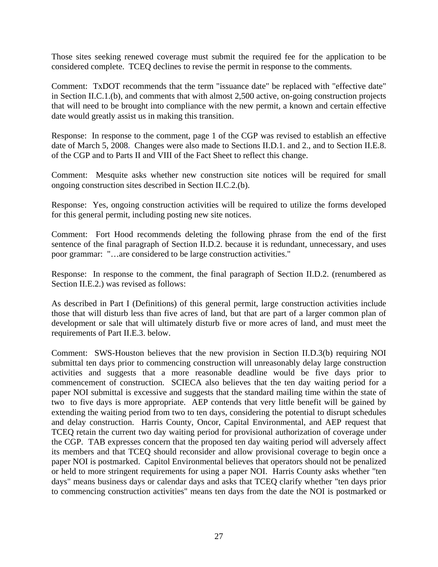Those sites seeking renewed coverage must submit the required fee for the application to be considered complete. TCEQ declines to revise the permit in response to the comments.

Comment: TxDOT recommends that the term "issuance date" be replaced with "effective date" in Section II.C.1.(b), and comments that with almost 2,500 active, on-going construction projects that will need to be brought into compliance with the new permit, a known and certain effective date would greatly assist us in making this transition.

Response: In response to the comment, page 1 of the CGP was revised to establish an effective date of March 5, 2008. Changes were also made to Sections II.D.1. and 2., and to Section II.E.8. of the CGP and to Parts II and VIII of the Fact Sheet to reflect this change.

Comment: Mesquite asks whether new construction site notices will be required for small ongoing construction sites described in Section II.C.2.(b).

Response: Yes, ongoing construction activities will be required to utilize the forms developed for this general permit, including posting new site notices.

Comment: Fort Hood recommends deleting the following phrase from the end of the first sentence of the final paragraph of Section II.D.2. because it is redundant, unnecessary, and uses poor grammar: "…are considered to be large construction activities."

Response: In response to the comment, the final paragraph of Section II.D.2. (renumbered as Section II.E.2.) was revised as follows:

As described in Part I (Definitions) of this general permit, large construction activities include those that will disturb less than five acres of land, but that are part of a larger common plan of development or sale that will ultimately disturb five or more acres of land, and must meet the requirements of Part II.E.3. below.

Comment: SWS-Houston believes that the new provision in Section II.D.3(b) requiring NOI submittal ten days prior to commencing construction will unreasonably delay large construction activities and suggests that a more reasonable deadline would be five days prior to commencement of construction. SCIECA also believes that the ten day waiting period for a paper NOI submittal is excessive and suggests that the standard mailing time within the state of two to five days is more appropriate. AEP contends that very little benefit will be gained by extending the waiting period from two to ten days, considering the potential to disrupt schedules and delay construction. Harris County, Oncor, Capital Environmental, and AEP request that TCEQ retain the current two day waiting period for provisional authorization of coverage under the CGP. TAB expresses concern that the proposed ten day waiting period will adversely affect its members and that TCEQ should reconsider and allow provisional coverage to begin once a paper NOI is postmarked. Capitol Environmental believes that operators should not be penalized or held to more stringent requirements for using a paper NOI. Harris County asks whether "ten days" means business days or calendar days and asks that TCEQ clarify whether "ten days prior to commencing construction activities" means ten days from the date the NOI is postmarked or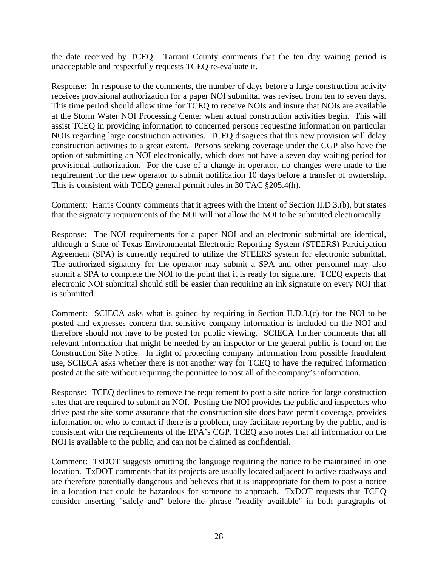the date received by TCEQ. Tarrant County comments that the ten day waiting period is unacceptable and respectfully requests TCEQ re-evaluate it.

Response: In response to the comments, the number of days before a large construction activity receives provisional authorization for a paper NOI submittal was revised from ten to seven days. This time period should allow time for TCEQ to receive NOIs and insure that NOIs are available at the Storm Water NOI Processing Center when actual construction activities begin. This will assist TCEQ in providing information to concerned persons requesting information on particular NOIs regarding large construction activities. TCEQ disagrees that this new provision will delay construction activities to a great extent. Persons seeking coverage under the CGP also have the option of submitting an NOI electronically, which does not have a seven day waiting period for provisional authorization. For the case of a change in operator, no changes were made to the requirement for the new operator to submit notification 10 days before a transfer of ownership. This is consistent with TCEQ general permit rules in 30 TAC §205.4(h).

Comment: Harris County comments that it agrees with the intent of Section II.D.3.(b), but states that the signatory requirements of the NOI will not allow the NOI to be submitted electronically.

Response: The NOI requirements for a paper NOI and an electronic submittal are identical, although a State of Texas Environmental Electronic Reporting System (STEERS) Participation Agreement (SPA) is currently required to utilize the STEERS system for electronic submittal. The authorized signatory for the operator may submit a SPA and other personnel may also submit a SPA to complete the NOI to the point that it is ready for signature. TCEQ expects that electronic NOI submittal should still be easier than requiring an ink signature on every NOI that is submitted.

Comment: SCIECA asks what is gained by requiring in Section II.D.3.(c) for the NOI to be posted and expresses concern that sensitive company information is included on the NOI and therefore should not have to be posted for public viewing. SCIECA further comments that all relevant information that might be needed by an inspector or the general public is found on the Construction Site Notice. In light of protecting company information from possible fraudulent use, SCIECA asks whether there is not another way for TCEQ to have the required information posted at the site without requiring the permittee to post all of the company's information.

Response: TCEQ declines to remove the requirement to post a site notice for large construction sites that are required to submit an NOI. Posting the NOI provides the public and inspectors who drive past the site some assurance that the construction site does have permit coverage, provides information on who to contact if there is a problem, may facilitate reporting by the public, and is consistent with the requirements of the EPA's CGP. TCEQ also notes that all information on the NOI is available to the public, and can not be claimed as confidential.

Comment: TxDOT suggests omitting the language requiring the notice to be maintained in one location. TxDOT comments that its projects are usually located adjacent to active roadways and are therefore potentially dangerous and believes that it is inappropriate for them to post a notice in a location that could be hazardous for someone to approach. TxDOT requests that TCEQ consider inserting "safely and" before the phrase "readily available" in both paragraphs of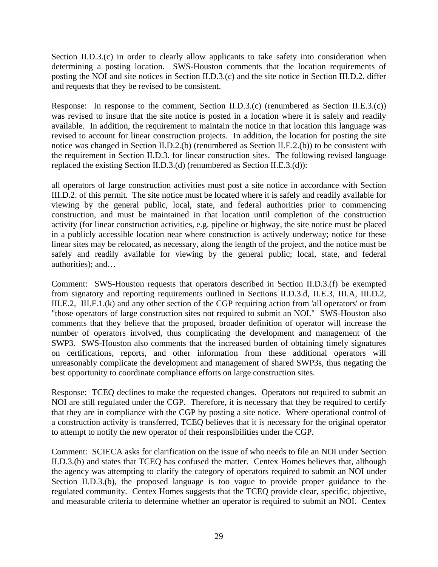Section II.D.3.(c) in order to clearly allow applicants to take safety into consideration when determining a posting location. SWS-Houston comments that the location requirements of posting the NOI and site notices in Section II.D.3.(c) and the site notice in Section III.D.2. differ and requests that they be revised to be consistent.

Response: In response to the comment, Section II.D.3.(c) (renumbered as Section II.E.3.(c)) was revised to insure that the site notice is posted in a location where it is safely and readily available. In addition, the requirement to maintain the notice in that location this language was revised to account for linear construction projects. In addition, the location for posting the site notice was changed in Section II.D.2.(b) (renumbered as Section II.E.2.(b)) to be consistent with the requirement in Section II.D.3. for linear construction sites. The following revised language replaced the existing Section II.D.3.(d) (renumbered as Section II.E.3.(d)):

all operators of large construction activities must post a site notice in accordance with Section III.D.2. of this permit. The site notice must be located where it is safely and readily available for viewing by the general public, local, state, and federal authorities prior to commencing construction, and must be maintained in that location until completion of the construction activity (for linear construction activities, e.g. pipeline or highway, the site notice must be placed in a publicly accessible location near where construction is actively underway; notice for these linear sites may be relocated, as necessary, along the length of the project, and the notice must be safely and readily available for viewing by the general public; local, state, and federal authorities); and…

Comment: SWS-Houston requests that operators described in Section II.D.3.(f) be exempted from signatory and reporting requirements outlined in Sections II.D.3.d, II.E.3, III.A, III.D.2, III.E.2, III.F.1.(k) and any other section of the CGP requiring action from 'all operators' or from "those operators of large construction sites not required to submit an NOI." SWS-Houston also comments that they believe that the proposed, broader definition of operator will increase the number of operators involved, thus complicating the development and management of the SWP3. SWS-Houston also comments that the increased burden of obtaining timely signatures on certifications, reports, and other information from these additional operators will unreasonably complicate the development and management of shared SWP3s, thus negating the best opportunity to coordinate compliance efforts on large construction sites.

Response: TCEQ declines to make the requested changes. Operators not required to submit an NOI are still regulated under the CGP. Therefore, it is necessary that they be required to certify that they are in compliance with the CGP by posting a site notice. Where operational control of a construction activity is transferred, TCEQ believes that it is necessary for the original operator to attempt to notify the new operator of their responsibilities under the CGP.

Comment: SCIECA asks for clarification on the issue of who needs to file an NOI under Section II.D.3.(b) and states that TCEQ has confused the matter. Centex Homes believes that, although the agency was attempting to clarify the category of operators required to submit an NOI under Section II.D.3.(b), the proposed language is too vague to provide proper guidance to the regulated community. Centex Homes suggests that the TCEQ provide clear, specific, objective, and measurable criteria to determine whether an operator is required to submit an NOI. Centex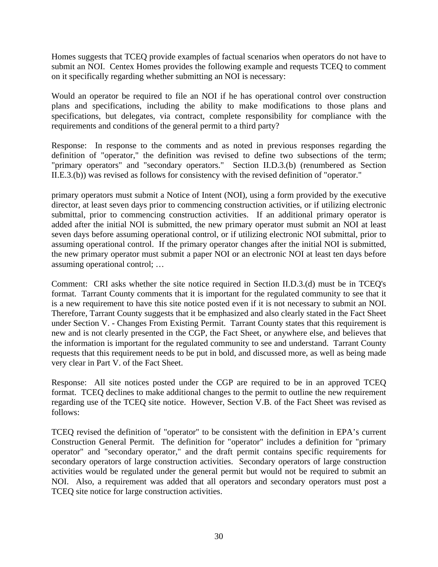Homes suggests that TCEQ provide examples of factual scenarios when operators do not have to submit an NOI. Centex Homes provides the following example and requests TCEQ to comment on it specifically regarding whether submitting an NOI is necessary:

Would an operator be required to file an NOI if he has operational control over construction plans and specifications, including the ability to make modifications to those plans and specifications, but delegates, via contract, complete responsibility for compliance with the requirements and conditions of the general permit to a third party?

Response: In response to the comments and as noted in previous responses regarding the definition of "operator," the definition was revised to define two subsections of the term; "primary operators" and "secondary operators." Section II.D.3.(b) (renumbered as Section II.E.3.(b)) was revised as follows for consistency with the revised definition of "operator."

primary operators must submit a Notice of Intent (NOI), using a form provided by the executive director, at least seven days prior to commencing construction activities, or if utilizing electronic submittal, prior to commencing construction activities. If an additional primary operator is added after the initial NOI is submitted, the new primary operator must submit an NOI at least seven days before assuming operational control, or if utilizing electronic NOI submittal, prior to assuming operational control. If the primary operator changes after the initial NOI is submitted, the new primary operator must submit a paper NOI or an electronic NOI at least ten days before assuming operational control; …

Comment: CRI asks whether the site notice required in Section II.D.3.(d) must be in TCEQ's format. Tarrant County comments that it is important for the regulated community to see that it is a new requirement to have this site notice posted even if it is not necessary to submit an NOI. Therefore, Tarrant County suggests that it be emphasized and also clearly stated in the Fact Sheet under Section V. - Changes From Existing Permit. Tarrant County states that this requirement is new and is not clearly presented in the CGP, the Fact Sheet, or anywhere else, and believes that the information is important for the regulated community to see and understand. Tarrant County requests that this requirement needs to be put in bold, and discussed more, as well as being made very clear in Part V. of the Fact Sheet.

Response: All site notices posted under the CGP are required to be in an approved TCEQ format. TCEQ declines to make additional changes to the permit to outline the new requirement regarding use of the TCEQ site notice. However, Section V.B. of the Fact Sheet was revised as follows:

TCEQ revised the definition of "operator" to be consistent with the definition in EPA's current Construction General Permit. The definition for "operator" includes a definition for "primary operator" and "secondary operator," and the draft permit contains specific requirements for secondary operators of large construction activities. Secondary operators of large construction activities would be regulated under the general permit but would not be required to submit an NOI. Also, a requirement was added that all operators and secondary operators must post a TCEQ site notice for large construction activities.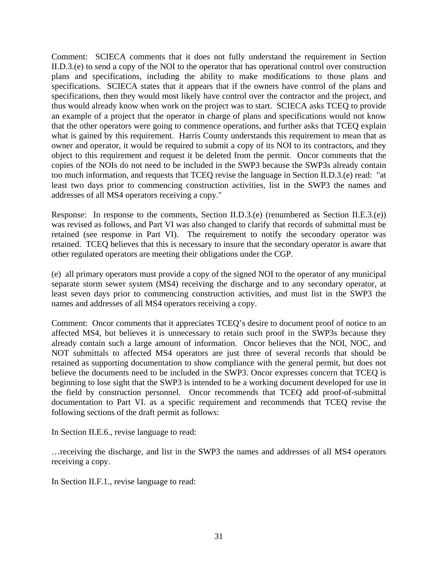Comment: SCIECA comments that it does not fully understand the requirement in Section II.D.3.(e) to send a copy of the NOI to the operator that has operational control over construction plans and specifications, including the ability to make modifications to those plans and specifications. SCIECA states that it appears that if the owners have control of the plans and specifications, then they would most likely have control over the contractor and the project, and thus would already know when work on the project was to start. SCIECA asks TCEQ to provide an example of a project that the operator in charge of plans and specifications would not know that the other operators were going to commence operations, and further asks that TCEQ explain what is gained by this requirement. Harris County understands this requirement to mean that as owner and operator, it would be required to submit a copy of its NOI to its contractors, and they object to this requirement and request it be deleted from the permit. Oncor comments that the copies of the NOIs do not need to be included in the SWP3 because the SWP3s already contain too much information, and requests that TCEQ revise the language in Section II.D.3.(e) read: "at least two days prior to commencing construction activities, list in the SWP3 the names and addresses of all MS4 operators receiving a copy."

Response: In response to the comments, Section II.D.3.(e) (renumbered as Section II.E.3.(e)) was revised as follows, and Part VI was also changed to clarify that records of submittal must be retained (see response in Part VI). The requirement to notify the secondary operator was retained. TCEQ believes that this is necessary to insure that the secondary operator is aware that other regulated operators are meeting their obligations under the CGP.

(e) all primary operators must provide a copy of the signed NOI to the operator of any municipal separate storm sewer system (MS4) receiving the discharge and to any secondary operator, at least seven days prior to commencing construction activities, and must list in the SWP3 the names and addresses of all MS4 operators receiving a copy.

Comment: Oncor comments that it appreciates TCEQ's desire to document proof of notice to an affected MS4, but believes it is unnecessary to retain such proof in the SWP3s because they already contain such a large amount of information. Oncor believes that the NOI, NOC, and NOT submittals to affected MS4 operators are just three of several records that should be retained as supporting documentation to show compliance with the general permit, but does not believe the documents need to be included in the SWP3. Oncor expresses concern that TCEQ is beginning to lose sight that the SWP3 is intended to be a working document developed for use in the field by construction personnel. Oncor recommends that TCEQ add proof-of-submittal documentation to Part VI. as a specific requirement and recommends that TCEQ revise the following sections of the draft permit as follows:

In Section II.E.6., revise language to read:

…receiving the discharge, and list in the SWP3 the names and addresses of all MS4 operators receiving a copy.

In Section II.F.1., revise language to read: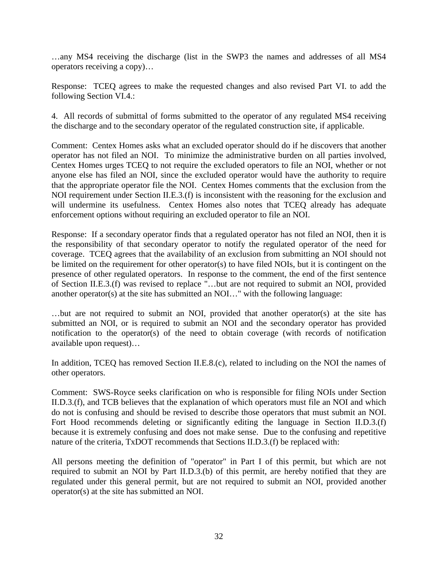…any MS4 receiving the discharge (list in the SWP3 the names and addresses of all MS4 operators receiving a copy)…

Response: TCEQ agrees to make the requested changes and also revised Part VI. to add the following Section VI.4.:

4. All records of submittal of forms submitted to the operator of any regulated MS4 receiving the discharge and to the secondary operator of the regulated construction site, if applicable.

Comment: Centex Homes asks what an excluded operator should do if he discovers that another operator has not filed an NOI. To minimize the administrative burden on all parties involved, Centex Homes urges TCEQ to not require the excluded operators to file an NOI, whether or not anyone else has filed an NOI, since the excluded operator would have the authority to require that the appropriate operator file the NOI. Centex Homes comments that the exclusion from the NOI requirement under Section II.E.3.(f) is inconsistent with the reasoning for the exclusion and will undermine its usefulness. Centex Homes also notes that TCEQ already has adequate enforcement options without requiring an excluded operator to file an NOI.

Response: If a secondary operator finds that a regulated operator has not filed an NOI, then it is the responsibility of that secondary operator to notify the regulated operator of the need for coverage. TCEQ agrees that the availability of an exclusion from submitting an NOI should not be limited on the requirement for other operator(s) to have filed NOIs, but it is contingent on the presence of other regulated operators. In response to the comment, the end of the first sentence of Section II.E.3.(f) was revised to replace "…but are not required to submit an NOI, provided another operator(s) at the site has submitted an NOI…" with the following language:

…but are not required to submit an NOI, provided that another operator(s) at the site has submitted an NOI, or is required to submit an NOI and the secondary operator has provided notification to the operator(s) of the need to obtain coverage (with records of notification available upon request)…

In addition, TCEQ has removed Section II.E.8.(c), related to including on the NOI the names of other operators.

Comment: SWS-Royce seeks clarification on who is responsible for filing NOIs under Section II.D.3.(f), and TCB believes that the explanation of which operators must file an NOI and which do not is confusing and should be revised to describe those operators that must submit an NOI. Fort Hood recommends deleting or significantly editing the language in Section II.D.3.(f) because it is extremely confusing and does not make sense. Due to the confusing and repetitive nature of the criteria, TxDOT recommends that Sections II.D.3.(f) be replaced with:

All persons meeting the definition of "operator" in Part I of this permit, but which are not required to submit an NOI by Part II.D.3.(b) of this permit, are hereby notified that they are regulated under this general permit, but are not required to submit an NOI, provided another operator(s) at the site has submitted an NOI.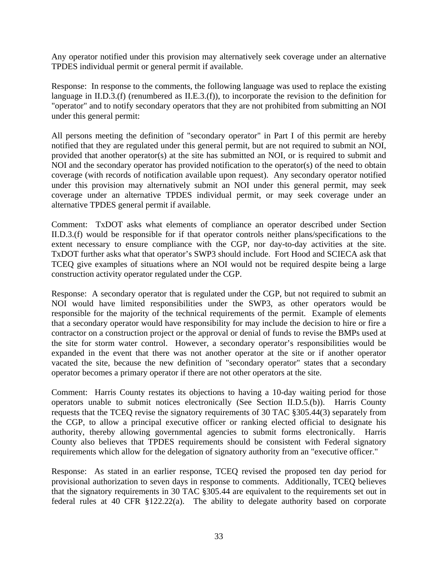Any operator notified under this provision may alternatively seek coverage under an alternative TPDES individual permit or general permit if available.

Response: In response to the comments, the following language was used to replace the existing language in II.D.3.(f) (renumbered as II.E.3.(f)), to incorporate the revision to the definition for "operator" and to notify secondary operators that they are not prohibited from submitting an NOI under this general permit:

All persons meeting the definition of "secondary operator" in Part I of this permit are hereby notified that they are regulated under this general permit, but are not required to submit an NOI, provided that another operator(s) at the site has submitted an NOI, or is required to submit and NOI and the secondary operator has provided notification to the operator(s) of the need to obtain coverage (with records of notification available upon request). Any secondary operator notified under this provision may alternatively submit an NOI under this general permit, may seek coverage under an alternative TPDES individual permit, or may seek coverage under an alternative TPDES general permit if available.

Comment: TxDOT asks what elements of compliance an operator described under Section II.D.3.(f) would be responsible for if that operator controls neither plans/specifications to the extent necessary to ensure compliance with the CGP, nor day-to-day activities at the site. TxDOT further asks what that operator's SWP3 should include. Fort Hood and SCIECA ask that TCEQ give examples of situations where an NOI would not be required despite being a large construction activity operator regulated under the CGP.

Response: A secondary operator that is regulated under the CGP, but not required to submit an NOI would have limited responsibilities under the SWP3, as other operators would be responsible for the majority of the technical requirements of the permit. Example of elements that a secondary operator would have responsibility for may include the decision to hire or fire a contractor on a construction project or the approval or denial of funds to revise the BMPs used at the site for storm water control. However, a secondary operator's responsibilities would be expanded in the event that there was not another operator at the site or if another operator vacated the site, because the new definition of "secondary operator" states that a secondary operator becomes a primary operator if there are not other operators at the site.

Comment: Harris County restates its objections to having a 10-day waiting period for those operators unable to submit notices electronically (See Section II.D.5.(b)). Harris County requests that the TCEQ revise the signatory requirements of 30 TAC §305.44(3) separately from the CGP, to allow a principal executive officer or ranking elected official to designate his authority, thereby allowing governmental agencies to submit forms electronically. Harris County also believes that TPDES requirements should be consistent with Federal signatory requirements which allow for the delegation of signatory authority from an "executive officer."

Response: As stated in an earlier response, TCEQ revised the proposed ten day period for provisional authorization to seven days in response to comments. Additionally, TCEQ believes that the signatory requirements in 30 TAC §305.44 are equivalent to the requirements set out in federal rules at 40 CFR §122.22(a). The ability to delegate authority based on corporate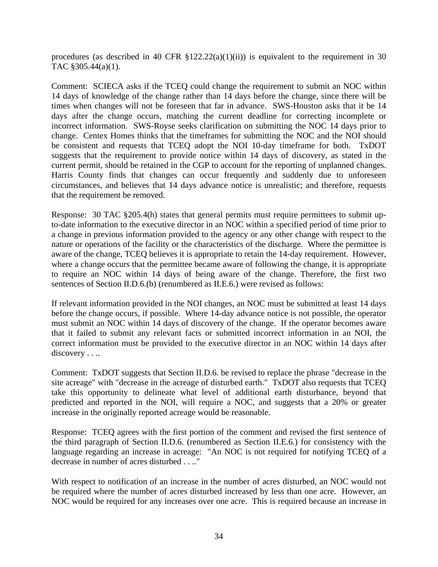procedures (as described in 40 CFR  $\S 122.22(a)(1)(ii)$ ) is equivalent to the requirement in 30 TAC §305.44(a)(1).

Comment: SCIECA asks if the TCEQ could change the requirement to submit an NOC within 14 days of knowledge of the change rather than 14 days before the change, since there will be times when changes will not be foreseen that far in advance. SWS-Houston asks that it be 14 days after the change occurs, matching the current deadline for correcting incomplete or incorrect information. SWS-Royse seeks clarification on submitting the NOC 14 days prior to change. Centex Homes thinks that the timeframes for submitting the NOC and the NOI should be consistent and requests that TCEQ adopt the NOI 10-day timeframe for both. TxDOT suggests that the requirement to provide notice within 14 days of discovery, as stated in the current permit, should be retained in the CGP to account for the reporting of unplanned changes. Harris County finds that changes can occur frequently and suddenly due to unforeseen circumstances, and believes that 14 days advance notice is unrealistic; and therefore, requests that the requirement be removed.

Response: 30 TAC §205.4(h) states that general permits must require permittees to submit upto-date information to the executive director in an NOC within a specified period of time prior to a change in previous information provided to the agency or any other change with respect to the nature or operations of the facility or the characteristics of the discharge. Where the permittee is aware of the change, TCEQ believes it is appropriate to retain the 14-day requirement. However, where a change occurs that the permittee became aware of following the change, it is appropriate to require an NOC within 14 days of being aware of the change. Therefore, the first two sentences of Section II.D.6.(b) (renumbered as II.E.6.) were revised as follows:

If relevant information provided in the NOI changes, an NOC must be submitted at least 14 days before the change occurs, if possible. Where 14-day advance notice is not possible, the operator must submit an NOC within 14 days of discovery of the change. If the operator becomes aware that it failed to submit any relevant facts or submitted incorrect information in an NOI, the correct information must be provided to the executive director in an NOC within 14 days after discovery . . ..

Comment: TxDOT suggests that Section II.D.6. be revised to replace the phrase "decrease in the site acreage" with "decrease in the acreage of disturbed earth." TxDOT also requests that TCEQ take this opportunity to delineate what level of additional earth disturbance, beyond that predicted and reported in the NOI, will require a NOC, and suggests that a 20% or greater increase in the originally reported acreage would be reasonable.

Response: TCEQ agrees with the first portion of the comment and revised the first sentence of the third paragraph of Section II.D.6. (renumbered as Section II.E.6.) for consistency with the language regarding an increase in acreage: "An NOC is not required for notifying TCEQ of a decrease in number of acres disturbed . . .."

With respect to notification of an increase in the number of acres disturbed, an NOC would not be required where the number of acres disturbed increased by less than one acre. However, an NOC would be required for any increases over one acre. This is required because an increase in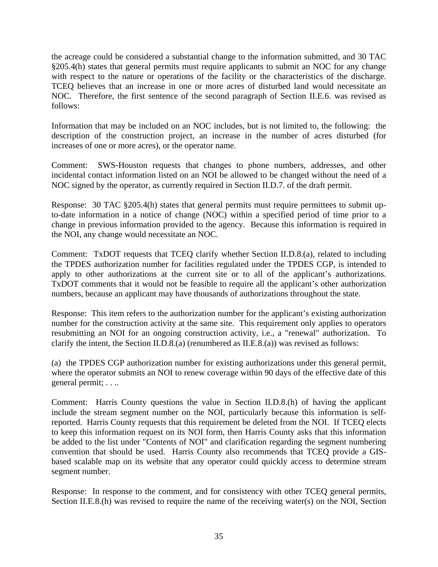the acreage could be considered a substantial change to the information submitted, and 30 TAC §205.4(h) states that general permits must require applicants to submit an NOC for any change with respect to the nature or operations of the facility or the characteristics of the discharge. TCEQ believes that an increase in one or more acres of disturbed land would necessitate an NOC. Therefore, the first sentence of the second paragraph of Section II.E.6. was revised as follows:

Information that may be included on an NOC includes, but is not limited to, the following: the description of the construction project, an increase in the number of acres disturbed (for increases of one or more acres), or the operator name.

Comment: SWS-Houston requests that changes to phone numbers, addresses, and other incidental contact information listed on an NOI be allowed to be changed without the need of a NOC signed by the operator, as currently required in Section II.D.7. of the draft permit.

Response: 30 TAC §205.4(h) states that general permits must require permittees to submit upto-date information in a notice of change (NOC) within a specified period of time prior to a change in previous information provided to the agency. Because this information is required in the NOI, any change would necessitate an NOC.

Comment: TxDOT requests that TCEQ clarify whether Section II.D.8.(a), related to including the TPDES authorization number for facilities regulated under the TPDES CGP, is intended to apply to other authorizations at the current site or to all of the applicant's authorizations. TxDOT comments that it would not be feasible to require all the applicant's other authorization numbers, because an applicant may have thousands of authorizations throughout the state.

Response: This item refers to the authorization number for the applicant's existing authorization number for the construction activity at the same site. This requirement only applies to operators resubmitting an NOI for an ongoing construction activity, i.e., a "renewal" authorization. To clarify the intent, the Section II.D.8.(a) (renumbered as II.E.8.(a)) was revised as follows:

(a) the TPDES CGP authorization number for existing authorizations under this general permit, where the operator submits an NOI to renew coverage within 90 days of the effective date of this general permit; . . ..

Comment: Harris County questions the value in Section II.D.8.(h) of having the applicant include the stream segment number on the NOI, particularly because this information is selfreported. Harris County requests that this requirement be deleted from the NOI. If TCEQ elects to keep this information request on its NOI form, then Harris County asks that this information be added to the list under "Contents of NOI" and clarification regarding the segment numbering convention that should be used. Harris County also recommends that TCEQ provide a GISbased scalable map on its website that any operator could quickly access to determine stream segment number.

Response: In response to the comment, and for consistency with other TCEQ general permits, Section II.E.8.(h) was revised to require the name of the receiving water(s) on the NOI, Section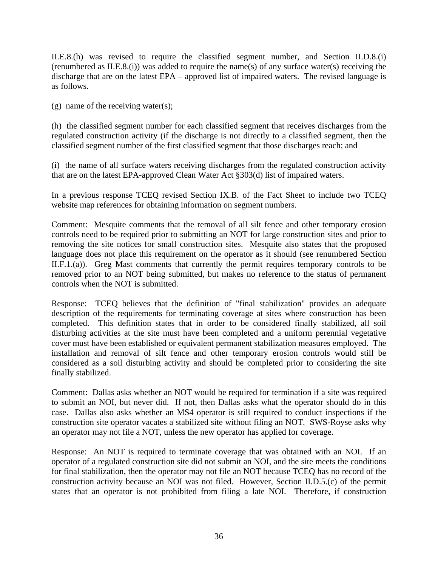II.E.8.(h) was revised to require the classified segment number, and Section II.D.8.(i) (renumbered as II.E.8.(i)) was added to require the name(s) of any surface water(s) receiving the discharge that are on the latest EPA – approved list of impaired waters. The revised language is as follows.

(g) name of the receiving water(s);

(h) the classified segment number for each classified segment that receives discharges from the regulated construction activity (if the discharge is not directly to a classified segment, then the classified segment number of the first classified segment that those discharges reach; and

(i) the name of all surface waters receiving discharges from the regulated construction activity that are on the latest EPA-approved Clean Water Act §303(d) list of impaired waters.

In a previous response TCEQ revised Section IX.B. of the Fact Sheet to include two TCEQ website map references for obtaining information on segment numbers.

Comment: Mesquite comments that the removal of all silt fence and other temporary erosion controls need to be required prior to submitting an NOT for large construction sites and prior to removing the site notices for small construction sites. Mesquite also states that the proposed language does not place this requirement on the operator as it should (see renumbered Section II.F.1.(a)). Greg Mast comments that currently the permit requires temporary controls to be removed prior to an NOT being submitted, but makes no reference to the status of permanent controls when the NOT is submitted.

Response: TCEQ believes that the definition of "final stabilization" provides an adequate description of the requirements for terminating coverage at sites where construction has been completed. This definition states that in order to be considered finally stabilized, all soil disturbing activities at the site must have been completed and a uniform perennial vegetative cover must have been established or equivalent permanent stabilization measures employed. The installation and removal of silt fence and other temporary erosion controls would still be considered as a soil disturbing activity and should be completed prior to considering the site finally stabilized.

Comment: Dallas asks whether an NOT would be required for termination if a site was required to submit an NOI, but never did. If not, then Dallas asks what the operator should do in this case. Dallas also asks whether an MS4 operator is still required to conduct inspections if the construction site operator vacates a stabilized site without filing an NOT. SWS-Royse asks why an operator may not file a NOT, unless the new operator has applied for coverage.

Response: An NOT is required to terminate coverage that was obtained with an NOI. If an operator of a regulated construction site did not submit an NOI, and the site meets the conditions for final stabilization, then the operator may not file an NOT because TCEQ has no record of the construction activity because an NOI was not filed. However, Section II.D.5.(c) of the permit states that an operator is not prohibited from filing a late NOI. Therefore, if construction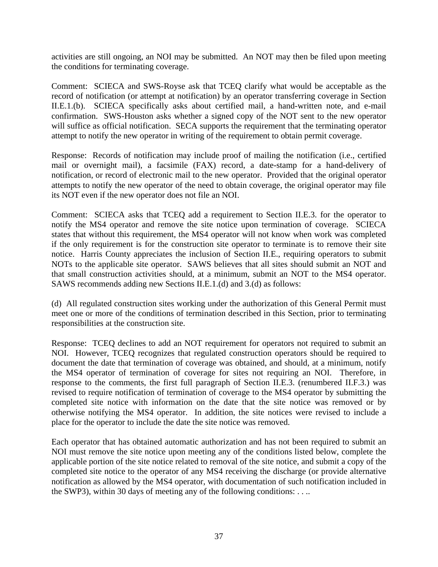activities are still ongoing, an NOI may be submitted. An NOT may then be filed upon meeting the conditions for terminating coverage.

Comment: SCIECA and SWS-Royse ask that TCEQ clarify what would be acceptable as the record of notification (or attempt at notification) by an operator transferring coverage in Section II.E.1.(b). SCIECA specifically asks about certified mail, a hand-written note, and e-mail confirmation. SWS-Houston asks whether a signed copy of the NOT sent to the new operator will suffice as official notification. SECA supports the requirement that the terminating operator attempt to notify the new operator in writing of the requirement to obtain permit coverage.

Response: Records of notification may include proof of mailing the notification (i.e., certified mail or overnight mail), a facsimile (FAX) record, a date-stamp for a hand-delivery of notification, or record of electronic mail to the new operator. Provided that the original operator attempts to notify the new operator of the need to obtain coverage, the original operator may file its NOT even if the new operator does not file an NOI.

Comment: SCIECA asks that TCEQ add a requirement to Section II.E.3. for the operator to notify the MS4 operator and remove the site notice upon termination of coverage. SCIECA states that without this requirement, the MS4 operator will not know when work was completed if the only requirement is for the construction site operator to terminate is to remove their site notice. Harris County appreciates the inclusion of Section II.E., requiring operators to submit NOTs to the applicable site operator. SAWS believes that all sites should submit an NOT and that small construction activities should, at a minimum, submit an NOT to the MS4 operator. SAWS recommends adding new Sections II.E.1.(d) and 3.(d) as follows:

(d) All regulated construction sites working under the authorization of this General Permit must meet one or more of the conditions of termination described in this Section, prior to terminating responsibilities at the construction site.

Response: TCEQ declines to add an NOT requirement for operators not required to submit an NOI. However, TCEQ recognizes that regulated construction operators should be required to document the date that termination of coverage was obtained, and should, at a minimum, notify the MS4 operator of termination of coverage for sites not requiring an NOI. Therefore, in response to the comments, the first full paragraph of Section II.E.3. (renumbered II.F.3.) was revised to require notification of termination of coverage to the MS4 operator by submitting the completed site notice with information on the date that the site notice was removed or by otherwise notifying the MS4 operator. In addition, the site notices were revised to include a place for the operator to include the date the site notice was removed.

Each operator that has obtained automatic authorization and has not been required to submit an NOI must remove the site notice upon meeting any of the conditions listed below, complete the applicable portion of the site notice related to removal of the site notice, and submit a copy of the completed site notice to the operator of any MS4 receiving the discharge (or provide alternative notification as allowed by the MS4 operator, with documentation of such notification included in the SWP3), within 30 days of meeting any of the following conditions: . . ..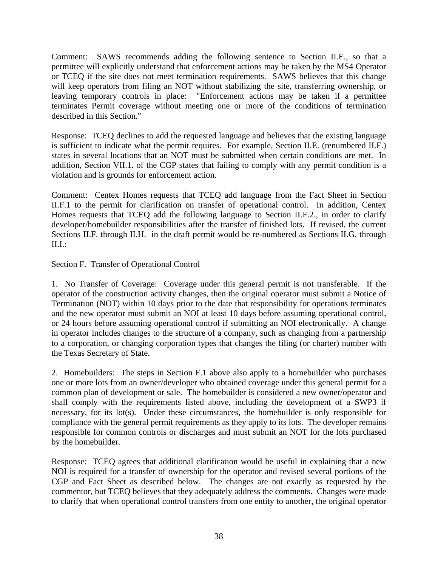Comment: SAWS recommends adding the following sentence to Section II.E., so that a permittee will explicitly understand that enforcement actions may be taken by the MS4 Operator or TCEQ if the site does not meet termination requirements. SAWS believes that this change will keep operators from filing an NOT without stabilizing the site, transferring ownership, or leaving temporary controls in place: "Enforcement actions may be taken if a permittee terminates Permit coverage without meeting one or more of the conditions of termination described in this Section."

Response: TCEQ declines to add the requested language and believes that the existing language is sufficient to indicate what the permit requires. For example, Section II.E. (renumbered II.F.) states in several locations that an NOT must be submitted when certain conditions are met. In addition, Section VII.1. of the CGP states that failing to comply with any permit condition is a violation and is grounds for enforcement action.

Comment: Centex Homes requests that TCEQ add language from the Fact Sheet in Section II.F.1 to the permit for clarification on transfer of operational control. In addition, Centex Homes requests that TCEQ add the following language to Section II.F.2., in order to clarify developer/homebuilder responsibilities after the transfer of finished lots. If revised, the current Sections II.F. through II.H. in the draft permit would be re-numbered as Sections II.G. through II.I.:

Section F. Transfer of Operational Control

1. No Transfer of Coverage: Coverage under this general permit is not transferable. If the operator of the construction activity changes, then the original operator must submit a Notice of Termination (NOT) within 10 days prior to the date that responsibility for operations terminates and the new operator must submit an NOI at least 10 days before assuming operational control, or 24 hours before assuming operational control if submitting an NOI electronically. A change in operator includes changes to the structure of a company, such as changing from a partnership to a corporation, or changing corporation types that changes the filing (or charter) number with the Texas Secretary of State.

2. Homebuilders: The steps in Section F.1 above also apply to a homebuilder who purchases one or more lots from an owner/developer who obtained coverage under this general permit for a common plan of development or sale. The homebuilder is considered a new owner/operator and shall comply with the requirements listed above, including the development of a SWP3 if necessary, for its lot(s). Under these circumstances, the homebuilder is only responsible for compliance with the general permit requirements as they apply to its lots. The developer remains responsible for common controls or discharges and must submit an NOT for the lots purchased by the homebuilder.

Response: TCEQ agrees that additional clarification would be useful in explaining that a new NOI is required for a transfer of ownership for the operator and revised several portions of the CGP and Fact Sheet as described below. The changes are not exactly as requested by the commentor, but TCEQ believes that they adequately address the comments. Changes were made to clarify that when operational control transfers from one entity to another, the original operator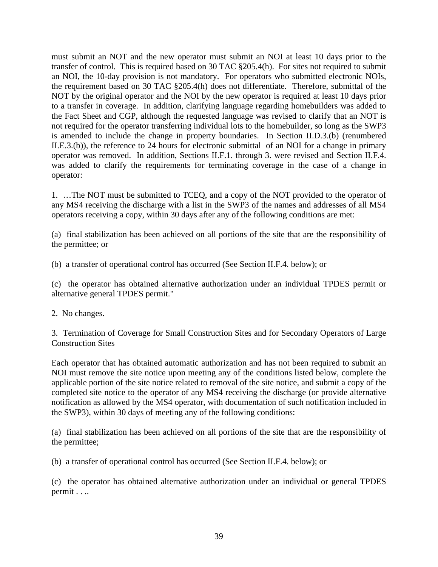must submit an NOT and the new operator must submit an NOI at least 10 days prior to the transfer of control. This is required based on 30 TAC §205.4(h). For sites not required to submit an NOI, the 10-day provision is not mandatory. For operators who submitted electronic NOIs, the requirement based on 30 TAC §205.4(h) does not differentiate. Therefore, submittal of the NOT by the original operator and the NOI by the new operator is required at least 10 days prior to a transfer in coverage. In addition, clarifying language regarding homebuilders was added to the Fact Sheet and CGP, although the requested language was revised to clarify that an NOT is not required for the operator transferring individual lots to the homebuilder, so long as the SWP3 is amended to include the change in property boundaries. In Section II.D.3.(b) (renumbered II.E.3.(b)), the reference to 24 hours for electronic submittal of an NOI for a change in primary operator was removed. In addition, Sections II.F.1. through 3. were revised and Section II.F.4. was added to clarify the requirements for terminating coverage in the case of a change in operator:

1. …The NOT must be submitted to TCEQ, and a copy of the NOT provided to the operator of any MS4 receiving the discharge with a list in the SWP3 of the names and addresses of all MS4 operators receiving a copy, within 30 days after any of the following conditions are met:

(a) final stabilization has been achieved on all portions of the site that are the responsibility of the permittee; or

(b) a transfer of operational control has occurred (See Section II.F.4. below); or

(c) the operator has obtained alternative authorization under an individual TPDES permit or alternative general TPDES permit."

2. No changes.

3. Termination of Coverage for Small Construction Sites and for Secondary Operators of Large Construction Sites

Each operator that has obtained automatic authorization and has not been required to submit an NOI must remove the site notice upon meeting any of the conditions listed below, complete the applicable portion of the site notice related to removal of the site notice, and submit a copy of the completed site notice to the operator of any MS4 receiving the discharge (or provide alternative notification as allowed by the MS4 operator, with documentation of such notification included in the SWP3), within 30 days of meeting any of the following conditions:

(a) final stabilization has been achieved on all portions of the site that are the responsibility of the permittee;

(b) a transfer of operational control has occurred (See Section II.F.4. below); or

(c) the operator has obtained alternative authorization under an individual or general TPDES permit . . ..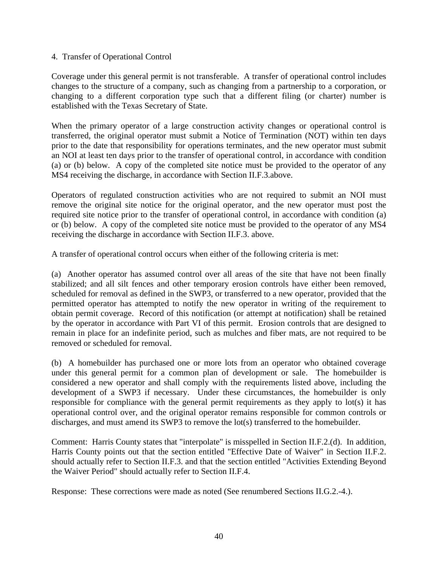### 4. Transfer of Operational Control

Coverage under this general permit is not transferable. A transfer of operational control includes changes to the structure of a company, such as changing from a partnership to a corporation, or changing to a different corporation type such that a different filing (or charter) number is established with the Texas Secretary of State.

When the primary operator of a large construction activity changes or operational control is transferred, the original operator must submit a Notice of Termination (NOT) within ten days prior to the date that responsibility for operations terminates, and the new operator must submit an NOI at least ten days prior to the transfer of operational control, in accordance with condition (a) or (b) below. A copy of the completed site notice must be provided to the operator of any MS4 receiving the discharge, in accordance with Section II.F.3.above.

Operators of regulated construction activities who are not required to submit an NOI must remove the original site notice for the original operator, and the new operator must post the required site notice prior to the transfer of operational control, in accordance with condition (a) or (b) below. A copy of the completed site notice must be provided to the operator of any MS4 receiving the discharge in accordance with Section II.F.3. above.

A transfer of operational control occurs when either of the following criteria is met:

(a) Another operator has assumed control over all areas of the site that have not been finally stabilized; and all silt fences and other temporary erosion controls have either been removed, scheduled for removal as defined in the SWP3, or transferred to a new operator, provided that the permitted operator has attempted to notify the new operator in writing of the requirement to obtain permit coverage. Record of this notification (or attempt at notification) shall be retained by the operator in accordance with Part VI of this permit. Erosion controls that are designed to remain in place for an indefinite period, such as mulches and fiber mats, are not required to be removed or scheduled for removal.

(b) A homebuilder has purchased one or more lots from an operator who obtained coverage under this general permit for a common plan of development or sale. The homebuilder is considered a new operator and shall comply with the requirements listed above, including the development of a SWP3 if necessary. Under these circumstances, the homebuilder is only responsible for compliance with the general permit requirements as they apply to lot(s) it has operational control over, and the original operator remains responsible for common controls or discharges, and must amend its SWP3 to remove the lot(s) transferred to the homebuilder.

Comment: Harris County states that "interpolate" is misspelled in Section II.F.2.(d). In addition, Harris County points out that the section entitled "Effective Date of Waiver" in Section II.F.2. should actually refer to Section II.F.3. and that the section entitled "Activities Extending Beyond the Waiver Period" should actually refer to Section II.F.4.

Response: These corrections were made as noted (See renumbered Sections II.G.2.-4.).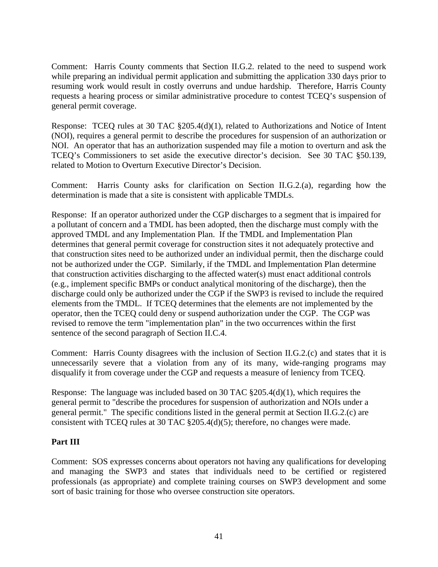Comment: Harris County comments that Section II.G.2. related to the need to suspend work while preparing an individual permit application and submitting the application 330 days prior to resuming work would result in costly overruns and undue hardship. Therefore, Harris County requests a hearing process or similar administrative procedure to contest TCEQ's suspension of general permit coverage.

Response: TCEQ rules at 30 TAC §205.4(d)(1), related to Authorizations and Notice of Intent (NOI), requires a general permit to describe the procedures for suspension of an authorization or NOI. An operator that has an authorization suspended may file a motion to overturn and ask the TCEQ's Commissioners to set aside the executive director's decision. See 30 TAC §50.139, related to Motion to Overturn Executive Director's Decision.

Comment: Harris County asks for clarification on Section II.G.2.(a), regarding how the determination is made that a site is consistent with applicable TMDLs.

Response: If an operator authorized under the CGP discharges to a segment that is impaired for a pollutant of concern and a TMDL has been adopted, then the discharge must comply with the approved TMDL and any Implementation Plan. If the TMDL and Implementation Plan determines that general permit coverage for construction sites it not adequately protective and that construction sites need to be authorized under an individual permit, then the discharge could not be authorized under the CGP. Similarly, if the TMDL and Implementation Plan determine that construction activities discharging to the affected water(s) must enact additional controls (e.g., implement specific BMPs or conduct analytical monitoring of the discharge), then the discharge could only be authorized under the CGP if the SWP3 is revised to include the required elements from the TMDL. If TCEQ determines that the elements are not implemented by the operator, then the TCEQ could deny or suspend authorization under the CGP. The CGP was revised to remove the term "implementation plan" in the two occurrences within the first sentence of the second paragraph of Section II.C.4.

Comment: Harris County disagrees with the inclusion of Section II.G.2.(c) and states that it is unnecessarily severe that a violation from any of its many, wide-ranging programs may disqualify it from coverage under the CGP and requests a measure of leniency from TCEQ.

Response: The language was included based on 30 TAC §205.4(d)(1), which requires the general permit to "describe the procedures for suspension of authorization and NOIs under a general permit." The specific conditions listed in the general permit at Section II.G.2.(c) are consistent with TCEQ rules at 30 TAC §205.4(d)(5); therefore, no changes were made.

## **Part III**

Comment: SOS expresses concerns about operators not having any qualifications for developing and managing the SWP3 and states that individuals need to be certified or registered professionals (as appropriate) and complete training courses on SWP3 development and some sort of basic training for those who oversee construction site operators.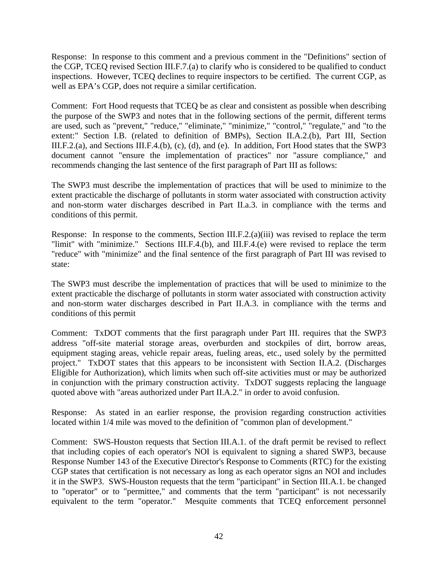Response: In response to this comment and a previous comment in the "Definitions" section of the CGP, TCEQ revised Section III.F.7.(a) to clarify who is considered to be qualified to conduct inspections. However, TCEQ declines to require inspectors to be certified. The current CGP, as well as EPA's CGP, does not require a similar certification.

Comment: Fort Hood requests that TCEQ be as clear and consistent as possible when describing the purpose of the SWP3 and notes that in the following sections of the permit, different terms are used, such as "prevent," "reduce," "eliminate," "minimize," "control," "regulate," and "to the extent:" Section I.B. (related to definition of BMPs), Section II.A.2.(b), Part III, Section III.F.2.(a), and Sections III.F.4.(b), (c), (d), and (e). In addition, Fort Hood states that the SWP3 document cannot "ensure the implementation of practices" nor "assure compliance," and recommends changing the last sentence of the first paragraph of Part III as follows:

The SWP3 must describe the implementation of practices that will be used to minimize to the extent practicable the discharge of pollutants in storm water associated with construction activity and non-storm water discharges described in Part II.a.3. in compliance with the terms and conditions of this permit.

Response: In response to the comments, Section III.F.2.(a)(iii) was revised to replace the term "limit" with "minimize." Sections III.F.4.(b), and III.F.4.(e) were revised to replace the term "reduce" with "minimize" and the final sentence of the first paragraph of Part III was revised to state:

The SWP3 must describe the implementation of practices that will be used to minimize to the extent practicable the discharge of pollutants in storm water associated with construction activity and non-storm water discharges described in Part II.A.3. in compliance with the terms and conditions of this permit

Comment: TxDOT comments that the first paragraph under Part III. requires that the SWP3 address "off-site material storage areas, overburden and stockpiles of dirt, borrow areas, equipment staging areas, vehicle repair areas, fueling areas, etc., used solely by the permitted project." TxDOT states that this appears to be inconsistent with Section II.A.2. (Discharges Eligible for Authorization), which limits when such off-site activities must or may be authorized in conjunction with the primary construction activity. TxDOT suggests replacing the language quoted above with "areas authorized under Part II.A.2." in order to avoid confusion.

Response: As stated in an earlier response, the provision regarding construction activities located within 1/4 mile was moved to the definition of "common plan of development."

Comment: SWS-Houston requests that Section III.A.1. of the draft permit be revised to reflect that including copies of each operator's NOI is equivalent to signing a shared SWP3, because Response Number 143 of the Executive Director's Response to Comments (RTC) for the existing CGP states that certification is not necessary as long as each operator signs an NOI and includes it in the SWP3. SWS-Houston requests that the term "participant" in Section III.A.1. be changed to "operator" or to "permittee," and comments that the term "participant" is not necessarily equivalent to the term "operator." Mesquite comments that TCEQ enforcement personnel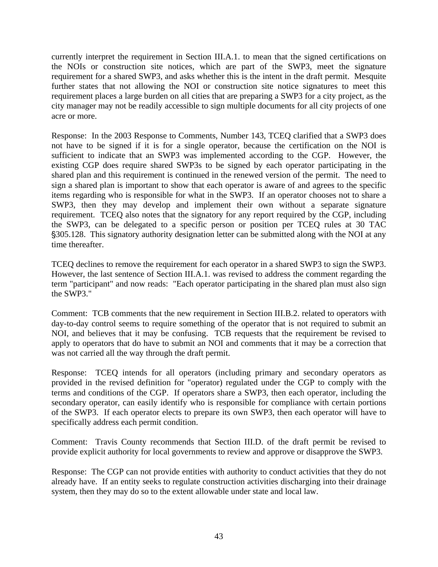currently interpret the requirement in Section III.A.1. to mean that the signed certifications on the NOIs or construction site notices, which are part of the SWP3, meet the signature requirement for a shared SWP3, and asks whether this is the intent in the draft permit. Mesquite further states that not allowing the NOI or construction site notice signatures to meet this requirement places a large burden on all cities that are preparing a SWP3 for a city project, as the city manager may not be readily accessible to sign multiple documents for all city projects of one acre or more.

Response: In the 2003 Response to Comments, Number 143, TCEQ clarified that a SWP3 does not have to be signed if it is for a single operator, because the certification on the NOI is sufficient to indicate that an SWP3 was implemented according to the CGP. However, the existing CGP does require shared SWP3s to be signed by each operator participating in the shared plan and this requirement is continued in the renewed version of the permit. The need to sign a shared plan is important to show that each operator is aware of and agrees to the specific items regarding who is responsible for what in the SWP3. If an operator chooses not to share a SWP3, then they may develop and implement their own without a separate signature requirement. TCEQ also notes that the signatory for any report required by the CGP, including the SWP3, can be delegated to a specific person or position per TCEQ rules at 30 TAC '305.128. This signatory authority designation letter can be submitted along with the NOI at any time thereafter.

TCEQ declines to remove the requirement for each operator in a shared SWP3 to sign the SWP3. However, the last sentence of Section III.A.1. was revised to address the comment regarding the term "participant" and now reads: "Each operator participating in the shared plan must also sign the SWP3."

Comment: TCB comments that the new requirement in Section III.B.2. related to operators with day-to-day control seems to require something of the operator that is not required to submit an NOI, and believes that it may be confusing. TCB requests that the requirement be revised to apply to operators that do have to submit an NOI and comments that it may be a correction that was not carried all the way through the draft permit.

Response: TCEQ intends for all operators (including primary and secondary operators as provided in the revised definition for "operator) regulated under the CGP to comply with the terms and conditions of the CGP. If operators share a SWP3, then each operator, including the secondary operator, can easily identify who is responsible for compliance with certain portions of the SWP3. If each operator elects to prepare its own SWP3, then each operator will have to specifically address each permit condition.

Comment: Travis County recommends that Section III.D. of the draft permit be revised to provide explicit authority for local governments to review and approve or disapprove the SWP3.

Response: The CGP can not provide entities with authority to conduct activities that they do not already have. If an entity seeks to regulate construction activities discharging into their drainage system, then they may do so to the extent allowable under state and local law.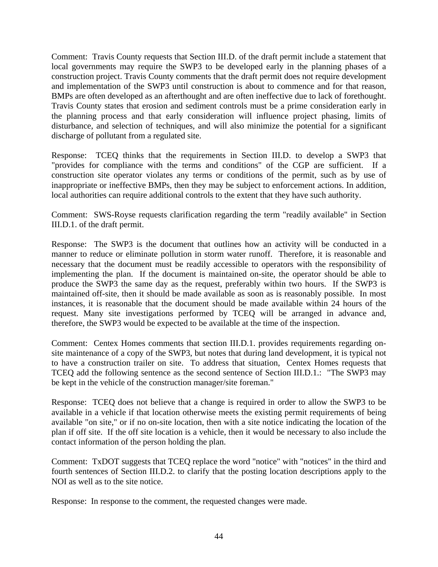Comment: Travis County requests that Section III.D. of the draft permit include a statement that local governments may require the SWP3 to be developed early in the planning phases of a construction project. Travis County comments that the draft permit does not require development and implementation of the SWP3 until construction is about to commence and for that reason, BMPs are often developed as an afterthought and are often ineffective due to lack of forethought. Travis County states that erosion and sediment controls must be a prime consideration early in the planning process and that early consideration will influence project phasing, limits of disturbance, and selection of techniques, and will also minimize the potential for a significant discharge of pollutant from a regulated site.

Response: TCEQ thinks that the requirements in Section III.D. to develop a SWP3 that "provides for compliance with the terms and conditions" of the CGP are sufficient. If a construction site operator violates any terms or conditions of the permit, such as by use of inappropriate or ineffective BMPs, then they may be subject to enforcement actions. In addition, local authorities can require additional controls to the extent that they have such authority.

Comment: SWS-Royse requests clarification regarding the term "readily available" in Section III.D.1. of the draft permit.

Response: The SWP3 is the document that outlines how an activity will be conducted in a manner to reduce or eliminate pollution in storm water runoff. Therefore, it is reasonable and necessary that the document must be readily accessible to operators with the responsibility of implementing the plan. If the document is maintained on-site, the operator should be able to produce the SWP3 the same day as the request, preferably within two hours. If the SWP3 is maintained off-site, then it should be made available as soon as is reasonably possible. In most instances, it is reasonable that the document should be made available within 24 hours of the request. Many site investigations performed by TCEQ will be arranged in advance and, therefore, the SWP3 would be expected to be available at the time of the inspection.

Comment: Centex Homes comments that section III.D.1. provides requirements regarding onsite maintenance of a copy of the SWP3, but notes that during land development, it is typical not to have a construction trailer on site. To address that situation, Centex Homes requests that TCEQ add the following sentence as the second sentence of Section III.D.1.: "The SWP3 may be kept in the vehicle of the construction manager/site foreman."

Response: TCEQ does not believe that a change is required in order to allow the SWP3 to be available in a vehicle if that location otherwise meets the existing permit requirements of being available "on site," or if no on-site location, then with a site notice indicating the location of the plan if off site. If the off site location is a vehicle, then it would be necessary to also include the contact information of the person holding the plan.

Comment: TxDOT suggests that TCEQ replace the word "notice" with "notices" in the third and fourth sentences of Section III.D.2. to clarify that the posting location descriptions apply to the NOI as well as to the site notice.

Response: In response to the comment, the requested changes were made.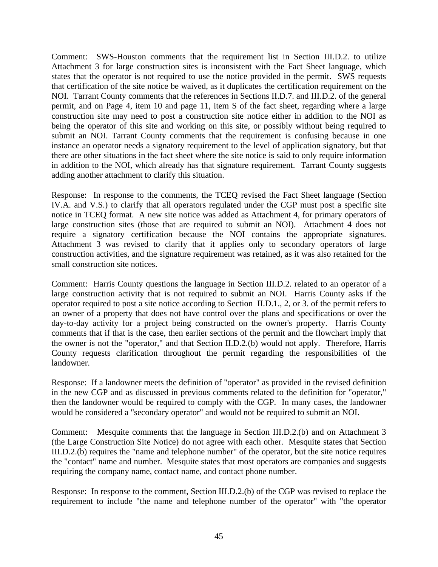Comment: SWS-Houston comments that the requirement list in Section III.D.2. to utilize Attachment 3 for large construction sites is inconsistent with the Fact Sheet language, which states that the operator is not required to use the notice provided in the permit. SWS requests that certification of the site notice be waived, as it duplicates the certification requirement on the NOI. Tarrant County comments that the references in Sections II.D.7. and III.D.2. of the general permit, and on Page 4, item 10 and page 11, item S of the fact sheet, regarding where a large construction site may need to post a construction site notice either in addition to the NOI as being the operator of this site and working on this site, or possibly without being required to submit an NOI. Tarrant County comments that the requirement is confusing because in one instance an operator needs a signatory requirement to the level of application signatory, but that there are other situations in the fact sheet where the site notice is said to only require information in addition to the NOI, which already has that signature requirement. Tarrant County suggests adding another attachment to clarify this situation.

Response: In response to the comments, the TCEQ revised the Fact Sheet language (Section IV.A. and V.S.) to clarify that all operators regulated under the CGP must post a specific site notice in TCEQ format. A new site notice was added as Attachment 4, for primary operators of large construction sites (those that are required to submit an NOI). Attachment 4 does not require a signatory certification because the NOI contains the appropriate signatures. Attachment 3 was revised to clarify that it applies only to secondary operators of large construction activities, and the signature requirement was retained, as it was also retained for the small construction site notices.

Comment: Harris County questions the language in Section III.D.2. related to an operator of a large construction activity that is not required to submit an NOI. Harris County asks if the operator required to post a site notice according to Section II.D.1., 2, or 3. of the permit refers to an owner of a property that does not have control over the plans and specifications or over the day-to-day activity for a project being constructed on the owner's property. Harris County comments that if that is the case, then earlier sections of the permit and the flowchart imply that the owner is not the "operator," and that Section II.D.2.(b) would not apply. Therefore, Harris County requests clarification throughout the permit regarding the responsibilities of the landowner.

Response: If a landowner meets the definition of "operator" as provided in the revised definition in the new CGP and as discussed in previous comments related to the definition for "operator," then the landowner would be required to comply with the CGP. In many cases, the landowner would be considered a "secondary operator" and would not be required to submit an NOI.

Comment: Mesquite comments that the language in Section III.D.2.(b) and on Attachment 3 (the Large Construction Site Notice) do not agree with each other. Mesquite states that Section III.D.2.(b) requires the "name and telephone number" of the operator, but the site notice requires the "contact" name and number. Mesquite states that most operators are companies and suggests requiring the company name, contact name, and contact phone number.

Response: In response to the comment, Section III.D.2.(b) of the CGP was revised to replace the requirement to include "the name and telephone number of the operator" with "the operator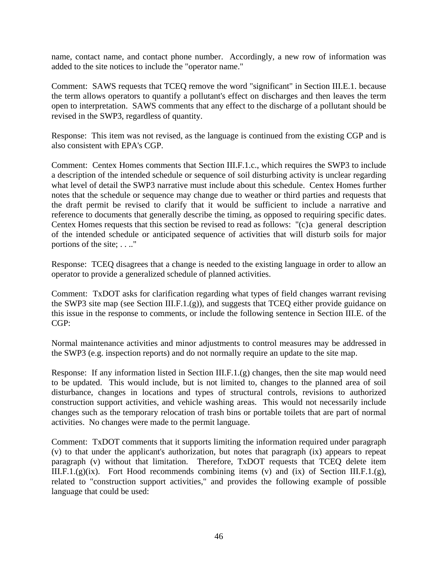name, contact name, and contact phone number. Accordingly, a new row of information was added to the site notices to include the "operator name."

Comment: SAWS requests that TCEQ remove the word "significant" in Section III.E.1. because the term allows operators to quantify a pollutant's effect on discharges and then leaves the term open to interpretation. SAWS comments that any effect to the discharge of a pollutant should be revised in the SWP3, regardless of quantity.

Response: This item was not revised, as the language is continued from the existing CGP and is also consistent with EPA's CGP.

Comment: Centex Homes comments that Section III.F.1.c., which requires the SWP3 to include a description of the intended schedule or sequence of soil disturbing activity is unclear regarding what level of detail the SWP3 narrative must include about this schedule. Centex Homes further notes that the schedule or sequence may change due to weather or third parties and requests that the draft permit be revised to clarify that it would be sufficient to include a narrative and reference to documents that generally describe the timing, as opposed to requiring specific dates. Centex Homes requests that this section be revised to read as follows: "(c)a general description of the intended schedule or anticipated sequence of activities that will disturb soils for major portions of the site; . . .."

Response: TCEQ disagrees that a change is needed to the existing language in order to allow an operator to provide a generalized schedule of planned activities.

Comment: TxDOT asks for clarification regarding what types of field changes warrant revising the SWP3 site map (see Section III.F.1.(g)), and suggests that TCEQ either provide guidance on this issue in the response to comments, or include the following sentence in Section III.E. of the CGP:

Normal maintenance activities and minor adjustments to control measures may be addressed in the SWP3 (e.g. inspection reports) and do not normally require an update to the site map.

Response: If any information listed in Section III.F.1.(g) changes, then the site map would need to be updated. This would include, but is not limited to, changes to the planned area of soil disturbance, changes in locations and types of structural controls, revisions to authorized construction support activities, and vehicle washing areas. This would not necessarily include changes such as the temporary relocation of trash bins or portable toilets that are part of normal activities. No changes were made to the permit language.

Comment: TxDOT comments that it supports limiting the information required under paragraph (v) to that under the applicant's authorization, but notes that paragraph (ix) appears to repeat paragraph (v) without that limitation. Therefore, TxDOT requests that TCEQ delete item III.F.1. $(g)(ix)$ . Fort Hood recommends combining items (v) and (ix) of Section III.F.1. $(g)$ , related to "construction support activities," and provides the following example of possible language that could be used: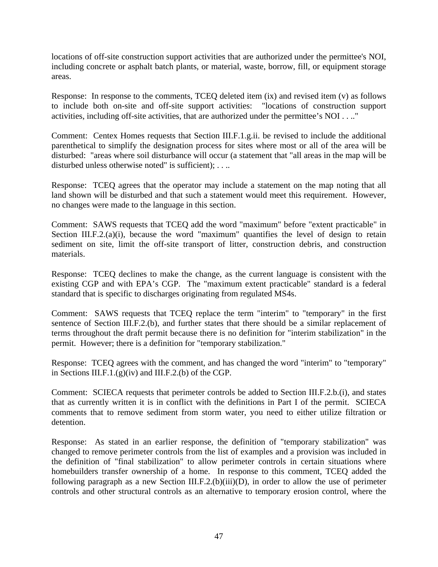locations of off-site construction support activities that are authorized under the permittee's NOI, including concrete or asphalt batch plants, or material, waste, borrow, fill, or equipment storage areas.

Response: In response to the comments, TCEQ deleted item (ix) and revised item (v) as follows to include both on-site and off-site support activities: "locations of construction support activities, including off-site activities, that are authorized under the permittee's NOI . . .."

Comment: Centex Homes requests that Section III.F.1.g.ii. be revised to include the additional parenthetical to simplify the designation process for sites where most or all of the area will be disturbed: "areas where soil disturbance will occur (a statement that "all areas in the map will be disturbed unless otherwise noted" is sufficient); . . ..

Response: TCEQ agrees that the operator may include a statement on the map noting that all land shown will be disturbed and that such a statement would meet this requirement. However, no changes were made to the language in this section.

Comment: SAWS requests that TCEQ add the word "maximum" before "extent practicable" in Section III.F.2. $(a)(i)$ , because the word "maximum" quantifies the level of design to retain sediment on site, limit the off-site transport of litter, construction debris, and construction materials.

Response: TCEQ declines to make the change, as the current language is consistent with the existing CGP and with EPA's CGP. The "maximum extent practicable" standard is a federal standard that is specific to discharges originating from regulated MS4s.

Comment: SAWS requests that TCEQ replace the term "interim" to "temporary" in the first sentence of Section III.F.2.(b), and further states that there should be a similar replacement of terms throughout the draft permit because there is no definition for "interim stabilization" in the permit. However; there is a definition for "temporary stabilization."

Response: TCEQ agrees with the comment, and has changed the word "interim" to "temporary" in Sections III.F.1.(g)(iv) and III.F.2.(b) of the CGP.

Comment: SCIECA requests that perimeter controls be added to Section III.F.2.b.(i), and states that as currently written it is in conflict with the definitions in Part I of the permit. SCIECA comments that to remove sediment from storm water, you need to either utilize filtration or detention.

Response: As stated in an earlier response, the definition of "temporary stabilization" was changed to remove perimeter controls from the list of examples and a provision was included in the definition of "final stabilization" to allow perimeter controls in certain situations where homebuilders transfer ownership of a home. In response to this comment, TCEQ added the following paragraph as a new Section III.F.2.(b)(iii)(D), in order to allow the use of perimeter controls and other structural controls as an alternative to temporary erosion control, where the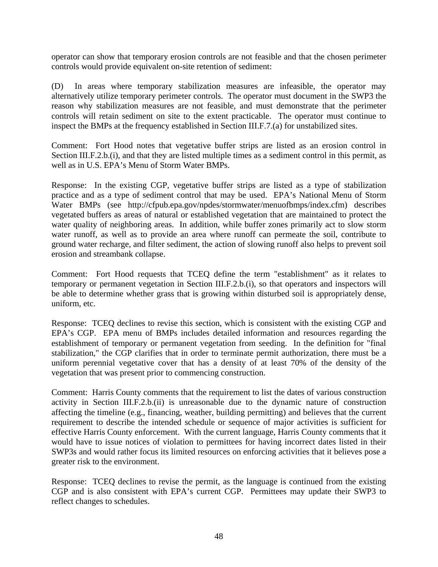operator can show that temporary erosion controls are not feasible and that the chosen perimeter controls would provide equivalent on-site retention of sediment:

(D) In areas where temporary stabilization measures are infeasible, the operator may alternatively utilize temporary perimeter controls. The operator must document in the SWP3 the reason why stabilization measures are not feasible, and must demonstrate that the perimeter controls will retain sediment on site to the extent practicable. The operator must continue to inspect the BMPs at the frequency established in Section III.F.7.(a) for unstabilized sites.

Comment: Fort Hood notes that vegetative buffer strips are listed as an erosion control in Section III.F.2.b.(i), and that they are listed multiple times as a sediment control in this permit, as well as in U.S. EPA's Menu of Storm Water BMPs.

Response: In the existing CGP, vegetative buffer strips are listed as a type of stabilization practice and as a type of sediment control that may be used. EPA's National Menu of Storm Water BMPs (see [http://cfpub.epa.gov/npdes/stormwater/menuofbmps/index.cfm\)](http://cfpub.epa.gov/npdes/stormwater/menuofbmps/index.cfm) describes vegetated buffers as areas of natural or established vegetation that are maintained to protect the water quality of neighboring areas. In addition, while buffer zones primarily act to slow storm water runoff, as well as to provide an area where runoff can permeate the soil, contribute to ground water recharge, and filter sediment, the action of slowing runoff also helps to prevent soil erosion and streambank collapse.

Comment: Fort Hood requests that TCEQ define the term "establishment" as it relates to temporary or permanent vegetation in Section III.F.2.b.(i), so that operators and inspectors will be able to determine whether grass that is growing within disturbed soil is appropriately dense, uniform, etc.

Response: TCEQ declines to revise this section, which is consistent with the existing CGP and EPA's CGP. EPA menu of BMPs includes detailed information and resources regarding the establishment of temporary or permanent vegetation from seeding. In the definition for "final stabilization," the CGP clarifies that in order to terminate permit authorization, there must be a uniform perennial vegetative cover that has a density of at least 70% of the density of the vegetation that was present prior to commencing construction.

Comment: Harris County comments that the requirement to list the dates of various construction activity in Section III.F.2.b.(ii) is unreasonable due to the dynamic nature of construction affecting the timeline (e.g., financing, weather, building permitting) and believes that the current requirement to describe the intended schedule or sequence of major activities is sufficient for effective Harris County enforcement. With the current language, Harris County comments that it would have to issue notices of violation to permittees for having incorrect dates listed in their SWP3s and would rather focus its limited resources on enforcing activities that it believes pose a greater risk to the environment.

Response: TCEQ declines to revise the permit, as the language is continued from the existing CGP and is also consistent with EPA's current CGP. Permittees may update their SWP3 to reflect changes to schedules.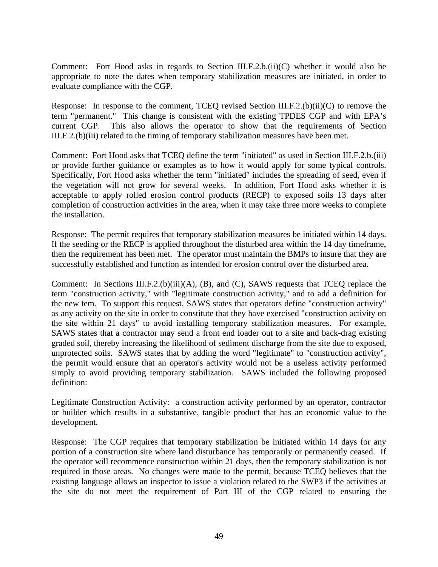Comment: Fort Hood asks in regards to Section III.F.2.b.(ii)(C) whether it would also be appropriate to note the dates when temporary stabilization measures are initiated, in order to evaluate compliance with the CGP.

Response: In response to the comment, TCEQ revised Section III.F.2.(b)(ii)(C) to remove the term "permanent." This change is consistent with the existing TPDES CGP and with EPA's current CGP. This also allows the operator to show that the requirements of Section III.F.2.(b)(iii) related to the timing of temporary stabilization measures have been met.

Comment: Fort Hood asks that TCEQ define the term "initiated" as used in Section III.F.2.b.(iii) or provide further guidance or examples as to how it would apply for some typical controls. Specifically, Fort Hood asks whether the term "initiated" includes the spreading of seed, even if the vegetation will not grow for several weeks. In addition, Fort Hood asks whether it is acceptable to apply rolled erosion control products (RECP) to exposed soils 13 days after completion of construction activities in the area, when it may take three more weeks to complete the installation.

Response: The permit requires that temporary stabilization measures be initiated within 14 days. If the seeding or the RECP is applied throughout the disturbed area within the 14 day timeframe, then the requirement has been met. The operator must maintain the BMPs to insure that they are successfully established and function as intended for erosion control over the disturbed area.

Comment: In Sections III.F.2.(b)(iii)(A), (B), and (C), SAWS requests that TCEQ replace the term "construction activity," with "legitimate construction activity," and to add a definition for the new tem. To support this request, SAWS states that operators define "construction activity" as any activity on the site in order to constitute that they have exercised "construction activity on the site within 21 days" to avoid installing temporary stabilization measures. For example, SAWS states that a contractor may send a front end loader out to a site and back-drag existing graded soil, thereby increasing the likelihood of sediment discharge from the site due to exposed, unprotected soils. SAWS states that by adding the word "legitimate" to "construction activity", the permit would ensure that an operator's activity would not be a useless activity performed simply to avoid providing temporary stabilization. SAWS included the following proposed definition:

Legitimate Construction Activity: a construction activity performed by an operator, contractor or builder which results in a substantive, tangible product that has an economic value to the development.

Response: The CGP requires that temporary stabilization be initiated within 14 days for any portion of a construction site where land disturbance has temporarily or permanently ceased. If the operator will recommence construction within 21 days, then the temporary stabilization is not required in those areas. No changes were made to the permit, because TCEQ believes that the existing language allows an inspector to issue a violation related to the SWP3 if the activities at the site do not meet the requirement of Part III of the CGP related to ensuring the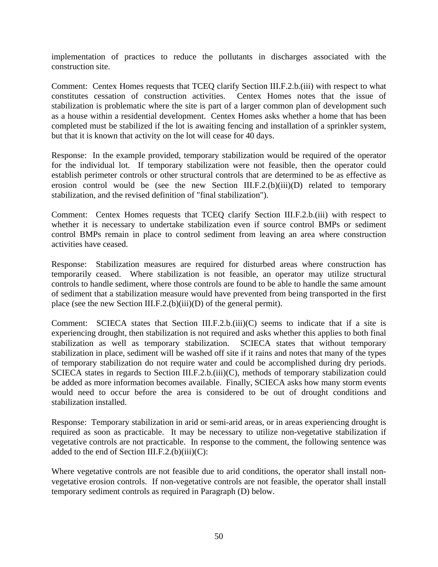implementation of practices to reduce the pollutants in discharges associated with the construction site.

Comment: Centex Homes requests that TCEQ clarify Section III.F.2.b.(iii) with respect to what constitutes cessation of construction activities. Centex Homes notes that the issue of stabilization is problematic where the site is part of a larger common plan of development such as a house within a residential development. Centex Homes asks whether a home that has been completed must be stabilized if the lot is awaiting fencing and installation of a sprinkler system, but that it is known that activity on the lot will cease for 40 days.

Response: In the example provided, temporary stabilization would be required of the operator for the individual lot. If temporary stabilization were not feasible, then the operator could establish perimeter controls or other structural controls that are determined to be as effective as erosion control would be (see the new Section III.F.2.(b)(iii)(D) related to temporary stabilization, and the revised definition of "final stabilization").

Comment: Centex Homes requests that TCEQ clarify Section III.F.2.b.(iii) with respect to whether it is necessary to undertake stabilization even if source control BMPs or sediment control BMPs remain in place to control sediment from leaving an area where construction activities have ceased.

Response: Stabilization measures are required for disturbed areas where construction has temporarily ceased. Where stabilization is not feasible, an operator may utilize structural controls to handle sediment, where those controls are found to be able to handle the same amount of sediment that a stabilization measure would have prevented from being transported in the first place (see the new Section III.F.2.(b)(iii)(D) of the general permit).

Comment: SCIECA states that Section III.F.2.b. $(iii)(C)$  seems to indicate that if a site is experiencing drought, then stabilization is not required and asks whether this applies to both final stabilization as well as temporary stabilization. SCIECA states that without temporary stabilization in place, sediment will be washed off site if it rains and notes that many of the types of temporary stabilization do not require water and could be accomplished during dry periods. SCIECA states in regards to Section III.F.2.b.(iii)(C), methods of temporary stabilization could be added as more information becomes available. Finally, SCIECA asks how many storm events would need to occur before the area is considered to be out of drought conditions and stabilization installed.

Response: Temporary stabilization in arid or semi-arid areas, or in areas experiencing drought is required as soon as practicable. It may be necessary to utilize non-vegetative stabilization if vegetative controls are not practicable. In response to the comment, the following sentence was added to the end of Section III.F.2. $(b)(iii)(C)$ :

Where vegetative controls are not feasible due to arid conditions, the operator shall install nonvegetative erosion controls. If non-vegetative controls are not feasible, the operator shall install temporary sediment controls as required in Paragraph (D) below.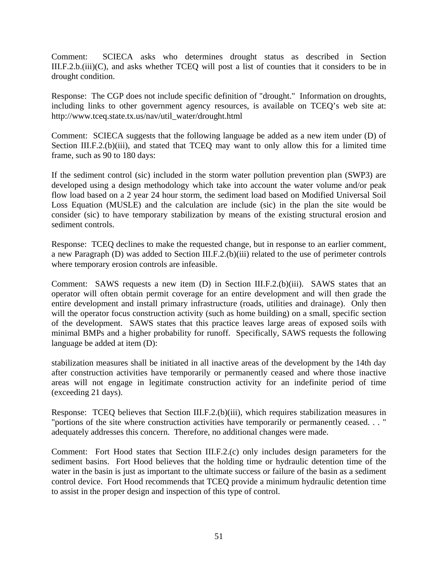Comment: SCIECA asks who determines drought status as described in Section III.F.2.b.(iii)(C), and asks whether TCEQ will post a list of counties that it considers to be in drought condition.

Response: The CGP does not include specific definition of "drought." Information on droughts, including links to other government agency resources, is available on TCEQ's web site at: [http://www.tceq.state.tx.us/nav/util\\_water/drought.html](http://www.tceq.state.tx.us/nav/util_water/drought.html)

Comment: SCIECA suggests that the following language be added as a new item under (D) of Section III.F.2.(b)(iii), and stated that TCEQ may want to only allow this for a limited time frame, such as 90 to 180 days:

If the sediment control (sic) included in the storm water pollution prevention plan (SWP3) are developed using a design methodology which take into account the water volume and/or peak flow load based on a 2 year 24 hour storm, the sediment load based on Modified Universal Soil Loss Equation (MUSLE) and the calculation are include (sic) in the plan the site would be consider (sic) to have temporary stabilization by means of the existing structural erosion and sediment controls.

Response: TCEQ declines to make the requested change, but in response to an earlier comment, a new Paragraph (D) was added to Section III.F.2.(b)(iii) related to the use of perimeter controls where temporary erosion controls are infeasible.

Comment: SAWS requests a new item  $(D)$  in Section III.F.2.(b)(iii). SAWS states that an operator will often obtain permit coverage for an entire development and will then grade the entire development and install primary infrastructure (roads, utilities and drainage). Only then will the operator focus construction activity (such as home building) on a small, specific section of the development. SAWS states that this practice leaves large areas of exposed soils with minimal BMPs and a higher probability for runoff. Specifically, SAWS requests the following language be added at item (D):

stabilization measures shall be initiated in all inactive areas of the development by the 14th day after construction activities have temporarily or permanently ceased and where those inactive areas will not engage in legitimate construction activity for an indefinite period of time (exceeding 21 days).

Response: TCEQ believes that Section III.F.2.(b)(iii), which requires stabilization measures in "portions of the site where construction activities have temporarily or permanently ceased. . . " adequately addresses this concern. Therefore, no additional changes were made.

Comment: Fort Hood states that Section III.F.2.(c) only includes design parameters for the sediment basins. Fort Hood believes that the holding time or hydraulic detention time of the water in the basin is just as important to the ultimate success or failure of the basin as a sediment control device. Fort Hood recommends that TCEQ provide a minimum hydraulic detention time to assist in the proper design and inspection of this type of control.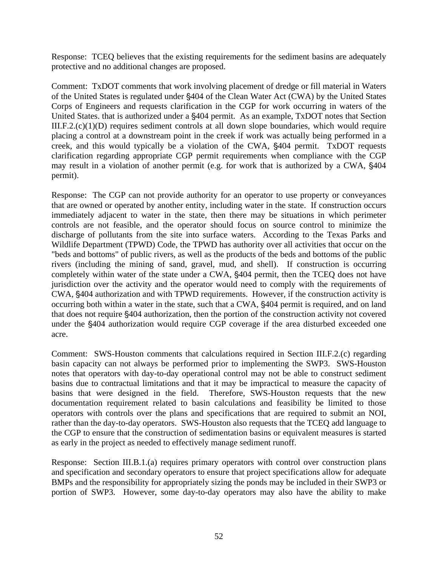Response: TCEQ believes that the existing requirements for the sediment basins are adequately protective and no additional changes are proposed.

Comment: TxDOT comments that work involving placement of dredge or fill material in Waters of the United States is regulated under §404 of the Clean Water Act (CWA) by the United States Corps of Engineers and requests clarification in the CGP for work occurring in waters of the United States. that is authorized under a  $\S404$  permit. As an example, TxDOT notes that Section III.F.2.(c)(1)(D) requires sediment controls at all down slope boundaries, which would require placing a control at a downstream point in the creek if work was actually being performed in a creek, and this would typically be a violation of the CWA,  $\S$ 404 permit. TxDOT requests clarification regarding appropriate CGP permit requirements when compliance with the CGP may result in a violation of another permit (e.g. for work that is authorized by a CWA,  $$404$ permit).

Response: The CGP can not provide authority for an operator to use property or conveyances that are owned or operated by another entity, including water in the state. If construction occurs immediately adjacent to water in the state, then there may be situations in which perimeter controls are not feasible, and the operator should focus on source control to minimize the discharge of pollutants from the site into surface waters. According to the Texas Parks and Wildlife Department (TPWD) Code, the TPWD has authority over all activities that occur on the "beds and bottoms" of public rivers, as well as the products of the beds and bottoms of the public rivers (including the mining of sand, gravel, mud, and shell). If construction is occurring completely within water of the state under a CWA, §404 permit, then the TCEQ does not have jurisdiction over the activity and the operator would need to comply with the requirements of CWA, §404 authorization and with TPWD requirements. However, if the construction activity is occurring both within a water in the state, such that a CWA, §404 permit is required, and on land that does not require  $\S 404$  authorization, then the portion of the construction activity not covered under the \$404 authorization would require CGP coverage if the area disturbed exceeded one acre.

Comment: SWS-Houston comments that calculations required in Section III.F.2.(c) regarding basin capacity can not always be performed prior to implementing the SWP3. SWS-Houston notes that operators with day-to-day operational control may not be able to construct sediment basins due to contractual limitations and that it may be impractical to measure the capacity of basins that were designed in the field. Therefore, SWS-Houston requests that the new documentation requirement related to basin calculations and feasibility be limited to those operators with controls over the plans and specifications that are required to submit an NOI, rather than the day-to-day operators. SWS-Houston also requests that the TCEQ add language to the CGP to ensure that the construction of sedimentation basins or equivalent measures is started as early in the project as needed to effectively manage sediment runoff.

Response: Section III.B.1.(a) requires primary operators with control over construction plans and specification and secondary operators to ensure that project specifications allow for adequate BMPs and the responsibility for appropriately sizing the ponds may be included in their SWP3 or portion of SWP3. However, some day-to-day operators may also have the ability to make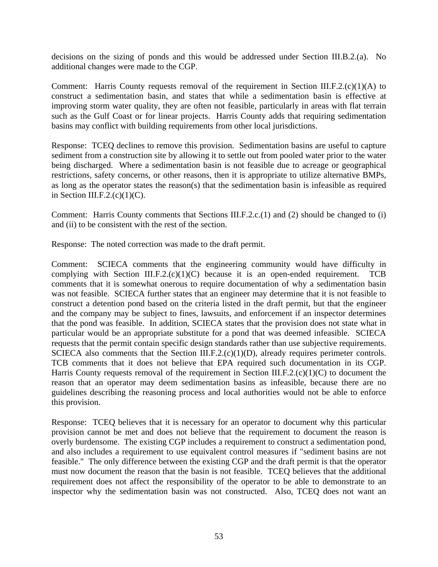decisions on the sizing of ponds and this would be addressed under Section III.B.2.(a). No additional changes were made to the CGP.

Comment: Harris County requests removal of the requirement in Section III.F.2.(c)(1)(A) to construct a sedimentation basin, and states that while a sedimentation basin is effective at improving storm water quality, they are often not feasible, particularly in areas with flat terrain such as the Gulf Coast or for linear projects. Harris County adds that requiring sedimentation basins may conflict with building requirements from other local jurisdictions.

Response: TCEQ declines to remove this provision. Sedimentation basins are useful to capture sediment from a construction site by allowing it to settle out from pooled water prior to the water being discharged. Where a sedimentation basin is not feasible due to acreage or geographical restrictions, safety concerns, or other reasons, then it is appropriate to utilize alternative BMPs, as long as the operator states the reason(s) that the sedimentation basin is infeasible as required in Section III.F.2. $(c)(1)(C)$ .

Comment: Harris County comments that Sections III.F.2.c.(1) and (2) should be changed to (i) and (ii) to be consistent with the rest of the section.

Response: The noted correction was made to the draft permit.

Comment: SCIECA comments that the engineering community would have difficulty in complying with Section III.F.2. $(c)(1)(C)$  because it is an open-ended requirement. TCB comments that it is somewhat onerous to require documentation of why a sedimentation basin was not feasible. SCIECA further states that an engineer may determine that it is not feasible to construct a detention pond based on the criteria listed in the draft permit, but that the engineer and the company may be subject to fines, lawsuits, and enforcement if an inspector determines that the pond was feasible. In addition, SCIECA states that the provision does not state what in particular would be an appropriate substitute for a pond that was deemed infeasible. SCIECA requests that the permit contain specific design standards rather than use subjective requirements. SCIECA also comments that the Section III.F.2.(c)(1)(D), already requires perimeter controls. TCB comments that it does not believe that EPA required such documentation in its CGP. Harris County requests removal of the requirement in Section III.F.2. $(c)(1)(C)$  to document the reason that an operator may deem sedimentation basins as infeasible, because there are no guidelines describing the reasoning process and local authorities would not be able to enforce this provision.

Response: TCEQ believes that it is necessary for an operator to document why this particular provision cannot be met and does not believe that the requirement to document the reason is overly burdensome. The existing CGP includes a requirement to construct a sedimentation pond, and also includes a requirement to use equivalent control measures if "sediment basins are not feasible." The only difference between the existing CGP and the draft permit is that the operator must now document the reason that the basin is not feasible. TCEQ believes that the additional requirement does not affect the responsibility of the operator to be able to demonstrate to an inspector why the sedimentation basin was not constructed. Also, TCEQ does not want an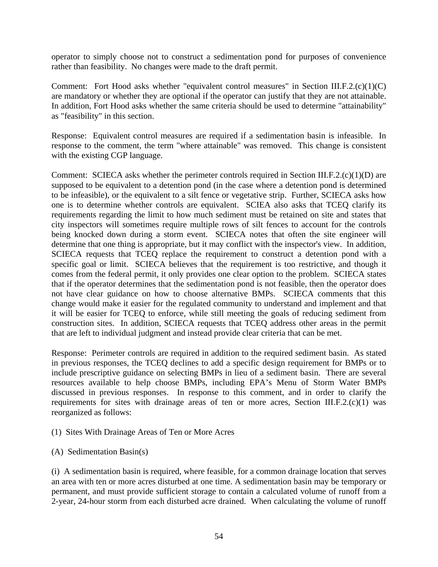operator to simply choose not to construct a sedimentation pond for purposes of convenience rather than feasibility. No changes were made to the draft permit.

Comment: Fort Hood asks whether "equivalent control measures" in Section III.F.2.(c)(1)(C) are mandatory or whether they are optional if the operator can justify that they are not attainable. In addition, Fort Hood asks whether the same criteria should be used to determine "attainability" as "feasibility" in this section.

Response: Equivalent control measures are required if a sedimentation basin is infeasible. In response to the comment, the term "where attainable" was removed. This change is consistent with the existing CGP language.

Comment: SCIECA asks whether the perimeter controls required in Section III.F.2.(c)(1)(D) are supposed to be equivalent to a detention pond (in the case where a detention pond is determined to be infeasible), or the equivalent to a silt fence or vegetative strip. Further, SCIECA asks how one is to determine whether controls are equivalent. SCIEA also asks that TCEQ clarify its requirements regarding the limit to how much sediment must be retained on site and states that city inspectors will sometimes require multiple rows of silt fences to account for the controls being knocked down during a storm event. SCIECA notes that often the site engineer will determine that one thing is appropriate, but it may conflict with the inspector's view. In addition, SCIECA requests that TCEQ replace the requirement to construct a detention pond with a specific goal or limit. SCIECA believes that the requirement is too restrictive, and though it comes from the federal permit, it only provides one clear option to the problem. SCIECA states that if the operator determines that the sedimentation pond is not feasible, then the operator does not have clear guidance on how to choose alternative BMPs. SCIECA comments that this change would make it easier for the regulated community to understand and implement and that it will be easier for TCEQ to enforce, while still meeting the goals of reducing sediment from construction sites. In addition, SCIECA requests that TCEQ address other areas in the permit that are left to individual judgment and instead provide clear criteria that can be met.

Response: Perimeter controls are required in addition to the required sediment basin. As stated in previous responses, the TCEQ declines to add a specific design requirement for BMPs or to include prescriptive guidance on selecting BMPs in lieu of a sediment basin. There are several resources available to help choose BMPs, including EPA's Menu of Storm Water BMPs discussed in previous responses. In response to this comment, and in order to clarify the requirements for sites with drainage areas of ten or more acres, Section III.F.2. $(c)(1)$  was reorganized as follows:

(1) Sites With Drainage Areas of Ten or More Acres

(A) Sedimentation Basin(s)

(i) A sedimentation basin is required, where feasible, for a common drainage location that serves an area with ten or more acres disturbed at one time. A sedimentation basin may be temporary or permanent, and must provide sufficient storage to contain a calculated volume of runoff from a 2-year, 24-hour storm from each disturbed acre drained. When calculating the volume of runoff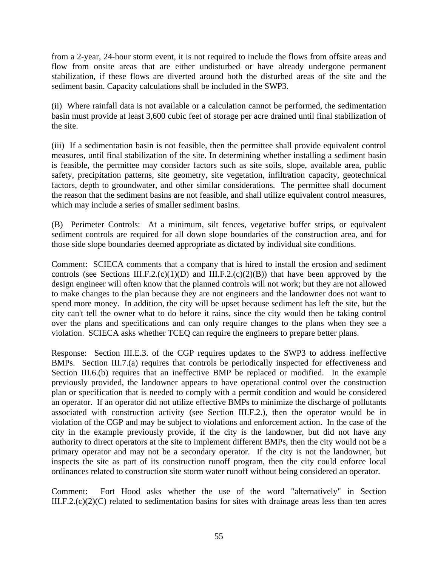from a 2-year, 24-hour storm event, it is not required to include the flows from offsite areas and flow from onsite areas that are either undisturbed or have already undergone permanent stabilization, if these flows are diverted around both the disturbed areas of the site and the sediment basin. Capacity calculations shall be included in the SWP3.

(ii) Where rainfall data is not available or a calculation cannot be performed, the sedimentation basin must provide at least 3,600 cubic feet of storage per acre drained until final stabilization of the site.

(iii) If a sedimentation basin is not feasible, then the permittee shall provide equivalent control measures, until final stabilization of the site. In determining whether installing a sediment basin is feasible, the permittee may consider factors such as site soils, slope, available area, public safety, precipitation patterns, site geometry, site vegetation, infiltration capacity, geotechnical factors, depth to groundwater, and other similar considerations. The permittee shall document the reason that the sediment basins are not feasible, and shall utilize equivalent control measures, which may include a series of smaller sediment basins.

(B) Perimeter Controls: At a minimum, silt fences, vegetative buffer strips, or equivalent sediment controls are required for all down slope boundaries of the construction area, and for those side slope boundaries deemed appropriate as dictated by individual site conditions.

Comment: SCIECA comments that a company that is hired to install the erosion and sediment controls (see Sections III.F.2.(c)(1)(D) and III.F.2.(c)(2)(B)) that have been approved by the design engineer will often know that the planned controls will not work; but they are not allowed to make changes to the plan because they are not engineers and the landowner does not want to spend more money. In addition, the city will be upset because sediment has left the site, but the city can't tell the owner what to do before it rains, since the city would then be taking control over the plans and specifications and can only require changes to the plans when they see a violation. SCIECA asks whether TCEQ can require the engineers to prepare better plans.

Response: Section III.E.3. of the CGP requires updates to the SWP3 to address ineffective BMPs. Section III.7.(a) requires that controls be periodically inspected for effectiveness and Section III.6.(b) requires that an ineffective BMP be replaced or modified. In the example previously provided, the landowner appears to have operational control over the construction plan or specification that is needed to comply with a permit condition and would be considered an operator. If an operator did not utilize effective BMPs to minimize the discharge of pollutants associated with construction activity (see Section III.F.2.), then the operator would be in violation of the CGP and may be subject to violations and enforcement action. In the case of the city in the example previously provide, if the city is the landowner, but did not have any authority to direct operators at the site to implement different BMPs, then the city would not be a primary operator and may not be a secondary operator. If the city is not the landowner, but inspects the site as part of its construction runoff program, then the city could enforce local ordinances related to construction site storm water runoff without being considered an operator.

Comment: Fort Hood asks whether the use of the word "alternatively" in Section III.F.2.(c)(2)(C) related to sedimentation basins for sites with drainage areas less than ten acres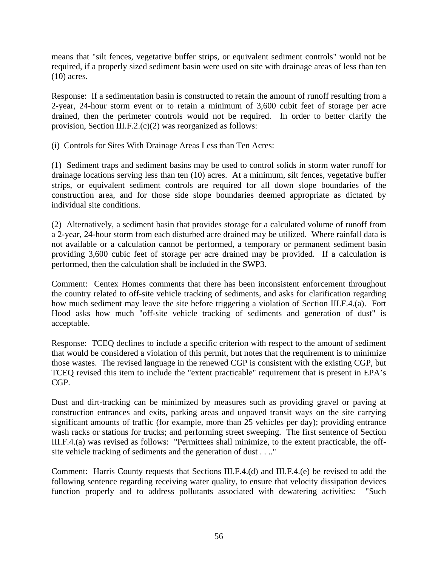means that "silt fences, vegetative buffer strips, or equivalent sediment controls" would not be required, if a properly sized sediment basin were used on site with drainage areas of less than ten (10) acres.

Response: If a sedimentation basin is constructed to retain the amount of runoff resulting from a 2-year, 24-hour storm event or to retain a minimum of 3,600 cubit feet of storage per acre drained, then the perimeter controls would not be required. In order to better clarify the provision, Section III.F.2.(c)(2) was reorganized as follows:

(i) Controls for Sites With Drainage Areas Less than Ten Acres:

(1) Sediment traps and sediment basins may be used to control solids in storm water runoff for drainage locations serving less than ten (10) acres. At a minimum, silt fences, vegetative buffer strips, or equivalent sediment controls are required for all down slope boundaries of the construction area, and for those side slope boundaries deemed appropriate as dictated by individual site conditions.

(2) Alternatively, a sediment basin that provides storage for a calculated volume of runoff from a 2-year, 24-hour storm from each disturbed acre drained may be utilized. Where rainfall data is not available or a calculation cannot be performed, a temporary or permanent sediment basin providing 3,600 cubic feet of storage per acre drained may be provided. If a calculation is performed, then the calculation shall be included in the SWP3.

Comment: Centex Homes comments that there has been inconsistent enforcement throughout the country related to off-site vehicle tracking of sediments, and asks for clarification regarding how much sediment may leave the site before triggering a violation of Section III.F.4.(a). Fort Hood asks how much "off-site vehicle tracking of sediments and generation of dust" is acceptable.

Response: TCEQ declines to include a specific criterion with respect to the amount of sediment that would be considered a violation of this permit, but notes that the requirement is to minimize those wastes. The revised language in the renewed CGP is consistent with the existing CGP, but TCEQ revised this item to include the "extent practicable" requirement that is present in EPA's CGP.

Dust and dirt-tracking can be minimized by measures such as providing gravel or paving at construction entrances and exits, parking areas and unpaved transit ways on the site carrying significant amounts of traffic (for example, more than 25 vehicles per day); providing entrance wash racks or stations for trucks; and performing street sweeping. The first sentence of Section III.F.4.(a) was revised as follows: "Permittees shall minimize, to the extent practicable, the offsite vehicle tracking of sediments and the generation of dust . . .."

Comment: Harris County requests that Sections III.F.4.(d) and III.F.4.(e) be revised to add the following sentence regarding receiving water quality, to ensure that velocity dissipation devices function properly and to address pollutants associated with dewatering activities: "Such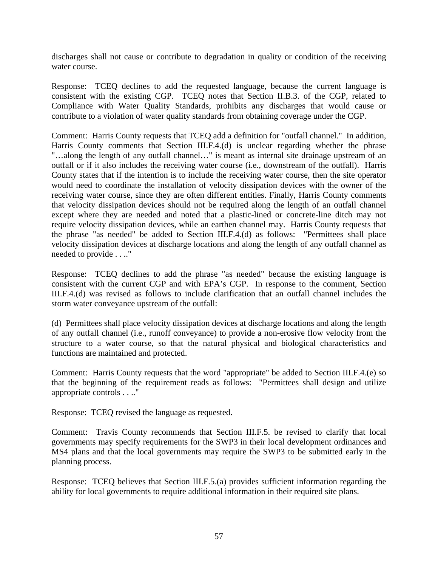discharges shall not cause or contribute to degradation in quality or condition of the receiving water course.

Response: TCEQ declines to add the requested language, because the current language is consistent with the existing CGP. TCEQ notes that Section II.B.3. of the CGP, related to Compliance with Water Quality Standards, prohibits any discharges that would cause or contribute to a violation of water quality standards from obtaining coverage under the CGP.

Comment: Harris County requests that TCEQ add a definition for "outfall channel." In addition, Harris County comments that Section III.F.4.(d) is unclear regarding whether the phrase "…along the length of any outfall channel…" is meant as internal site drainage upstream of an outfall or if it also includes the receiving water course (i.e., downstream of the outfall). Harris County states that if the intention is to include the receiving water course, then the site operator would need to coordinate the installation of velocity dissipation devices with the owner of the receiving water course, since they are often different entities. Finally, Harris County comments that velocity dissipation devices should not be required along the length of an outfall channel except where they are needed and noted that a plastic-lined or concrete-line ditch may not require velocity dissipation devices, while an earthen channel may. Harris County requests that the phrase "as needed" be added to Section III.F.4.(d) as follows: "Permittees shall place velocity dissipation devices at discharge locations and along the length of any outfall channel as needed to provide . . .."

Response: TCEQ declines to add the phrase "as needed" because the existing language is consistent with the current CGP and with EPA's CGP. In response to the comment, Section III.F.4.(d) was revised as follows to include clarification that an outfall channel includes the storm water conveyance upstream of the outfall:

(d) Permittees shall place velocity dissipation devices at discharge locations and along the length of any outfall channel (i.e., runoff conveyance) to provide a non-erosive flow velocity from the structure to a water course, so that the natural physical and biological characteristics and functions are maintained and protected.

Comment: Harris County requests that the word "appropriate" be added to Section III.F.4.(e) so that the beginning of the requirement reads as follows: "Permittees shall design and utilize appropriate controls . . .."

Response: TCEQ revised the language as requested.

Comment: Travis County recommends that Section III.F.5. be revised to clarify that local governments may specify requirements for the SWP3 in their local development ordinances and MS4 plans and that the local governments may require the SWP3 to be submitted early in the planning process.

Response: TCEQ believes that Section III.F.5.(a) provides sufficient information regarding the ability for local governments to require additional information in their required site plans.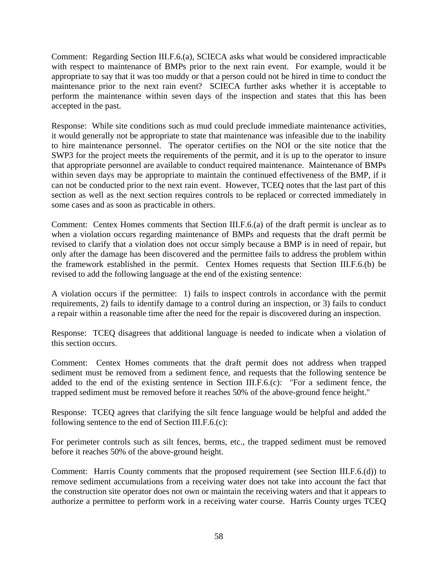Comment: Regarding Section III.F.6.(a), SCIECA asks what would be considered impracticable with respect to maintenance of BMPs prior to the next rain event. For example, would it be appropriate to say that it was too muddy or that a person could not be hired in time to conduct the maintenance prior to the next rain event? SCIECA further asks whether it is acceptable to perform the maintenance within seven days of the inspection and states that this has been accepted in the past.

Response: While site conditions such as mud could preclude immediate maintenance activities, it would generally not be appropriate to state that maintenance was infeasible due to the inability to hire maintenance personnel. The operator certifies on the NOI or the site notice that the SWP3 for the project meets the requirements of the permit, and it is up to the operator to insure that appropriate personnel are available to conduct required maintenance. Maintenance of BMPs within seven days may be appropriate to maintain the continued effectiveness of the BMP, if it can not be conducted prior to the next rain event. However, TCEQ notes that the last part of this section as well as the next section requires controls to be replaced or corrected immediately in some cases and as soon as practicable in others.

Comment: Centex Homes comments that Section III.F.6.(a) of the draft permit is unclear as to when a violation occurs regarding maintenance of BMPs and requests that the draft permit be revised to clarify that a violation does not occur simply because a BMP is in need of repair, but only after the damage has been discovered and the permittee fails to address the problem within the framework established in the permit. Centex Homes requests that Section III.F.6.(b) be revised to add the following language at the end of the existing sentence:

A violation occurs if the permittee: 1) fails to inspect controls in accordance with the permit requirements, 2) fails to identify damage to a control during an inspection, or 3) fails to conduct a repair within a reasonable time after the need for the repair is discovered during an inspection.

Response: TCEQ disagrees that additional language is needed to indicate when a violation of this section occurs.

Comment: Centex Homes comments that the draft permit does not address when trapped sediment must be removed from a sediment fence, and requests that the following sentence be added to the end of the existing sentence in Section III.F.6.(c): "For a sediment fence, the trapped sediment must be removed before it reaches 50% of the above-ground fence height."

Response: TCEQ agrees that clarifying the silt fence language would be helpful and added the following sentence to the end of Section III.F.6.(c):

For perimeter controls such as silt fences, berms, etc., the trapped sediment must be removed before it reaches 50% of the above-ground height.

Comment: Harris County comments that the proposed requirement (see Section III.F.6.(d)) to remove sediment accumulations from a receiving water does not take into account the fact that the construction site operator does not own or maintain the receiving waters and that it appears to authorize a permittee to perform work in a receiving water course. Harris County urges TCEQ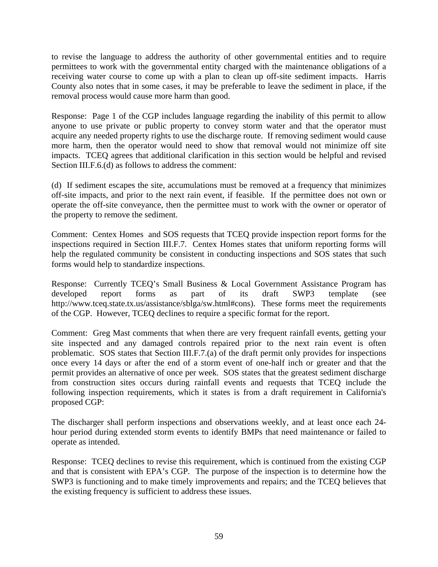to revise the language to address the authority of other governmental entities and to require permittees to work with the governmental entity charged with the maintenance obligations of a receiving water course to come up with a plan to clean up off-site sediment impacts. Harris County also notes that in some cases, it may be preferable to leave the sediment in place, if the removal process would cause more harm than good.

Response: Page 1 of the CGP includes language regarding the inability of this permit to allow anyone to use private or public property to convey storm water and that the operator must acquire any needed property rights to use the discharge route. If removing sediment would cause more harm, then the operator would need to show that removal would not minimize off site impacts. TCEQ agrees that additional clarification in this section would be helpful and revised Section III.F.6.(d) as follows to address the comment:

(d) If sediment escapes the site, accumulations must be removed at a frequency that minimizes off-site impacts, and prior to the next rain event, if feasible. If the permittee does not own or operate the off-site conveyance, then the permittee must to work with the owner or operator of the property to remove the sediment.

Comment: Centex Homes and SOS requests that TCEQ provide inspection report forms for the inspections required in Section III.F.7. Centex Homes states that uniform reporting forms will help the regulated community be consistent in conducting inspections and SOS states that such forms would help to standardize inspections.

Response: Currently TCEQ's Small Business & Local Government Assistance Program has developed report forms as part of its draft SWP3 template (see [http://www.tceq.state.tx.us/assistance/sblga/sw.html#cons\)](http://www.tceq.state.tx.us/assistance/sblga/sw.html#cons). These forms meet the requirements of the CGP. However, TCEQ declines to require a specific format for the report.

Comment: Greg Mast comments that when there are very frequent rainfall events, getting your site inspected and any damaged controls repaired prior to the next rain event is often problematic. SOS states that Section III.F.7.(a) of the draft permit only provides for inspections once every 14 days or after the end of a storm event of one-half inch or greater and that the permit provides an alternative of once per week. SOS states that the greatest sediment discharge from construction sites occurs during rainfall events and requests that TCEQ include the following inspection requirements, which it states is from a draft requirement in California's proposed CGP:

The discharger shall perform inspections and observations weekly, and at least once each 24 hour period during extended storm events to identify BMPs that need maintenance or failed to operate as intended.

Response: TCEQ declines to revise this requirement, which is continued from the existing CGP and that is consistent with EPA's CGP. The purpose of the inspection is to determine how the SWP3 is functioning and to make timely improvements and repairs; and the TCEQ believes that the existing frequency is sufficient to address these issues.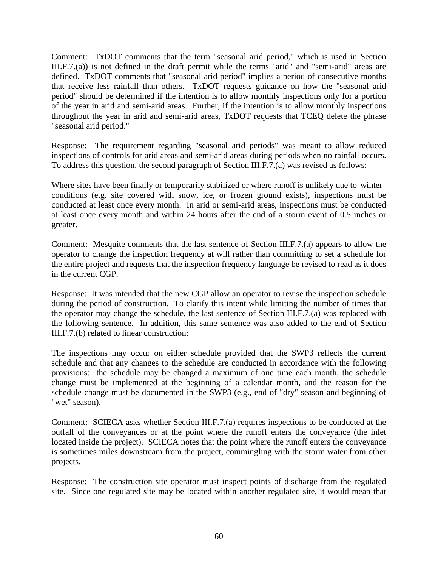Comment: TxDOT comments that the term "seasonal arid period," which is used in Section III.F.7.(a)) is not defined in the draft permit while the terms "arid" and "semi-arid" areas are defined. TxDOT comments that "seasonal arid period" implies a period of consecutive months that receive less rainfall than others. TxDOT requests guidance on how the "seasonal arid period" should be determined if the intention is to allow monthly inspections only for a portion of the year in arid and semi-arid areas. Further, if the intention is to allow monthly inspections throughout the year in arid and semi-arid areas, TxDOT requests that TCEQ delete the phrase "seasonal arid period."

Response: The requirement regarding "seasonal arid periods" was meant to allow reduced inspections of controls for arid areas and semi-arid areas during periods when no rainfall occurs. To address this question, the second paragraph of Section III.F.7.(a) was revised as follows:

Where sites have been finally or temporarily stabilized or where runoff is unlikely due to winter conditions (e.g. site covered with snow, ice, or frozen ground exists), inspections must be conducted at least once every month. In arid or semi-arid areas, inspections must be conducted at least once every month and within 24 hours after the end of a storm event of 0.5 inches or greater.

Comment: Mesquite comments that the last sentence of Section III.F.7.(a) appears to allow the operator to change the inspection frequency at will rather than committing to set a schedule for the entire project and requests that the inspection frequency language be revised to read as it does in the current CGP.

Response: It was intended that the new CGP allow an operator to revise the inspection schedule during the period of construction. To clarify this intent while limiting the number of times that the operator may change the schedule, the last sentence of Section III.F.7.(a) was replaced with the following sentence. In addition, this same sentence was also added to the end of Section III.F.7.(b) related to linear construction:

The inspections may occur on either schedule provided that the SWP3 reflects the current schedule and that any changes to the schedule are conducted in accordance with the following provisions: the schedule may be changed a maximum of one time each month, the schedule change must be implemented at the beginning of a calendar month, and the reason for the schedule change must be documented in the SWP3 (e.g., end of "dry" season and beginning of "wet" season).

Comment: SCIECA asks whether Section III.F.7.(a) requires inspections to be conducted at the outfall of the conveyances or at the point where the runoff enters the conveyance (the inlet located inside the project). SCIECA notes that the point where the runoff enters the conveyance is sometimes miles downstream from the project, commingling with the storm water from other projects.

Response: The construction site operator must inspect points of discharge from the regulated site. Since one regulated site may be located within another regulated site, it would mean that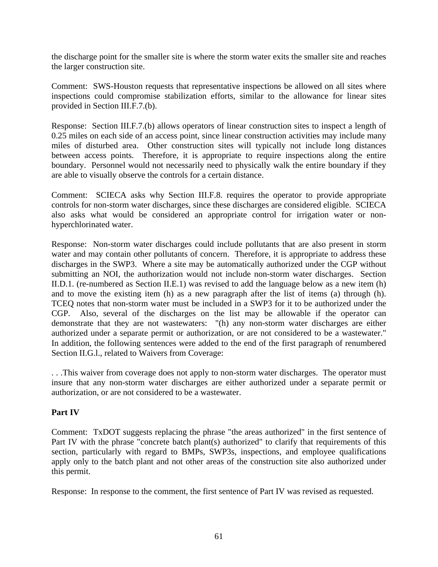the discharge point for the smaller site is where the storm water exits the smaller site and reaches the larger construction site.

Comment: SWS-Houston requests that representative inspections be allowed on all sites where inspections could compromise stabilization efforts, similar to the allowance for linear sites provided in Section III.F.7.(b).

Response: Section III.F.7.(b) allows operators of linear construction sites to inspect a length of 0.25 miles on each side of an access point, since linear construction activities may include many miles of disturbed area. Other construction sites will typically not include long distances between access points. Therefore, it is appropriate to require inspections along the entire boundary. Personnel would not necessarily need to physically walk the entire boundary if they are able to visually observe the controls for a certain distance.

Comment: SCIECA asks why Section III.F.8. requires the operator to provide appropriate controls for non-storm water discharges, since these discharges are considered eligible. SCIECA also asks what would be considered an appropriate control for irrigation water or nonhyperchlorinated water.

Response: Non-storm water discharges could include pollutants that are also present in storm water and may contain other pollutants of concern. Therefore, it is appropriate to address these discharges in the SWP3. Where a site may be automatically authorized under the CGP without submitting an NOI, the authorization would not include non-storm water discharges. Section II.D.1. (re-numbered as Section II.E.1) was revised to add the language below as a new item (h) and to move the existing item (h) as a new paragraph after the list of items (a) through (h). TCEQ notes that non-storm water must be included in a SWP3 for it to be authorized under the CGP. Also, several of the discharges on the list may be allowable if the operator can demonstrate that they are not wastewaters: "(h) any non-storm water discharges are either authorized under a separate permit or authorization, or are not considered to be a wastewater." In addition, the following sentences were added to the end of the first paragraph of renumbered Section II.G.l., related to Waivers from Coverage:

. . .This waiver from coverage does not apply to non-storm water discharges. The operator must insure that any non-storm water discharges are either authorized under a separate permit or authorization, or are not considered to be a wastewater.

## **Part IV**

Comment: TxDOT suggests replacing the phrase "the areas authorized" in the first sentence of Part IV with the phrase "concrete batch plant(s) authorized" to clarify that requirements of this section, particularly with regard to BMPs, SWP3s, inspections, and employee qualifications apply only to the batch plant and not other areas of the construction site also authorized under this permit.

Response: In response to the comment, the first sentence of Part IV was revised as requested.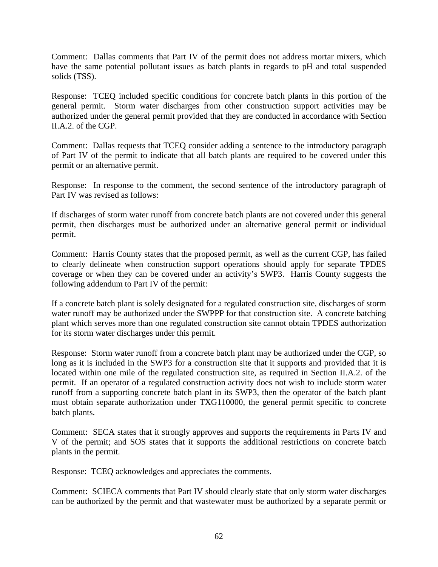Comment: Dallas comments that Part IV of the permit does not address mortar mixers, which have the same potential pollutant issues as batch plants in regards to pH and total suspended solids (TSS).

Response: TCEQ included specific conditions for concrete batch plants in this portion of the general permit. Storm water discharges from other construction support activities may be authorized under the general permit provided that they are conducted in accordance with Section II.A.2. of the CGP.

Comment: Dallas requests that TCEQ consider adding a sentence to the introductory paragraph of Part IV of the permit to indicate that all batch plants are required to be covered under this permit or an alternative permit.

Response: In response to the comment, the second sentence of the introductory paragraph of Part IV was revised as follows:

If discharges of storm water runoff from concrete batch plants are not covered under this general permit, then discharges must be authorized under an alternative general permit or individual permit.

Comment: Harris County states that the proposed permit, as well as the current CGP, has failed to clearly delineate when construction support operations should apply for separate TPDES coverage or when they can be covered under an activity's SWP3. Harris County suggests the following addendum to Part IV of the permit:

If a concrete batch plant is solely designated for a regulated construction site, discharges of storm water runoff may be authorized under the SWPPP for that construction site. A concrete batching plant which serves more than one regulated construction site cannot obtain TPDES authorization for its storm water discharges under this permit.

Response: Storm water runoff from a concrete batch plant may be authorized under the CGP, so long as it is included in the SWP3 for a construction site that it supports and provided that it is located within one mile of the regulated construction site, as required in Section II.A.2. of the permit. If an operator of a regulated construction activity does not wish to include storm water runoff from a supporting concrete batch plant in its SWP3, then the operator of the batch plant must obtain separate authorization under TXG110000, the general permit specific to concrete batch plants.

Comment: SECA states that it strongly approves and supports the requirements in Parts IV and V of the permit; and SOS states that it supports the additional restrictions on concrete batch plants in the permit.

Response: TCEQ acknowledges and appreciates the comments.

Comment: SCIECA comments that Part IV should clearly state that only storm water discharges can be authorized by the permit and that wastewater must be authorized by a separate permit or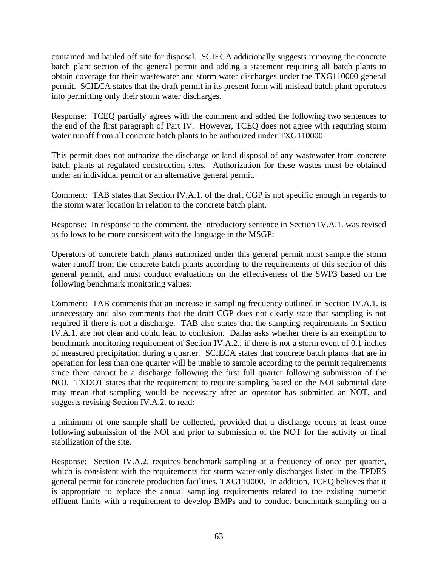contained and hauled off site for disposal. SCIECA additionally suggests removing the concrete batch plant section of the general permit and adding a statement requiring all batch plants to obtain coverage for their wastewater and storm water discharges under the TXG110000 general permit. SCIECA states that the draft permit in its present form will mislead batch plant operators into permitting only their storm water discharges.

Response: TCEQ partially agrees with the comment and added the following two sentences to the end of the first paragraph of Part IV. However, TCEQ does not agree with requiring storm water runoff from all concrete batch plants to be authorized under TXG110000.

This permit does not authorize the discharge or land disposal of any wastewater from concrete batch plants at regulated construction sites. Authorization for these wastes must be obtained under an individual permit or an alternative general permit.

Comment: TAB states that Section IV.A.1. of the draft CGP is not specific enough in regards to the storm water location in relation to the concrete batch plant.

Response: In response to the comment, the introductory sentence in Section IV.A.1. was revised as follows to be more consistent with the language in the MSGP:

Operators of concrete batch plants authorized under this general permit must sample the storm water runoff from the concrete batch plants according to the requirements of this section of this general permit, and must conduct evaluations on the effectiveness of the SWP3 based on the following benchmark monitoring values:

Comment: TAB comments that an increase in sampling frequency outlined in Section IV.A.1. is unnecessary and also comments that the draft CGP does not clearly state that sampling is not required if there is not a discharge. TAB also states that the sampling requirements in Section IV.A.1. are not clear and could lead to confusion. Dallas asks whether there is an exemption to benchmark monitoring requirement of Section IV.A.2., if there is not a storm event of 0.1 inches of measured precipitation during a quarter. SCIECA states that concrete batch plants that are in operation for less than one quarter will be unable to sample according to the permit requirements since there cannot be a discharge following the first full quarter following submission of the NOI. TXDOT states that the requirement to require sampling based on the NOI submittal date may mean that sampling would be necessary after an operator has submitted an NOT, and suggests revising Section IV.A.2. to read:

a minimum of one sample shall be collected, provided that a discharge occurs at least once following submission of the NOI and prior to submission of the NOT for the activity or final stabilization of the site.

Response: Section IV.A.2. requires benchmark sampling at a frequency of once per quarter, which is consistent with the requirements for storm water-only discharges listed in the TPDES general permit for concrete production facilities, TXG110000. In addition, TCEQ believes that it is appropriate to replace the annual sampling requirements related to the existing numeric effluent limits with a requirement to develop BMPs and to conduct benchmark sampling on a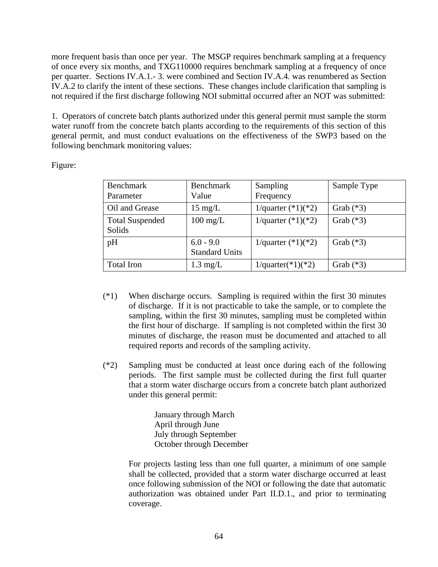more frequent basis than once per year. The MSGP requires benchmark sampling at a frequency of once every six months, and TXG110000 requires benchmark sampling at a frequency of once per quarter. Sections IV.A.1.- 3. were combined and Section IV.A.4. was renumbered as Section IV.A.2 to clarify the intent of these sections. These changes include clarification that sampling is not required if the first discharge following NOI submittal occurred after an NOT was submitted:

1. Operators of concrete batch plants authorized under this general permit must sample the storm water runoff from the concrete batch plants according to the requirements of this section of this general permit, and must conduct evaluations on the effectiveness of the SWP3 based on the following benchmark monitoring values:

Figure:

| <b>Benchmark</b><br>Parameter    | <b>Benchmark</b><br>Value            | Sampling<br>Frequency | Sample Type |
|----------------------------------|--------------------------------------|-----------------------|-------------|
| Oil and Grease                   | $15 \text{ mg/L}$                    | 1/quarter $(*1)(*2)$  | Grab $(*3)$ |
| <b>Total Suspended</b><br>Solids | $100 \text{ mg/L}$                   | 1/quarter $(*1)(*2)$  | Grab $(*3)$ |
| pH                               | $6.0 - 9.0$<br><b>Standard Units</b> | 1/quarter $(*1)(*2)$  | Grab $(*3)$ |
| <b>Total Iron</b>                | $1.3 \text{ mg/L}$                   | $1$ /quarter(*1)(*2)  | Grab $(*3)$ |

- (\*1) When discharge occurs. Sampling is required within the first 30 minutes of discharge. If it is not practicable to take the sample, or to complete the sampling, within the first 30 minutes, sampling must be completed within the first hour of discharge. If sampling is not completed within the first 30 minutes of discharge, the reason must be documented and attached to all required reports and records of the sampling activity.
- (\*2) Sampling must be conducted at least once during each of the following periods. The first sample must be collected during the first full quarter that a storm water discharge occurs from a concrete batch plant authorized under this general permit:

January through March April through June July through September October through December

For projects lasting less than one full quarter, a minimum of one sample shall be collected, provided that a storm water discharge occurred at least once following submission of the NOI or following the date that automatic authorization was obtained under Part II.D.1., and prior to terminating coverage.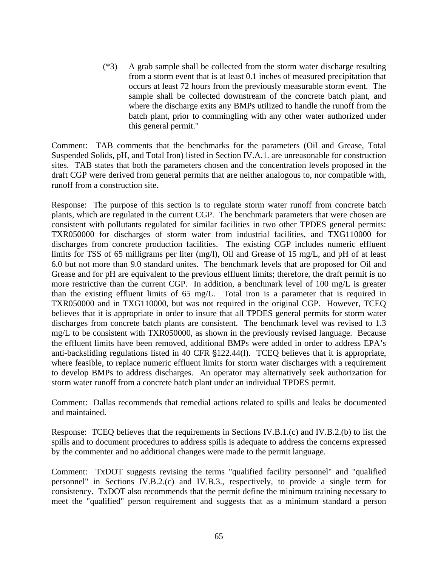(\*3) A grab sample shall be collected from the storm water discharge resulting from a storm event that is at least 0.1 inches of measured precipitation that occurs at least 72 hours from the previously measurable storm event. The sample shall be collected downstream of the concrete batch plant, and where the discharge exits any BMPs utilized to handle the runoff from the batch plant, prior to commingling with any other water authorized under this general permit."

Comment: TAB comments that the benchmarks for the parameters (Oil and Grease, Total Suspended Solids, pH, and Total Iron) listed in Section IV.A.1. are unreasonable for construction sites. TAB states that both the parameters chosen and the concentration levels proposed in the draft CGP were derived from general permits that are neither analogous to, nor compatible with, runoff from a construction site.

Response: The purpose of this section is to regulate storm water runoff from concrete batch plants, which are regulated in the current CGP. The benchmark parameters that were chosen are consistent with pollutants regulated for similar facilities in two other TPDES general permits: TXR050000 for discharges of storm water from industrial facilities, and TXG110000 for discharges from concrete production facilities. The existing CGP includes numeric effluent limits for TSS of 65 milligrams per liter (mg/l), Oil and Grease of 15 mg/L, and pH of at least 6.0 but not more than 9.0 standard unites. The benchmark levels that are proposed for Oil and Grease and for pH are equivalent to the previous effluent limits; therefore, the draft permit is no more restrictive than the current CGP. In addition, a benchmark level of 100 mg/L is greater than the existing effluent limits of 65 mg/L. Total iron is a parameter that is required in TXR050000 and in TXG110000, but was not required in the original CGP. However, TCEQ believes that it is appropriate in order to insure that all TPDES general permits for storm water discharges from concrete batch plants are consistent. The benchmark level was revised to 1.3 mg/L to be consistent with TXR050000, as shown in the previously revised language. Because the effluent limits have been removed, additional BMPs were added in order to address EPA's anti-backsliding regulations listed in 40 CFR  $\S$ 122.44(1). TCEQ believes that it is appropriate, where feasible, to replace numeric effluent limits for storm water discharges with a requirement to develop BMPs to address discharges. An operator may alternatively seek authorization for storm water runoff from a concrete batch plant under an individual TPDES permit.

Comment: Dallas recommends that remedial actions related to spills and leaks be documented and maintained.

Response: TCEQ believes that the requirements in Sections IV.B.1.(c) and IV.B.2.(b) to list the spills and to document procedures to address spills is adequate to address the concerns expressed by the commenter and no additional changes were made to the permit language.

Comment: TxDOT suggests revising the terms "qualified facility personnel" and "qualified personnel" in Sections IV.B.2.(c) and IV.B.3., respectively, to provide a single term for consistency. TxDOT also recommends that the permit define the minimum training necessary to meet the "qualified" person requirement and suggests that as a minimum standard a person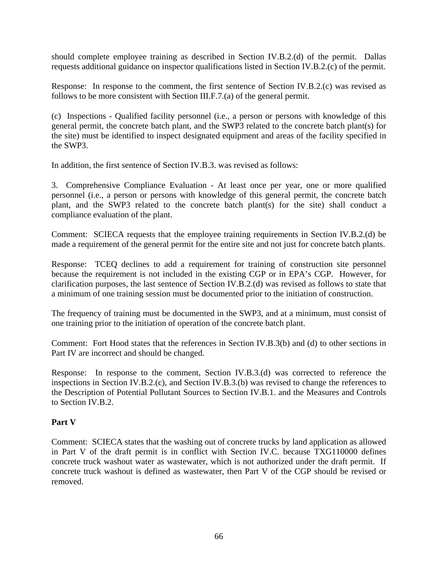should complete employee training as described in Section IV.B.2.(d) of the permit. Dallas requests additional guidance on inspector qualifications listed in Section IV.B.2.(c) of the permit.

Response: In response to the comment, the first sentence of Section IV.B.2.(c) was revised as follows to be more consistent with Section III.F.7.(a) of the general permit.

(c) Inspections - Qualified facility personnel (i.e., a person or persons with knowledge of this general permit, the concrete batch plant, and the SWP3 related to the concrete batch plant(s) for the site) must be identified to inspect designated equipment and areas of the facility specified in the SWP3.

In addition, the first sentence of Section IV.B.3. was revised as follows:

3. Comprehensive Compliance Evaluation - At least once per year, one or more qualified personnel (i.e., a person or persons with knowledge of this general permit, the concrete batch plant, and the SWP3 related to the concrete batch plant(s) for the site) shall conduct a compliance evaluation of the plant.

Comment: SCIECA requests that the employee training requirements in Section IV.B.2.(d) be made a requirement of the general permit for the entire site and not just for concrete batch plants.

Response: TCEQ declines to add a requirement for training of construction site personnel because the requirement is not included in the existing CGP or in EPA's CGP. However, for clarification purposes, the last sentence of Section IV.B.2.(d) was revised as follows to state that a minimum of one training session must be documented prior to the initiation of construction.

The frequency of training must be documented in the SWP3, and at a minimum, must consist of one training prior to the initiation of operation of the concrete batch plant.

Comment: Fort Hood states that the references in Section IV.B.3(b) and (d) to other sections in Part IV are incorrect and should be changed.

Response: In response to the comment, Section IV.B.3.(d) was corrected to reference the inspections in Section IV.B.2.(c), and Section IV.B.3.(b) was revised to change the references to the Description of Potential Pollutant Sources to Section IV.B.1. and the Measures and Controls to Section IV.B.2.

## **Part V**

Comment: SCIECA states that the washing out of concrete trucks by land application as allowed in Part V of the draft permit is in conflict with Section IV.C. because TXG110000 defines concrete truck washout water as wastewater, which is not authorized under the draft permit. If concrete truck washout is defined as wastewater, then Part V of the CGP should be revised or removed.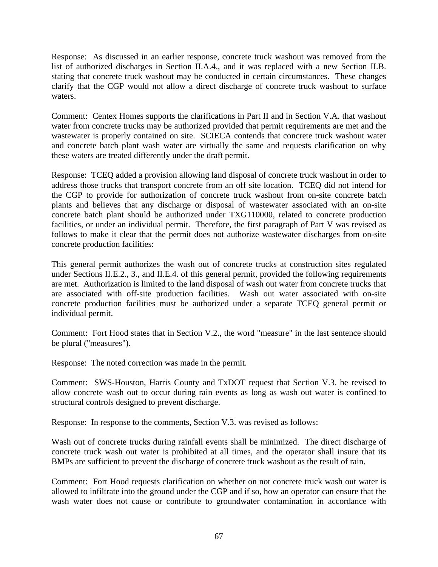Response: As discussed in an earlier response, concrete truck washout was removed from the list of authorized discharges in Section II.A.4., and it was replaced with a new Section II.B. stating that concrete truck washout may be conducted in certain circumstances. These changes clarify that the CGP would not allow a direct discharge of concrete truck washout to surface waters.

Comment: Centex Homes supports the clarifications in Part II and in Section V.A. that washout water from concrete trucks may be authorized provided that permit requirements are met and the wastewater is properly contained on site. SCIECA contends that concrete truck washout water and concrete batch plant wash water are virtually the same and requests clarification on why these waters are treated differently under the draft permit.

Response: TCEQ added a provision allowing land disposal of concrete truck washout in order to address those trucks that transport concrete from an off site location. TCEQ did not intend for the CGP to provide for authorization of concrete truck washout from on-site concrete batch plants and believes that any discharge or disposal of wastewater associated with an on-site concrete batch plant should be authorized under TXG110000, related to concrete production facilities, or under an individual permit. Therefore, the first paragraph of Part V was revised as follows to make it clear that the permit does not authorize wastewater discharges from on-site concrete production facilities:

This general permit authorizes the wash out of concrete trucks at construction sites regulated under Sections II.E.2., 3., and II.E.4. of this general permit, provided the following requirements are met. Authorization is limited to the land disposal of wash out water from concrete trucks that are associated with off-site production facilities. Wash out water associated with on-site concrete production facilities must be authorized under a separate TCEQ general permit or individual permit.

Comment: Fort Hood states that in Section V.2., the word "measure" in the last sentence should be plural ("measures").

Response: The noted correction was made in the permit.

Comment: SWS-Houston, Harris County and TxDOT request that Section V.3. be revised to allow concrete wash out to occur during rain events as long as wash out water is confined to structural controls designed to prevent discharge.

Response: In response to the comments, Section V.3. was revised as follows:

Wash out of concrete trucks during rainfall events shall be minimized. The direct discharge of concrete truck wash out water is prohibited at all times, and the operator shall insure that its BMPs are sufficient to prevent the discharge of concrete truck washout as the result of rain.

Comment: Fort Hood requests clarification on whether on not concrete truck wash out water is allowed to infiltrate into the ground under the CGP and if so, how an operator can ensure that the wash water does not cause or contribute to groundwater contamination in accordance with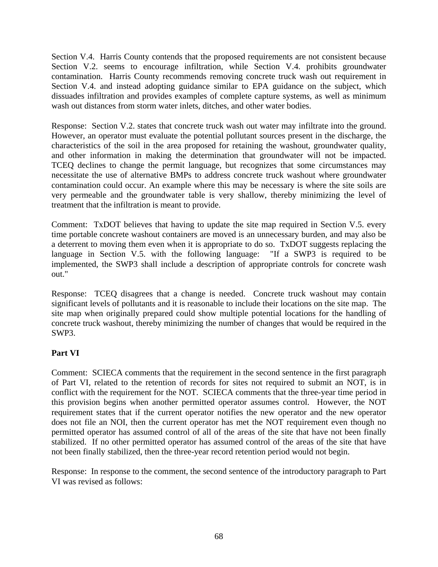Section V.4. Harris County contends that the proposed requirements are not consistent because Section V.2. seems to encourage infiltration, while Section V.4. prohibits groundwater contamination. Harris County recommends removing concrete truck wash out requirement in Section V.4. and instead adopting guidance similar to EPA guidance on the subject, which dissuades infiltration and provides examples of complete capture systems, as well as minimum wash out distances from storm water inlets, ditches, and other water bodies.

Response: Section V.2. states that concrete truck wash out water may infiltrate into the ground. However, an operator must evaluate the potential pollutant sources present in the discharge, the characteristics of the soil in the area proposed for retaining the washout, groundwater quality, and other information in making the determination that groundwater will not be impacted. TCEQ declines to change the permit language, but recognizes that some circumstances may necessitate the use of alternative BMPs to address concrete truck washout where groundwater contamination could occur. An example where this may be necessary is where the site soils are very permeable and the groundwater table is very shallow, thereby minimizing the level of treatment that the infiltration is meant to provide.

Comment: TxDOT believes that having to update the site map required in Section V.5. every time portable concrete washout containers are moved is an unnecessary burden, and may also be a deterrent to moving them even when it is appropriate to do so. TxDOT suggests replacing the language in Section V.5. with the following language: "If a SWP3 is required to be implemented, the SWP3 shall include a description of appropriate controls for concrete wash out."

Response: TCEQ disagrees that a change is needed. Concrete truck washout may contain significant levels of pollutants and it is reasonable to include their locations on the site map. The site map when originally prepared could show multiple potential locations for the handling of concrete truck washout, thereby minimizing the number of changes that would be required in the SWP3.

# **Part VI**

Comment: SCIECA comments that the requirement in the second sentence in the first paragraph of Part VI, related to the retention of records for sites not required to submit an NOT, is in conflict with the requirement for the NOT. SCIECA comments that the three-year time period in this provision begins when another permitted operator assumes control. However, the NOT requirement states that if the current operator notifies the new operator and the new operator does not file an NOI, then the current operator has met the NOT requirement even though no permitted operator has assumed control of all of the areas of the site that have not been finally stabilized. If no other permitted operator has assumed control of the areas of the site that have not been finally stabilized, then the three-year record retention period would not begin.

Response: In response to the comment, the second sentence of the introductory paragraph to Part VI was revised as follows: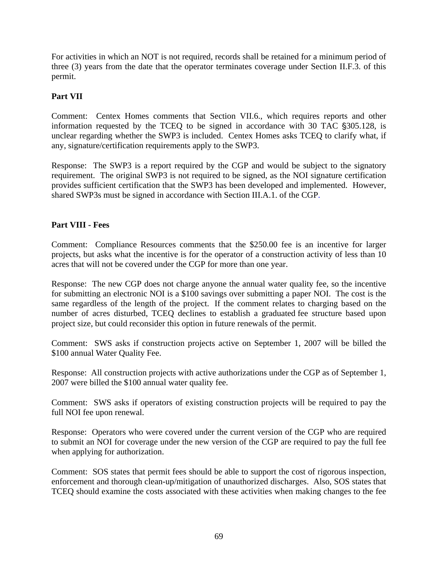For activities in which an NOT is not required, records shall be retained for a minimum period of three (3) years from the date that the operator terminates coverage under Section II.F.3. of this permit.

## **Part VII**

Comment: Centex Homes comments that Section VII.6., which requires reports and other information requested by the TCEQ to be signed in accordance with  $30$  TAC  $\S 305.128$ , is unclear regarding whether the SWP3 is included. Centex Homes asks TCEQ to clarify what, if any, signature/certification requirements apply to the SWP3.

Response: The SWP3 is a report required by the CGP and would be subject to the signatory requirement. The original SWP3 is not required to be signed, as the NOI signature certification provides sufficient certification that the SWP3 has been developed and implemented. However, shared SWP3s must be signed in accordance with Section III.A.1. of the CGP.

## **Part VIII - Fees**

Comment: Compliance Resources comments that the \$250.00 fee is an incentive for larger projects, but asks what the incentive is for the operator of a construction activity of less than 10 acres that will not be covered under the CGP for more than one year.

Response: The new CGP does not charge anyone the annual water quality fee, so the incentive for submitting an electronic NOI is a \$100 savings over submitting a paper NOI. The cost is the same regardless of the length of the project. If the comment relates to charging based on the number of acres disturbed, TCEQ declines to establish a graduated fee structure based upon project size, but could reconsider this option in future renewals of the permit.

Comment: SWS asks if construction projects active on September 1, 2007 will be billed the \$100 annual Water Quality Fee.

Response: All construction projects with active authorizations under the CGP as of September 1, 2007 were billed the \$100 annual water quality fee.

Comment: SWS asks if operators of existing construction projects will be required to pay the full NOI fee upon renewal.

Response: Operators who were covered under the current version of the CGP who are required to submit an NOI for coverage under the new version of the CGP are required to pay the full fee when applying for authorization.

Comment: SOS states that permit fees should be able to support the cost of rigorous inspection, enforcement and thorough clean-up/mitigation of unauthorized discharges. Also, SOS states that TCEQ should examine the costs associated with these activities when making changes to the fee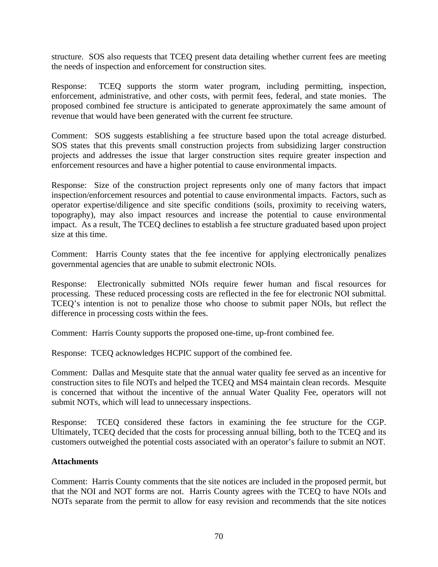structure. SOS also requests that TCEQ present data detailing whether current fees are meeting the needs of inspection and enforcement for construction sites.

Response: TCEQ supports the storm water program, including permitting, inspection, enforcement, administrative, and other costs, with permit fees, federal, and state monies. The proposed combined fee structure is anticipated to generate approximately the same amount of revenue that would have been generated with the current fee structure.

Comment: SOS suggests establishing a fee structure based upon the total acreage disturbed. SOS states that this prevents small construction projects from subsidizing larger construction projects and addresses the issue that larger construction sites require greater inspection and enforcement resources and have a higher potential to cause environmental impacts.

Response: Size of the construction project represents only one of many factors that impact inspection/enforcement resources and potential to cause environmental impacts. Factors, such as operator expertise/diligence and site specific conditions (soils, proximity to receiving waters, topography), may also impact resources and increase the potential to cause environmental impact. As a result, The TCEQ declines to establish a fee structure graduated based upon project size at this time.

Comment: Harris County states that the fee incentive for applying electronically penalizes governmental agencies that are unable to submit electronic NOIs.

Response: Electronically submitted NOIs require fewer human and fiscal resources for processing. These reduced processing costs are reflected in the fee for electronic NOI submittal. TCEQ's intention is not to penalize those who choose to submit paper NOIs, but reflect the difference in processing costs within the fees.

Comment: Harris County supports the proposed one-time, up-front combined fee.

Response: TCEQ acknowledges HCPIC support of the combined fee.

Comment: Dallas and Mesquite state that the annual water quality fee served as an incentive for construction sites to file NOTs and helped the TCEQ and MS4 maintain clean records. Mesquite is concerned that without the incentive of the annual Water Quality Fee, operators will not submit NOTs, which will lead to unnecessary inspections.

Response: TCEQ considered these factors in examining the fee structure for the CGP. Ultimately, TCEQ decided that the costs for processing annual billing, both to the TCEQ and its customers outweighed the potential costs associated with an operator's failure to submit an NOT.

### **Attachments**

Comment: Harris County comments that the site notices are included in the proposed permit, but that the NOI and NOT forms are not. Harris County agrees with the TCEQ to have NOIs and NOTs separate from the permit to allow for easy revision and recommends that the site notices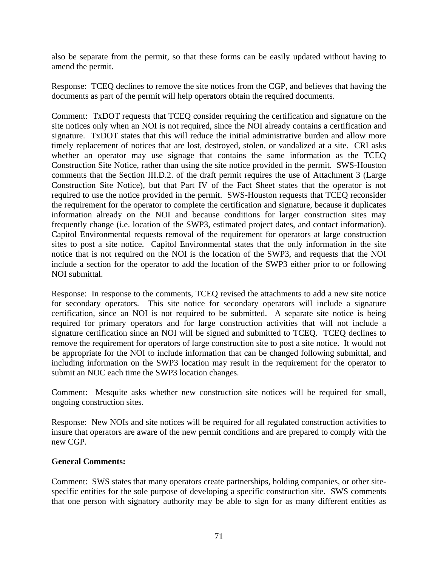also be separate from the permit, so that these forms can be easily updated without having to amend the permit.

Response: TCEQ declines to remove the site notices from the CGP, and believes that having the documents as part of the permit will help operators obtain the required documents.

Comment: TxDOT requests that TCEQ consider requiring the certification and signature on the site notices only when an NOI is not required, since the NOI already contains a certification and signature. TxDOT states that this will reduce the initial administrative burden and allow more timely replacement of notices that are lost, destroyed, stolen, or vandalized at a site. CRI asks whether an operator may use signage that contains the same information as the TCEQ Construction Site Notice, rather than using the site notice provided in the permit. SWS-Houston comments that the Section III.D.2. of the draft permit requires the use of Attachment 3 (Large Construction Site Notice), but that Part IV of the Fact Sheet states that the operator is not required to use the notice provided in the permit. SWS-Houston requests that TCEQ reconsider the requirement for the operator to complete the certification and signature, because it duplicates information already on the NOI and because conditions for larger construction sites may frequently change (i.e. location of the SWP3, estimated project dates, and contact information). Capitol Environmental requests removal of the requirement for operators at large construction sites to post a site notice. Capitol Environmental states that the only information in the site notice that is not required on the NOI is the location of the SWP3, and requests that the NOI include a section for the operator to add the location of the SWP3 either prior to or following NOI submittal.

Response: In response to the comments, TCEQ revised the attachments to add a new site notice for secondary operators. This site notice for secondary operators will include a signature certification, since an NOI is not required to be submitted. A separate site notice is being required for primary operators and for large construction activities that will not include a signature certification since an NOI will be signed and submitted to TCEQ. TCEQ declines to remove the requirement for operators of large construction site to post a site notice. It would not be appropriate for the NOI to include information that can be changed following submittal, and including information on the SWP3 location may result in the requirement for the operator to submit an NOC each time the SWP3 location changes.

Comment: Mesquite asks whether new construction site notices will be required for small, ongoing construction sites.

Response: New NOIs and site notices will be required for all regulated construction activities to insure that operators are aware of the new permit conditions and are prepared to comply with the new CGP.

### **General Comments:**

Comment: SWS states that many operators create partnerships, holding companies, or other sitespecific entities for the sole purpose of developing a specific construction site. SWS comments that one person with signatory authority may be able to sign for as many different entities as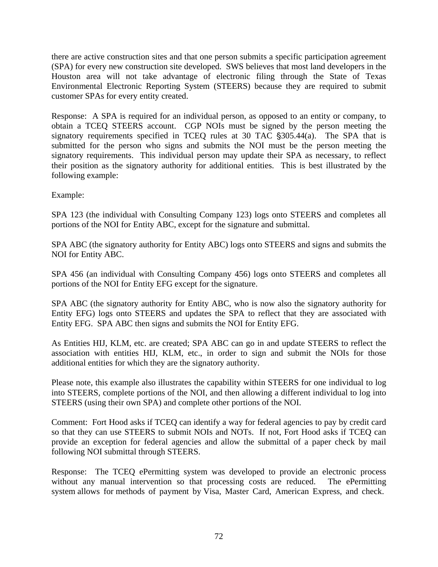there are active construction sites and that one person submits a specific participation agreement (SPA) for every new construction site developed. SWS believes that most land developers in the Houston area will not take advantage of electronic filing through the State of Texas Environmental Electronic Reporting System (STEERS) because they are required to submit customer SPAs for every entity created.

Response: A SPA is required for an individual person, as opposed to an entity or company, to obtain a TCEQ STEERS account. CGP NOIs must be signed by the person meeting the signatory requirements specified in TCEQ rules at 30 TAC  $\S 305.44(a)$ . The SPA that is submitted for the person who signs and submits the NOI must be the person meeting the signatory requirements. This individual person may update their SPA as necessary, to reflect their position as the signatory authority for additional entities. This is best illustrated by the following example:

Example:

SPA 123 (the individual with Consulting Company 123) logs onto STEERS and completes all portions of the NOI for Entity ABC, except for the signature and submittal.

SPA ABC (the signatory authority for Entity ABC) logs onto STEERS and signs and submits the NOI for Entity ABC.

SPA 456 (an individual with Consulting Company 456) logs onto STEERS and completes all portions of the NOI for Entity EFG except for the signature.

SPA ABC (the signatory authority for Entity ABC, who is now also the signatory authority for Entity EFG) logs onto STEERS and updates the SPA to reflect that they are associated with Entity EFG. SPA ABC then signs and submits the NOI for Entity EFG.

As Entities HIJ, KLM, etc. are created; SPA ABC can go in and update STEERS to reflect the association with entities HIJ, KLM, etc., in order to sign and submit the NOIs for those additional entities for which they are the signatory authority.

Please note, this example also illustrates the capability within STEERS for one individual to log into STEERS, complete portions of the NOI, and then allowing a different individual to log into STEERS (using their own SPA) and complete other portions of the NOI.

Comment: Fort Hood asks if TCEQ can identify a way for federal agencies to pay by credit card so that they can use STEERS to submit NOIs and NOTs. If not, Fort Hood asks if TCEQ can provide an exception for federal agencies and allow the submittal of a paper check by mail following NOI submittal through STEERS.

Response: The TCEQ ePermitting system was developed to provide an electronic process without any manual intervention so that processing costs are reduced. The ePermitting system allows for methods of payment by Visa, Master Card, American Express, and check.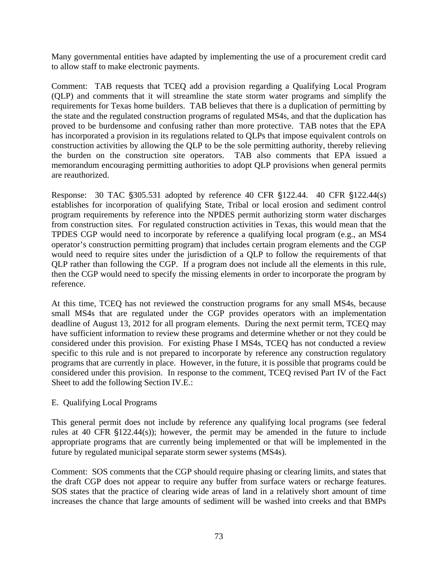Many governmental entities have adapted by implementing the use of a procurement credit card to allow staff to make electronic payments.

Comment: TAB requests that TCEQ add a provision regarding a Qualifying Local Program (QLP) and comments that it will streamline the state storm water programs and simplify the requirements for Texas home builders. TAB believes that there is a duplication of permitting by the state and the regulated construction programs of regulated MS4s, and that the duplication has proved to be burdensome and confusing rather than more protective. TAB notes that the EPA has incorporated a provision in its regulations related to QLPs that impose equivalent controls on construction activities by allowing the QLP to be the sole permitting authority, thereby relieving the burden on the construction site operators. TAB also comments that EPA issued a memorandum encouraging permitting authorities to adopt QLP provisions when general permits are reauthorized.

Response: 30 TAC  $\S 305.531$  adopted by reference 40 CFR  $\S 122.44$ . 40 CFR  $\S 122.44(s)$ establishes for incorporation of qualifying State, Tribal or local erosion and sediment control program requirements by reference into the NPDES permit authorizing storm water discharges from construction sites. For regulated construction activities in Texas, this would mean that the TPDES CGP would need to incorporate by reference a qualifying local program (e.g., an MS4 operator's construction permitting program) that includes certain program elements and the CGP would need to require sites under the jurisdiction of a QLP to follow the requirements of that QLP rather than following the CGP. If a program does not include all the elements in this rule, then the CGP would need to specify the missing elements in order to incorporate the program by reference.

At this time, TCEQ has not reviewed the construction programs for any small MS4s, because small MS4s that are regulated under the CGP provides operators with an implementation deadline of August 13, 2012 for all program elements. During the next permit term, TCEQ may have sufficient information to review these programs and determine whether or not they could be considered under this provision. For existing Phase I MS4s, TCEQ has not conducted a review specific to this rule and is not prepared to incorporate by reference any construction regulatory programs that are currently in place. However, in the future, it is possible that programs could be considered under this provision. In response to the comment, TCEQ revised Part IV of the Fact Sheet to add the following Section IV.E.:

## E. Qualifying Local Programs

This general permit does not include by reference any qualifying local programs (see federal rules at 40 CFR  $$122.44(s)$ ; however, the permit may be amended in the future to include appropriate programs that are currently being implemented or that will be implemented in the future by regulated municipal separate storm sewer systems (MS4s).

Comment: SOS comments that the CGP should require phasing or clearing limits, and states that the draft CGP does not appear to require any buffer from surface waters or recharge features. SOS states that the practice of clearing wide areas of land in a relatively short amount of time increases the chance that large amounts of sediment will be washed into creeks and that BMPs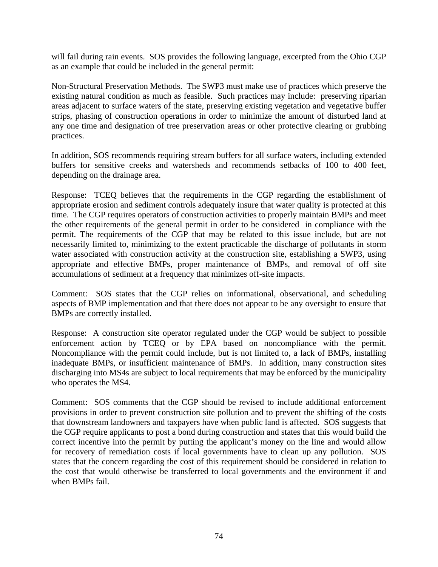will fail during rain events. SOS provides the following language, excerpted from the Ohio CGP as an example that could be included in the general permit:

Non-Structural Preservation Methods. The SWP3 must make use of practices which preserve the existing natural condition as much as feasible. Such practices may include: preserving riparian areas adjacent to surface waters of the state, preserving existing vegetation and vegetative buffer strips, phasing of construction operations in order to minimize the amount of disturbed land at any one time and designation of tree preservation areas or other protective clearing or grubbing practices.

In addition, SOS recommends requiring stream buffers for all surface waters, including extended buffers for sensitive creeks and watersheds and recommends setbacks of 100 to 400 feet, depending on the drainage area.

Response: TCEQ believes that the requirements in the CGP regarding the establishment of appropriate erosion and sediment controls adequately insure that water quality is protected at this time. The CGP requires operators of construction activities to properly maintain BMPs and meet the other requirements of the general permit in order to be considered in compliance with the permit. The requirements of the CGP that may be related to this issue include, but are not necessarily limited to, minimizing to the extent practicable the discharge of pollutants in storm water associated with construction activity at the construction site, establishing a SWP3, using appropriate and effective BMPs, proper maintenance of BMPs, and removal of off site accumulations of sediment at a frequency that minimizes off-site impacts.

Comment: SOS states that the CGP relies on informational, observational, and scheduling aspects of BMP implementation and that there does not appear to be any oversight to ensure that BMPs are correctly installed.

Response: A construction site operator regulated under the CGP would be subject to possible enforcement action by TCEQ or by EPA based on noncompliance with the permit. Noncompliance with the permit could include, but is not limited to, a lack of BMPs, installing inadequate BMPs, or insufficient maintenance of BMPs. In addition, many construction sites discharging into MS4s are subject to local requirements that may be enforced by the municipality who operates the MS4.

Comment: SOS comments that the CGP should be revised to include additional enforcement provisions in order to prevent construction site pollution and to prevent the shifting of the costs that downstream landowners and taxpayers have when public land is affected. SOS suggests that the CGP require applicants to post a bond during construction and states that this would build the correct incentive into the permit by putting the applicant's money on the line and would allow for recovery of remediation costs if local governments have to clean up any pollution. SOS states that the concern regarding the cost of this requirement should be considered in relation to the cost that would otherwise be transferred to local governments and the environment if and when BMPs fail.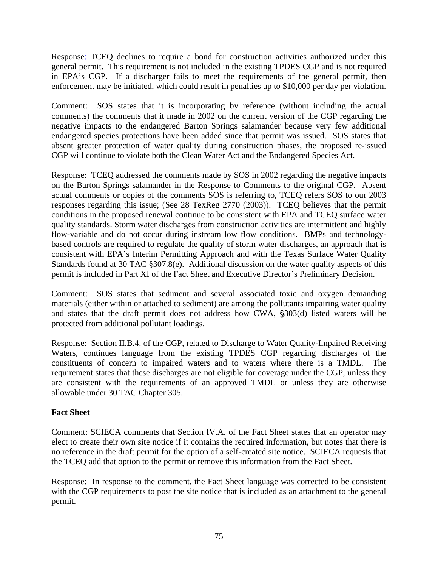Response: TCEQ declines to require a bond for construction activities authorized under this general permit. This requirement is not included in the existing TPDES CGP and is not required in EPA's CGP. If a discharger fails to meet the requirements of the general permit, then enforcement may be initiated, which could result in penalties up to \$10,000 per day per violation.

Comment: SOS states that it is incorporating by reference (without including the actual comments) the comments that it made in 2002 on the current version of the CGP regarding the negative impacts to the endangered Barton Springs salamander because very few additional endangered species protections have been added since that permit was issued. SOS states that absent greater protection of water quality during construction phases, the proposed re-issued CGP will continue to violate both the Clean Water Act and the Endangered Species Act.

Response: TCEQ addressed the comments made by SOS in 2002 regarding the negative impacts on the Barton Springs salamander in the Response to Comments to the original CGP. Absent actual comments or copies of the comments SOS is referring to, TCEQ refers SOS to our 2003 responses regarding this issue; (See 28 TexReg 2770 (2003)). TCEQ believes that the permit conditions in the proposed renewal continue to be consistent with EPA and TCEQ surface water quality standards. Storm water discharges from construction activities are intermittent and highly flow-variable and do not occur during instream low flow conditions. BMPs and technologybased controls are required to regulate the quality of storm water discharges, an approach that is consistent with EPA's Interim Permitting Approach and with the Texas Surface Water Quality Standards found at 30 TAC §307.8(e). Additional discussion on the water quality aspects of this permit is included in Part XI of the Fact Sheet and Executive Director's Preliminary Decision.

Comment: SOS states that sediment and several associated toxic and oxygen demanding materials (either within or attached to sediment) are among the pollutants impairing water quality and states that the draft permit does not address how CWA,  $\S303(d)$  listed waters will be protected from additional pollutant loadings.

Response: Section II.B.4. of the CGP, related to Discharge to Water Quality-Impaired Receiving Waters, continues language from the existing TPDES CGP regarding discharges of the constituents of concern to impaired waters and to waters where there is a TMDL. The requirement states that these discharges are not eligible for coverage under the CGP, unless they are consistent with the requirements of an approved TMDL or unless they are otherwise allowable under 30 TAC Chapter 305.

## **Fact Sheet**

Comment: SCIECA comments that Section IV.A. of the Fact Sheet states that an operator may elect to create their own site notice if it contains the required information, but notes that there is no reference in the draft permit for the option of a self-created site notice. SCIECA requests that the TCEQ add that option to the permit or remove this information from the Fact Sheet.

Response: In response to the comment, the Fact Sheet language was corrected to be consistent with the CGP requirements to post the site notice that is included as an attachment to the general permit.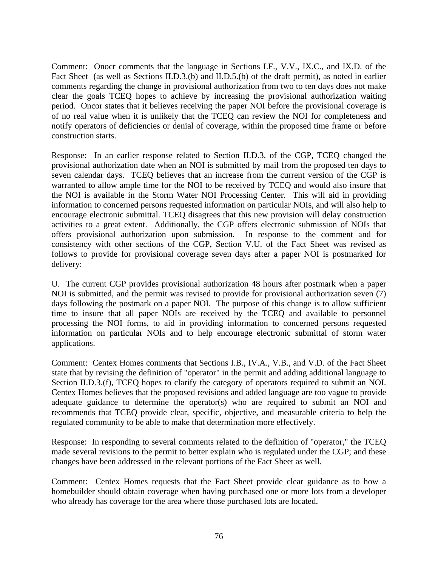Comment: Onocr comments that the language in Sections I.F., V.V., IX.C., and IX.D. of the Fact Sheet (as well as Sections II.D.3.(b) and II.D.5.(b) of the draft permit), as noted in earlier comments regarding the change in provisional authorization from two to ten days does not make clear the goals TCEQ hopes to achieve by increasing the provisional authorization waiting period. Oncor states that it believes receiving the paper NOI before the provisional coverage is of no real value when it is unlikely that the TCEQ can review the NOI for completeness and notify operators of deficiencies or denial of coverage, within the proposed time frame or before construction starts.

Response: In an earlier response related to Section II.D.3. of the CGP, TCEQ changed the provisional authorization date when an NOI is submitted by mail from the proposed ten days to seven calendar days. TCEQ believes that an increase from the current version of the CGP is warranted to allow ample time for the NOI to be received by TCEQ and would also insure that the NOI is available in the Storm Water NOI Processing Center. This will aid in providing information to concerned persons requested information on particular NOIs, and will also help to encourage electronic submittal. TCEQ disagrees that this new provision will delay construction activities to a great extent. Additionally, the CGP offers electronic submission of NOIs that offers provisional authorization upon submission. In response to the comment and for consistency with other sections of the CGP, Section V.U. of the Fact Sheet was revised as follows to provide for provisional coverage seven days after a paper NOI is postmarked for delivery:

U. The current CGP provides provisional authorization 48 hours after postmark when a paper NOI is submitted, and the permit was revised to provide for provisional authorization seven (7) days following the postmark on a paper NOI. The purpose of this change is to allow sufficient time to insure that all paper NOIs are received by the TCEQ and available to personnel processing the NOI forms, to aid in providing information to concerned persons requested information on particular NOIs and to help encourage electronic submittal of storm water applications.

Comment: Centex Homes comments that Sections I.B., IV.A., V.B., and V.D. of the Fact Sheet state that by revising the definition of "operator" in the permit and adding additional language to Section II.D.3.(f), TCEQ hopes to clarify the category of operators required to submit an NOI. Centex Homes believes that the proposed revisions and added language are too vague to provide adequate guidance to determine the operator(s) who are required to submit an NOI and recommends that TCEQ provide clear, specific, objective, and measurable criteria to help the regulated community to be able to make that determination more effectively.

Response: In responding to several comments related to the definition of "operator," the TCEQ made several revisions to the permit to better explain who is regulated under the CGP; and these changes have been addressed in the relevant portions of the Fact Sheet as well.

Comment: Centex Homes requests that the Fact Sheet provide clear guidance as to how a homebuilder should obtain coverage when having purchased one or more lots from a developer who already has coverage for the area where those purchased lots are located.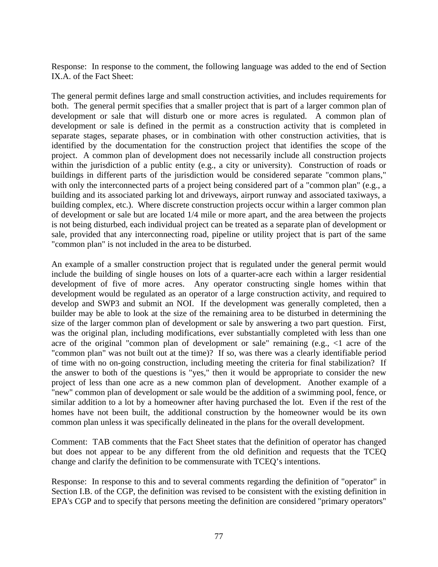Response: In response to the comment, the following language was added to the end of Section IX.A. of the Fact Sheet:

The general permit defines large and small construction activities, and includes requirements for both. The general permit specifies that a smaller project that is part of a larger common plan of development or sale that will disturb one or more acres is regulated. A common plan of development or sale is defined in the permit as a construction activity that is completed in separate stages, separate phases, or in combination with other construction activities, that is identified by the documentation for the construction project that identifies the scope of the project. A common plan of development does not necessarily include all construction projects within the jurisdiction of a public entity (e.g., a city or university). Construction of roads or buildings in different parts of the jurisdiction would be considered separate "common plans," with only the interconnected parts of a project being considered part of a "common plan" (e.g., a building and its associated parking lot and driveways, airport runway and associated taxiways, a building complex, etc.). Where discrete construction projects occur within a larger common plan of development or sale but are located 1/4 mile or more apart, and the area between the projects is not being disturbed, each individual project can be treated as a separate plan of development or sale, provided that any interconnecting road, pipeline or utility project that is part of the same "common plan" is not included in the area to be disturbed.

An example of a smaller construction project that is regulated under the general permit would include the building of single houses on lots of a quarter-acre each within a larger residential development of five of more acres. Any operator constructing single homes within that development would be regulated as an operator of a large construction activity, and required to develop and SWP3 and submit an NOI. If the development was generally completed, then a builder may be able to look at the size of the remaining area to be disturbed in determining the size of the larger common plan of development or sale by answering a two part question. First, was the original plan, including modifications, ever substantially completed with less than one acre of the original "common plan of development or sale" remaining (e.g., <1 acre of the "common plan" was not built out at the time)? If so, was there was a clearly identifiable period of time with no on-going construction, including meeting the criteria for final stabilization? If the answer to both of the questions is "yes," then it would be appropriate to consider the new project of less than one acre as a new common plan of development. Another example of a "new" common plan of development or sale would be the addition of a swimming pool, fence, or similar addition to a lot by a homeowner after having purchased the lot. Even if the rest of the homes have not been built, the additional construction by the homeowner would be its own common plan unless it was specifically delineated in the plans for the overall development.

Comment: TAB comments that the Fact Sheet states that the definition of operator has changed but does not appear to be any different from the old definition and requests that the TCEQ change and clarify the definition to be commensurate with TCEQ's intentions.

Response: In response to this and to several comments regarding the definition of "operator" in Section I.B. of the CGP, the definition was revised to be consistent with the existing definition in EPA's CGP and to specify that persons meeting the definition are considered "primary operators"